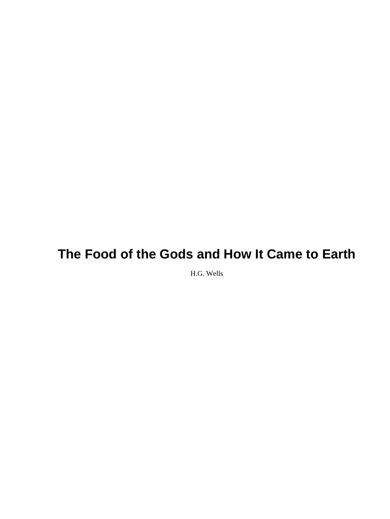H.G. Wells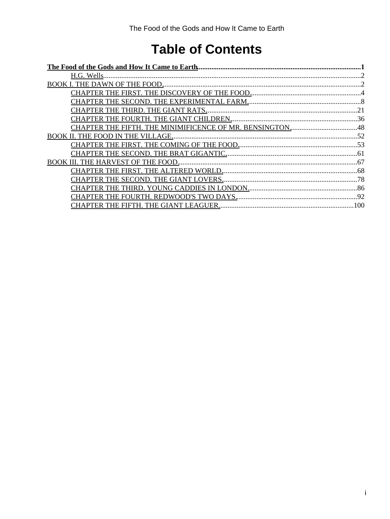# **Table of Contents**

| CHAPTER THE FIFTH. THE MINIMIFICENCE OF MR. BENSINGTON48 |  |
|----------------------------------------------------------|--|
|                                                          |  |
|                                                          |  |
|                                                          |  |
|                                                          |  |
|                                                          |  |
|                                                          |  |
|                                                          |  |
|                                                          |  |
|                                                          |  |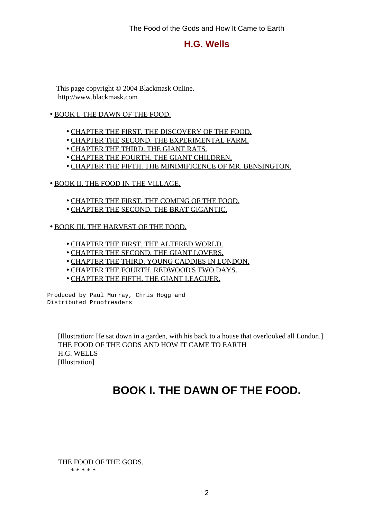### **H.G. Wells**

<span id="page-3-0"></span> This page copyright © 2004 Blackmask Online. http://www.blackmask.com

#### • [BOOK I. THE DAWN OF THE FOOD.](#page-3-1)

- [CHAPTER THE FIRST. THE DISCOVERY OF THE FOOD.](#page-5-0)
- [CHAPTER THE SECOND. THE EXPERIMENTAL FARM.](#page-9-0)
- [CHAPTER THE THIRD. THE GIANT RATS.](#page-22-0)
- [CHAPTER THE FOURTH. THE GIANT CHILDREN.](#page-37-0)
- [CHAPTER THE FIFTH. THE MINIMIFICENCE OF MR. BENSINGTON.](#page-49-0)
- [BOOK II. THE FOOD IN THE VILLAGE.](#page-53-0)
	- [CHAPTER THE FIRST. THE COMING OF THE FOOD.](#page-54-0)
	- [CHAPTER THE SECOND. THE BRAT GIGANTIC.](#page-62-0)
- [BOOK III. THE HARVEST OF THE FOOD.](#page-68-0)
	- [CHAPTER THE FIRST. THE ALTERED WORLD.](#page-69-0)
	- [CHAPTER THE SECOND. THE GIANT LOVERS.](#page-79-0)
	- [CHAPTER THE THIRD. YOUNG CADDIES IN LONDON.](#page-87-0)
	- [CHAPTER THE FOURTH. REDWOOD'S TWO DAYS.](#page-93-0)
	- [CHAPTER THE FIFTH. THE GIANT LEAGUER.](#page-101-0)

Produced by Paul Murray, Chris Hogg and Distributed Proofreaders

<span id="page-3-1"></span> [Illustration: He sat down in a garden, with his back to a house that overlooked all London.] THE FOOD OF THE GODS AND HOW IT CAME TO EARTH H.G. WELLS [Illustration]

## **BOOK I. THE DAWN OF THE FOOD.**

 THE FOOD OF THE GODS. \* \* \* \* \*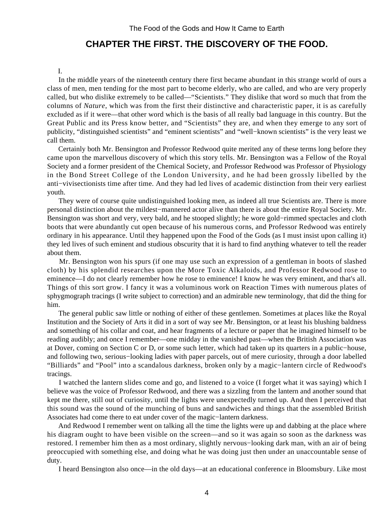### **CHAPTER THE FIRST. THE DISCOVERY OF THE FOOD.**

#### I.

<span id="page-5-0"></span> In the middle years of the nineteenth century there first became abundant in this strange world of ours a class of men, men tending for the most part to become elderly, who are called, and who are very properly called, but who dislike extremely to be called—"Scientists." They dislike that word so much that from the columns of *Nature*, which was from the first their distinctive and characteristic paper, it is as carefully excluded as if it were—that other word which is the basis of all really bad language in this country. But the Great Public and its Press know better, and "Scientists" they are, and when they emerge to any sort of publicity, "distinguished scientists" and "eminent scientists" and "well−known scientists" is the very least we call them.

 Certainly both Mr. Bensington and Professor Redwood quite merited any of these terms long before they came upon the marvellous discovery of which this story tells. Mr. Bensington was a Fellow of the Royal Society and a former president of the Chemical Society, and Professor Redwood was Professor of Physiology in the Bond Street College of the London University, and he had been grossly libelled by the anti−vivisectionists time after time. And they had led lives of academic distinction from their very earliest youth.

 They were of course quite undistinguished looking men, as indeed all true Scientists are. There is more personal distinction about the mildest−mannered actor alive than there is about the entire Royal Society. Mr. Bensington was short and very, very bald, and he stooped slightly; he wore gold−rimmed spectacles and cloth boots that were abundantly cut open because of his numerous corns, and Professor Redwood was entirely ordinary in his appearance. Until they happened upon the Food of the Gods (as I must insist upon calling it) they led lives of such eminent and studious obscurity that it is hard to find anything whatever to tell the reader about them.

 Mr. Bensington won his spurs (if one may use such an expression of a gentleman in boots of slashed cloth) by his splendid researches upon the More Toxic Alkaloids, and Professor Redwood rose to eminence—I do not clearly remember how he rose to eminence! I know he was very eminent, and that's all. Things of this sort grow. I fancy it was a voluminous work on Reaction Times with numerous plates of sphygmograph tracings (I write subject to correction) and an admirable new terminology, that did the thing for him.

 The general public saw little or nothing of either of these gentlemen. Sometimes at places like the Royal Institution and the Society of Arts it did in a sort of way see Mr. Bensington, or at least his blushing baldness and something of his collar and coat, and hear fragments of a lecture or paper that he imagined himself to be reading audibly; and once I remember—one midday in the vanished past—when the British Association was at Dover, coming on Section C or D, or some such letter, which had taken up its quarters in a public−house, and following two, serious−looking ladies with paper parcels, out of mere curiosity, through a door labelled "Billiards" and "Pool" into a scandalous darkness, broken only by a magic−lantern circle of Redwood's tracings.

 I watched the lantern slides come and go, and listened to a voice (I forget what it was saying) which I believe was the voice of Professor Redwood, and there was a sizzling from the lantern and another sound that kept me there, still out of curiosity, until the lights were unexpectedly turned up. And then I perceived that this sound was the sound of the munching of buns and sandwiches and things that the assembled British Associates had come there to eat under cover of the magic−lantern darkness.

 And Redwood I remember went on talking all the time the lights were up and dabbing at the place where his diagram ought to have been visible on the screen—and so it was again so soon as the darkness was restored. I remember him then as a most ordinary, slightly nervous−looking dark man, with an air of being preoccupied with something else, and doing what he was doing just then under an unaccountable sense of duty.

I heard Bensington also once—in the old days—at an educational conference in Bloomsbury. Like most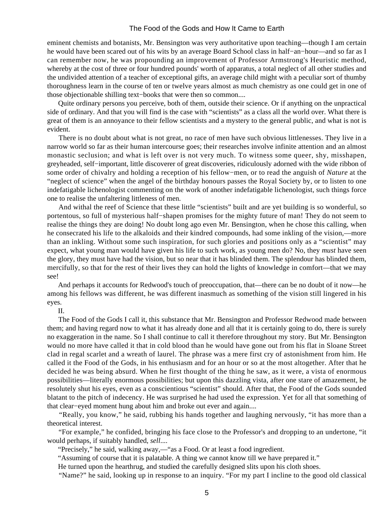eminent chemists and botanists, Mr. Bensington was very authoritative upon teaching—though I am certain he would have been scared out of his wits by an average Board School class in half−an−hour—and so far as I can remember now, he was propounding an improvement of Professor Armstrong's Heuristic method, whereby at the cost of three or four hundred pounds' worth of apparatus, a total neglect of all other studies and the undivided attention of a teacher of exceptional gifts, an average child might with a peculiar sort of thumby thoroughness learn in the course of ten or twelve years almost as much chemistry as one could get in one of those objectionable shilling text−books that were then so common....

 Quite ordinary persons you perceive, both of them, outside their science. Or if anything on the unpractical side of ordinary. And that you will find is the case with "scientists" as a class all the world over. What there is great of them is an annoyance to their fellow scientists and a mystery to the general public, and what is not is evident.

 There is no doubt about what is not great, no race of men have such obvious littlenesses. They live in a narrow world so far as their human intercourse goes; their researches involve infinite attention and an almost monastic seclusion; and what is left over is not very much. To witness some queer, shy, misshapen, greyheaded, self−important, little discoverer of great discoveries, ridiculously adorned with the wide ribbon of some order of chivalry and holding a reception of his fellow−men, or to read the anguish of *Nature* at the "neglect of science" when the angel of the birthday honours passes the Royal Society by, or to listen to one indefatigable lichenologist commenting on the work of another indefatigable lichenologist, such things force one to realise the unfaltering littleness of men.

 And withal the reef of Science that these little "scientists" built and are yet building is so wonderful, so portentous, so full of mysterious half−shapen promises for the mighty future of man! They do not seem to realise the things they are doing! No doubt long ago even Mr. Bensington, when he chose this calling, when he consecrated his life to the alkaloids and their kindred compounds, had some inkling of the vision,—more than an inkling. Without some such inspiration, for such glories and positions only as a "scientist" may expect, what young man would have given his life to such work, as young men do? No, they *must* have seen the glory, they must have had the vision, but so near that it has blinded them. The splendour has blinded them, mercifully, so that for the rest of their lives they can hold the lights of knowledge in comfort—that we may see!

 And perhaps it accounts for Redwood's touch of preoccupation, that—there can be no doubt of it now—he among his fellows was different, he was different inasmuch as something of the vision still lingered in his eyes.

#### II.

 The Food of the Gods I call it, this substance that Mr. Bensington and Professor Redwood made between them; and having regard now to what it has already done and all that it is certainly going to do, there is surely no exaggeration in the name. So I shall continue to call it therefore throughout my story. But Mr. Bensington would no more have called it that in cold blood than he would have gone out from his flat in Sloane Street clad in regal scarlet and a wreath of laurel. The phrase was a mere first cry of astonishment from him. He called it the Food of the Gods, in his enthusiasm and for an hour or so at the most altogether. After that he decided he was being absurd. When he first thought of the thing he saw, as it were, a vista of enormous possibilities—literally enormous possibilities; but upon this dazzling vista, after one stare of amazement, he resolutely shut his eyes, even as a conscientious "scientist" should. After that, the Food of the Gods sounded blatant to the pitch of indecency. He was surprised he had used the expression. Yet for all that something of that clear−eyed moment hung about him and broke out ever and again....

 "Really, you know," he said, rubbing his hands together and laughing nervously, "it has more than a theoretical interest.

 "For example," he confided, bringing his face close to the Professor's and dropping to an undertone, "it would perhaps, if suitably handled, *sell*....

"Precisely," he said, walking away,—"as a Food. Or at least a food ingredient.

"Assuming of course that it is palatable. A thing we cannot know till we have prepared it."

He turned upon the hearthrug, and studied the carefully designed slits upon his cloth shoes.

"Name?" he said, looking up in response to an inquiry. "For my part I incline to the good old classical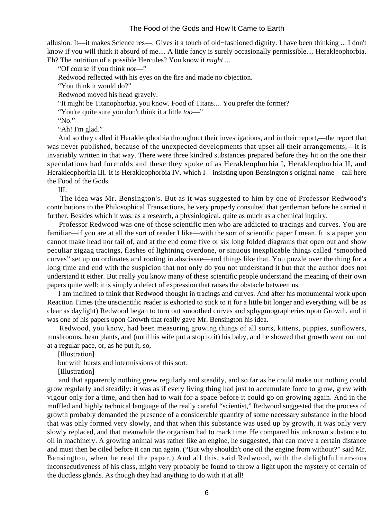allusion. It—it makes Science res—. Gives it a touch of old−fashioned dignity. I have been thinking ... I don't know if you will think it absurd of me.... A little fancy is surely occasionally permissible.... Herakleophorbia. Eh? The nutrition of a possible Hercules? You know it *might* ...

"Of course if you think *not*—"

Redwood reflected with his eyes on the fire and made no objection.

"You think it would do?"

Redwood moved his head gravely.

"It might be Titanophorbia, you know. Food of Titans.... You prefer the former?

"You're quite sure you don't think it a little *too*—"

"No."

"Ah! I'm glad."

 And so they called it Herakleophorbia throughout their investigations, and in their report,—the report that was never published, because of the unexpected developments that upset all their arrangements,—it is invariably written in that way. There were three kindred substances prepared before they hit on the one their speculations had foretolds and these they spoke of as Herakleophorbia I, Herakleophorbia II, and Herakleophorbia III. It is Herakleophorbia IV. which I—insisting upon Bensington's original name—call here the Food of the Gods.

III.

 The idea was Mr. Bensington's. But as it was suggested to him by one of Professor Redwood's contributions to the Philosophical Transactions, he very properly consulted that gentleman before he carried it further. Besides which it was, as a research, a physiological, quite as much as a chemical inquiry.

 Professor Redwood was one of those scientific men who are addicted to tracings and curves. You are familiar—if you are at all the sort of reader I like—with the sort of scientific paper I mean. It is a paper you cannot make head nor tail of, and at the end come five or six long folded diagrams that open out and show peculiar zigzag tracings, flashes of lightning overdone, or sinuous inexplicable things called "smoothed curves" set up on ordinates and rooting in abscissae—and things like that. You puzzle over the thing for a long time and end with the suspicion that not only do you not understand it but that the author does not understand it either. But really you know many of these scientific people understand the meaning of their own papers quite well: it is simply a defect of expression that raises the obstacle between us.

 I am inclined to think that Redwood thought in tracings and curves. And after his monumental work upon Reaction Times (the unscientific reader is exhorted to stick to it for a little bit longer and everything will be as clear as daylight) Redwood began to turn out smoothed curves and sphygmographeries upon Growth, and it was one of his papers upon Growth that really gave Mr. Bensington his idea.

 Redwood, you know, had been measuring growing things of all sorts, kittens, puppies, sunflowers, mushrooms, bean plants, and (until his wife put a stop to it) his baby, and he showed that growth went out not at a regular pace, or, as he put it, so,

[Illustration]

but with bursts and intermissions of this sort.

[Illustration]

 and that apparently nothing grew regularly and steadily, and so far as he could make out nothing could grow regularly and steadily: it was as if every living thing had just to accumulate force to grow, grew with vigour only for a time, and then had to wait for a space before it could go on growing again. And in the muffled and highly technical language of the really careful "scientist," Redwood suggested that the process of growth probably demanded the presence of a considerable quantity of some necessary substance in the blood that was only formed very slowly, and that when this substance was used up by growth, it was only very slowly replaced, and that meanwhile the organism had to mark time. He compared his unknown substance to oil in machinery. A growing animal was rather like an engine, he suggested, that can move a certain distance and must then be oiled before it can run again. ("But why shouldn't one oil the engine from without?" said Mr. Bensington, when he read the paper.) And all this, said Redwood, with the delightful nervous inconsecutiveness of his class, might very probably be found to throw a light upon the mystery of certain of the ductless glands. As though they had anything to do with it at all!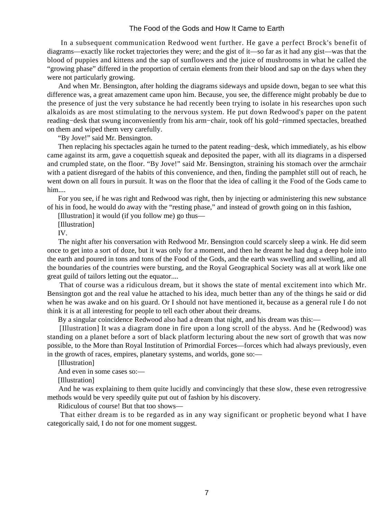In a subsequent communication Redwood went further. He gave a perfect Brock's benefit of diagrams—exactly like rocket trajectories they were; and the gist of it—so far as it had any gist—was that the blood of puppies and kittens and the sap of sunflowers and the juice of mushrooms in what he called the "growing phase" differed in the proportion of certain elements from their blood and sap on the days when they were not particularly growing.

 And when Mr. Bensington, after holding the diagrams sideways and upside down, began to see what this difference was, a great amazement came upon him. Because, you see, the difference might probably be due to the presence of just the very substance he had recently been trying to isolate in his researches upon such alkaloids as are most stimulating to the nervous system. He put down Redwood's paper on the patent reading−desk that swung inconveniently from his arm−chair, took off his gold−rimmed spectacles, breathed on them and wiped them very carefully.

"By Jove!" said Mr. Bensington.

 Then replacing his spectacles again he turned to the patent reading−desk, which immediately, as his elbow came against its arm, gave a coquettish squeak and deposited the paper, with all its diagrams in a dispersed and crumpled state, on the floor. "By Jove!" said Mr. Bensington, straining his stomach over the armchair with a patient disregard of the habits of this convenience, and then, finding the pamphlet still out of reach, he went down on all fours in pursuit. It was on the floor that the idea of calling it the Food of the Gods came to him....

 For you see, if he was right and Redwood was right, then by injecting or administering this new substance of his in food, he would do away with the "resting phase," and instead of growth going on in this fashion,

[Illustration] it would (if you follow me) go thus—

[Illustration]

IV.

 The night after his conversation with Redwood Mr. Bensington could scarcely sleep a wink. He did seem once to get into a sort of doze, but it was only for a moment, and then he dreamt he had dug a deep hole into the earth and poured in tons and tons of the Food of the Gods, and the earth was swelling and swelling, and all the boundaries of the countries were bursting, and the Royal Geographical Society was all at work like one great guild of tailors letting out the equator....

 That of course was a ridiculous dream, but it shows the state of mental excitement into which Mr. Bensington got and the real value he attached to his idea, much better than any of the things he said or did when he was awake and on his guard. Or I should not have mentioned it, because as a general rule I do not think it is at all interesting for people to tell each other about their dreams.

By a singular coincidence Redwood also had a dream that night, and his dream was this:—

 [Illustration] It was a diagram done in fire upon a long scroll of the abyss. And he (Redwood) was standing on a planet before a sort of black platform lecturing about the new sort of growth that was now possible, to the More than Royal Institution of Primordial Forces—forces which had always previously, even in the growth of races, empires, planetary systems, and worlds, gone so:—

[Illustration]

And even in some cases so:—

[Illustration]

 And he was explaining to them quite lucidly and convincingly that these slow, these even retrogressive methods would be very speedily quite put out of fashion by his discovery.

Ridiculous of course! But that too shows—

 That either dream is to be regarded as in any way significant or prophetic beyond what I have categorically said, I do not for one moment suggest.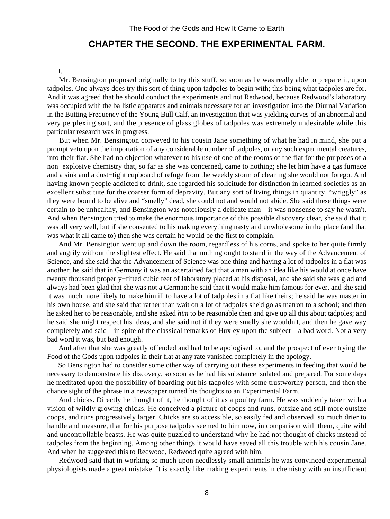## **CHAPTER THE SECOND. THE EXPERIMENTAL FARM.**

#### I.

<span id="page-9-0"></span> Mr. Bensington proposed originally to try this stuff, so soon as he was really able to prepare it, upon tadpoles. One always does try this sort of thing upon tadpoles to begin with; this being what tadpoles are for. And it was agreed that he should conduct the experiments and not Redwood, because Redwood's laboratory was occupied with the ballistic apparatus and animals necessary for an investigation into the Diurnal Variation in the Butting Frequency of the Young Bull Calf, an investigation that was yielding curves of an abnormal and very perplexing sort, and the presence of glass globes of tadpoles was extremely undesirable while this particular research was in progress.

 But when Mr. Bensington conveyed to his cousin Jane something of what he had in mind, she put a prompt veto upon the importation of any considerable number of tadpoles, or any such experimental creatures, into their flat. She had no objection whatever to his use of one of the rooms of the flat for the purposes of a non−explosive chemistry that, so far as she was concerned, came to nothing; she let him have a gas furnace and a sink and a dust−tight cupboard of refuge from the weekly storm of cleaning she would not forego. And having known people addicted to drink, she regarded his solicitude for distinction in learned societies as an excellent substitute for the coarser form of depravity. But any sort of living things in quantity, "wriggly" as they were bound to be alive and "smelly" dead, she could not and would not abide. She said these things were certain to be unhealthy, and Bensington was notoriously a delicate man—it was nonsense to say he wasn't. And when Bensington tried to make the enormous importance of this possible discovery clear, she said that it was all very well, but if she consented to his making everything nasty and unwholesome in the place (and that was what it all came to) then she was certain he would be the first to complain.

 And Mr. Bensington went up and down the room, regardless of his corns, and spoke to her quite firmly and angrily without the slightest effect. He said that nothing ought to stand in the way of the Advancement of Science, and she said that the Advancement of Science was one thing and having a lot of tadpoles in a flat was another; he said that in Germany it was an ascertained fact that a man with an idea like his would at once have twenty thousand properly−fitted cubic feet of laboratory placed at his disposal, and she said she was glad and always had been glad that she was not a German; he said that it would make him famous for ever, and she said it was much more likely to make him ill to have a lot of tadpoles in a flat like theirs; he said he was master in his own house, and she said that rather than wait on a lot of tadpoles she'd go as matron to a school; and then he asked her to be reasonable, and she asked *him* to be reasonable then and give up all this about tadpoles; and he said she might respect his ideas, and she said not if they were smelly she wouldn't, and then he gave way completely and said—in spite of the classical remarks of Huxley upon the subject—a bad word. Not a very bad word it was, but bad enough.

 And after that she was greatly offended and had to be apologised to, and the prospect of ever trying the Food of the Gods upon tadpoles in their flat at any rate vanished completely in the apology.

 So Bensington had to consider some other way of carrying out these experiments in feeding that would be necessary to demonstrate his discovery, so soon as he had his substance isolated and prepared. For some days he meditated upon the possibility of boarding out his tadpoles with some trustworthy person, and then the chance sight of the phrase in a newspaper turned his thoughts to an Experimental Farm.

 And chicks. Directly he thought of it, he thought of it as a poultry farm. He was suddenly taken with a vision of wildly growing chicks. He conceived a picture of coops and runs, outsize and still more outsize coops, and runs progressively larger. Chicks are so accessible, so easily fed and observed, so much drier to handle and measure, that for his purpose tadpoles seemed to him now, in comparison with them, quite wild and uncontrollable beasts. He was quite puzzled to understand why he had not thought of chicks instead of tadpoles from the beginning. Among other things it would have saved all this trouble with his cousin Jane. And when he suggested this to Redwood, Redwood quite agreed with him.

 Redwood said that in working so much upon needlessly small animals he was convinced experimental physiologists made a great mistake. It is exactly like making experiments in chemistry with an insufficient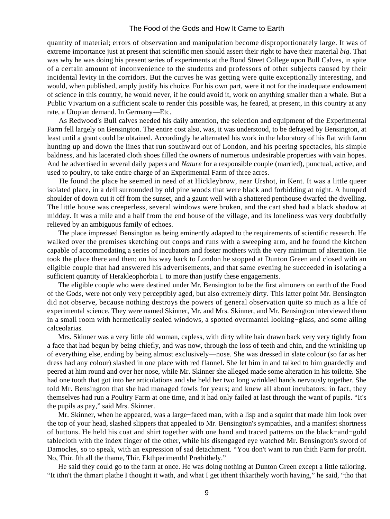quantity of material; errors of observation and manipulation become disproportionately large. It was of extreme importance just at present that scientific men should assert their right to have their material *big*. That was why he was doing his present series of experiments at the Bond Street College upon Bull Calves, in spite of a certain amount of inconvenience to the students and professors of other subjects caused by their incidental levity in the corridors. But the curves he was getting were quite exceptionally interesting, and would, when published, amply justify his choice. For his own part, were it not for the inadequate endowment of science in this country, he would never, if he could avoid it, work on anything smaller than a whale. But a Public Vivarium on a sufficient scale to render this possible was, he feared, at present, in this country at any rate, a Utopian demand. In Germany—Etc.

 As Redwood's Bull calves needed his daily attention, the selection and equipment of the Experimental Farm fell largely on Bensington. The entire cost also, was, it was understood, to be defrayed by Bensington, at least until a grant could be obtained. Accordingly he alternated his work in the laboratory of his flat with farm hunting up and down the lines that run southward out of London, and his peering spectacles, his simple baldness, and his lacerated cloth shoes filled the owners of numerous undesirable properties with vain hopes. And he advertised in several daily papers and *Nature* for a responsible couple (married), punctual, active, and used to poultry, to take entire charge of an Experimental Farm of three acres.

 He found the place he seemed in need of at Hickleybrow, near Urshot, in Kent. It was a little queer isolated place, in a dell surrounded by old pine woods that were black and forbidding at night. A humped shoulder of down cut it off from the sunset, and a gaunt well with a shattered penthouse dwarfed the dwelling. The little house was creeperless, several windows were broken, and the cart shed had a black shadow at midday. It was a mile and a half from the end house of the village, and its loneliness was very doubtfully relieved by an ambiguous family of echoes.

 The place impressed Bensington as being eminently adapted to the requirements of scientific research. He walked over the premises sketching out coops and runs with a sweeping arm, and he found the kitchen capable of accommodating a series of incubators and foster mothers with the very minimum of alteration. He took the place there and then; on his way back to London he stopped at Dunton Green and closed with an eligible couple that had answered his advertisements, and that same evening he succeeded in isolating a sufficient quantity of Herakleophorbia I. to more than justify these engagements.

 The eligible couple who were destined under Mr. Bensington to be the first almoners on earth of the Food of the Gods, were not only very perceptibly aged, but also extremely dirty. This latter point Mr. Bensington did not observe, because nothing destroys the powers of general observation quite so much as a life of experimental science. They were named Skinner, Mr. and Mrs. Skinner, and Mr. Bensington interviewed them in a small room with hermetically sealed windows, a spotted overmantel looking−glass, and some ailing calceolarias.

 Mrs. Skinner was a very little old woman, capless, with dirty white hair drawn back very very tightly from a face that had begun by being chiefly, and was now, through the loss of teeth and chin, and the wrinkling up of everything else, ending by being almost exclusively—nose. She was dressed in slate colour (so far as her dress had any colour) slashed in one place with red flannel. She let him in and talked to him guardedly and peered at him round and over her nose, while Mr. Skinner she alleged made some alteration in his toilette. She had one tooth that got into her articulations and she held her two long wrinkled hands nervously together. She told Mr. Bensington that she had managed fowls for years; and knew all about incubators; in fact, they themselves had run a Poultry Farm at one time, and it had only failed at last through the want of pupils. "It's the pupils as pay," said Mrs. Skinner.

 Mr. Skinner, when he appeared, was a large−faced man, with a lisp and a squint that made him look over the top of your head, slashed slippers that appealed to Mr. Bensington's sympathies, and a manifest shortness of buttons. He held his coat and shirt together with one hand and traced patterns on the black−and−gold tablecloth with the index finger of the other, while his disengaged eye watched Mr. Bensington's sword of Damocles, so to speak, with an expression of sad detachment. "You don't want to run thith Farm for profit. No, Thir. Ith all the thame, Thir. Ekthperimenth! Prethithely."

 He said they could go to the farm at once. He was doing nothing at Dunton Green except a little tailoring. "It ithn't the thmart plathe I thought it wath, and what I get ithent thkarthely worth having," he said, "tho that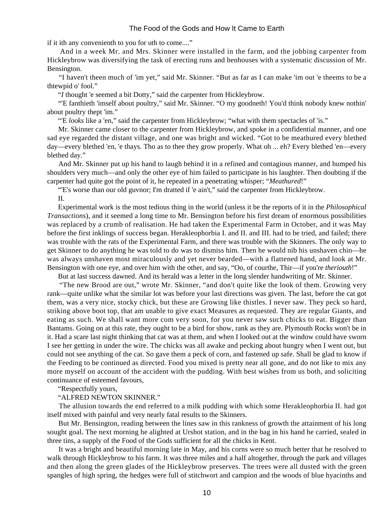if it ith any convenienth to you for uth to come...."

 And in a week Mr. and Mrs. Skinner were installed in the farm, and the jobbing carpenter from Hickleybrow was diversifying the task of erecting runs and henhouses with a systematic discussion of Mr. Bensington.

 "I haven't theen much of 'im yet," said Mr. Skinner. "But as far as I can make 'im out 'e theems to be a thtewpid o' fool."

"*I* thought 'e seemed a bit Dotty," said the carpenter from Hickleybrow.

 "'E fanthieth 'imself about poultry," said Mr. Skinner. "O my goodneth! You'd think nobody knew nothin' about poultry thept 'im."

"'E *looks* like a 'en," said the carpenter from Hickleybrow; "what with them spectacles of 'is."

 Mr. Skinner came closer to the carpenter from Hickleybrow, and spoke in a confidential manner, and one sad eye regarded the distant village, and one was bright and wicked. "Got to be meathured every blethed day—every blethed 'en, 'e thays. Tho as to thee they grow properly. What oh ... eh? Every blethed 'en—every blethed day."

 And Mr. Skinner put up his hand to laugh behind it in a refined and contagious manner, and humped his shoulders very much—and only the other eye of him failed to participate in his laughter. Then doubting if the carpenter had quite got the point of it, he repeated in a penetrating whisper; "*Meathured*!"

"E's worse than our old guvnor; I'm dratted if 'e ain't," said the carpenter from Hickleybrow.

II.

 Experimental work is the most tedious thing in the world (unless it be the reports of it in the *Philosophical Transactions*), and it seemed a long time to Mr. Bensington before his first dream of enormous possibilities was replaced by a crumb of realisation. He had taken the Experimental Farm in October, and it was May before the first inklings of success began. Herakleophorbia I. and II. and III. had to be tried, and failed; there was trouble with the rats of the Experimental Farm, and there was trouble with the Skinners. The only way to get Skinner to do anything he was told to do was to dismiss him. Then he would nib his unshaven chin—he was always unshaven most miraculously and yet never bearded—with a flattened hand, and look at Mr. Bensington with one eye, and over him with the other, and say, "Oo, of courthe, Thir—if you're *theriouth*!"

But at last success dawned. And its herald was a letter in the long slender handwriting of Mr. Skinner.

 "The new Brood are out," wrote Mr. Skinner, "and don't quite like the look of them. Growing very rank—quite unlike what the similar lot was before your last directions was given. The last, before the cat got them, was a very nice, stocky chick, but these are Growing like thistles. I never saw. They peck so hard, striking above boot top, that am unable to give exact Measures as requested. They are regular Giants, and eating as such. We shall want more com very soon, for you never saw such chicks to eat. Bigger than Bantams. Going on at this rate, they ought to be a bird for show, rank as they are. Plymouth Rocks won't be in it. Had a scare last night thinking that cat was at them, and when I looked out at the window could have sworn I see her getting in under the wire. The chicks was all awake and pecking about hungry when I went out, but could not see anything of the cat. So gave them a peck of corn, and fastened up safe. Shall be glad to know if the Feeding to be continued as directed. Food you mixed is pretty near all gone, and do not like to mix any more myself on account of the accident with the pudding. With best wishes from us both, and soliciting continuance of esteemed favours,

"Respectfully yours,

#### "ALFRED NEWTON SKINNER."

 The allusion towards the end referred to a milk pudding with which some Herakleophorbia II. had got itself mixed with painful and very nearly fatal results to the Skinners.

 But Mr. Bensington, reading between the lines saw in this rankness of growth the attainment of his long sought goal. The next morning he alighted at Urshot station, and in the bag in his hand he carried, sealed in three tins, a supply of the Food of the Gods sufficient for all the chicks in Kent.

 It was a bright and beautiful morning late in May, and his corns were so much better that he resolved to walk through Hickleybrow to his farm. It was three miles and a half altogether, through the park and villages and then along the green glades of the Hickleybrow preserves. The trees were all dusted with the green spangles of high spring, the hedges were full of stitchwort and campion and the woods of blue hyacinths and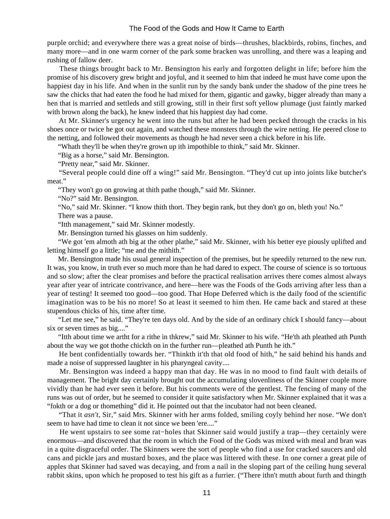purple orchid; and everywhere there was a great noise of birds—thrushes, blackbirds, robins, finches, and many more—and in one warm corner of the park some bracken was unrolling, and there was a leaping and rushing of fallow deer.

 These things brought back to Mr. Bensington his early and forgotten delight in life; before him the promise of his discovery grew bright and joyful, and it seemed to him that indeed he must have come upon the happiest day in his life. And when in the sunlit run by the sandy bank under the shadow of the pine trees he saw the chicks that had eaten the food he had mixed for them, gigantic and gawky, bigger already than many a hen that is married and settleds and still growing, still in their first soft yellow plumage (just faintly marked with brown along the back), he knew indeed that his happiest day had come.

 At Mr. Skinner's urgency he went into the runs but after he had been pecked through the cracks in his shoes once or twice he got out again, and watched these monsters through the wire netting. He peered close to the netting, and followed their movements as though he had never seen a chick before in his life.

"Whath they'll be when they're grown up ith impothible to think," said Mr. Skinner.

"Big as a horse," said Mr. Bensington.

"Pretty near," said Mr. Skinner.

 "Several people could dine off a wing!" said Mr. Bensington. "They'd cut up into joints like butcher's meat."

"They won't go on growing at thith pathe though," said Mr. Skinner.

"No?" said Mr. Bensington.

"No," said Mr. Skinner. "I know thith thort. They begin rank, but they don't go on, bleth you! No."

There was a pause.

"Itth management," said Mr. Skinner modestly.

Mr. Bensington turned his glasses on him suddenly.

 "We got 'em almoth ath big at the other plathe," said Mr. Skinner, with his better eye piously uplifted and letting himself go a little; "me and the mithith."

 Mr. Bensington made his usual general inspection of the premises, but he speedily returned to the new run. It was, you know, in truth ever so much more than he had dared to expect. The course of science is so tortuous and so slow; after the clear promises and before the practical realisation arrives there comes almost always year after year of intricate contrivance, and here—here was the Foods of the Gods arriving after less than a year of testing! It seemed too good—too good. That Hope Deferred which is the daily food of the scientific imagination was to be his no more! So at least it seemed to him then. He came back and stared at these stupendous chicks of his, time after time.

 "Let me see," he said. "They're ten days old. And by the side of an ordinary chick I should fancy—about six or seven times as big...."

 "Itth about time we artht for a rithe in thkrew," said Mr. Skinner to his wife. "He'th ath pleathed ath Punth about the way we got thothe chickth on in the further run—pleathed ath Punth he ith."

 He bent confidentially towards her. "Thinkth it'th that old food of hith," he said behind his hands and made a noise of suppressed laughter in his pharyngeal cavity....

 Mr. Bensington was indeed a happy man that day. He was in no mood to find fault with details of management. The bright day certainly brought out the accumulating slovenliness of the Skinner couple more vividly than he had ever seen it before. But his comments were of the gentlest. The fencing of many of the runs was out of order, but he seemed to consider it quite satisfactory when Mr. Skinner explained that it was a "fokth or a dog or thomething" did it. He pointed out that the incubator had not been cleaned.

 "That it *asn't*, Sir," said Mrs. Skinner with her arms folded, smiling coyly behind her nose. "We don't seem to have had time to clean it not since we been 'ere...."

He went upstairs to see some rat–holes that Skinner said would justify a trap—they certainly were enormous—and discovered that the room in which the Food of the Gods was mixed with meal and bran was in a quite disgraceful order. The Skinners were the sort of people who find a use for cracked saucers and old cans and pickle jars and mustard boxes, and the place was littered with these. In one corner a great pile of apples that Skinner had saved was decaying, and from a nail in the sloping part of the ceiling hung several rabbit skins, upon which he proposed to test his gift as a furrier. ("There ithn't mutth about furth and thingth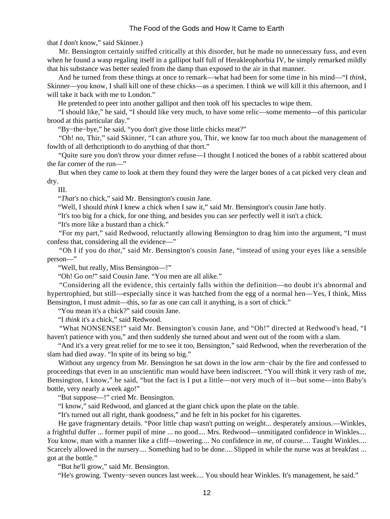that *I* don't know," said Skinner.)

 Mr. Bensington certainly sniffed critically at this disorder, but he made no unnecessary fuss, and even when he found a wasp regaling itself in a gallipot half full of Herakleophorbia IV, he simply remarked mildly that his substance was better sealed from the damp than exposed to the air in that manner.

 And he turned from these things at once to remark—what had been for some time in his mind—"I *think*, Skinner—you know, I shall kill one of these chicks—as a specimen. I think we will kill it this afternoon, and I will take it back with me to London."

He pretended to peer into another gallipot and then took off his spectacles to wipe them.

 "I should like," he said, "I should like very much, to have some relic—some memento—of this particular brood at this particular day."

"By−the−bye," he said, "you don't give those little chicks meat?"

 "Oh! *no*, Thir," said Skinner, "I can athure you, Thir, we know far too much about the management of fowlth of all dethcriptionth to do anything of that thort."

 "Quite sure you don't throw your dinner refuse—I thought I noticed the bones of a rabbit scattered about the far corner of the run—"

 But when they came to look at them they found they were the larger bones of a cat picked very clean and dry.

III.

"*That's* no chick," said Mr. Bensington's cousin Jane.

"Well, I should *think* I knew a chick when I saw it," said Mr. Bensington's cousin Jane hotly.

"It's too big for a chick, for one thing, and besides you can *see* perfectly well it isn't a chick.

"It's more like a bustard than a chick."

 "For my part," said Redwood, reluctantly allowing Bensington to drag him into the argument, "I must confess that, considering all the evidence—"

 "Oh I if you do *that*," said Mr. Bensington's cousin Jane, "instead of using your eyes like a sensible person—"

"Well, but really, Miss Bensington—!"

"Oh! Go *on!*" said Cousin Jane. "You men are all alike."

 "Considering all the evidence, this certainly falls within the definition—no doubt it's abnormal and hypertrophied, but still—especially since it was hatched from the egg of a normal hen—Yes, I think, Miss Bensington, I must admit—this, so far as one can call it anything, is a sort of chick."

"You mean it's a chick?" said cousin Jane.

"I *think* it's a chick," said Redwood.

 "What NONSENSE!" said Mr. Bensington's cousin Jane, and "Oh!" directed at Redwood's head, "I haven't patience with you," and then suddenly she turned about and went out of the room with a slam.

 "And it's a very great relief for me to see it too, Bensington," said Redwood, when the reverberation of the slam had died away. "In spite of its being so big."

 Without any urgency from Mr. Bensington he sat down in the low arm−chair by the fire and confessed to proceedings that even in an unscientific man would have been indiscreet. "You will think it very rash of me, Bensington, I know," he said, "but the fact is I put a little—not very much of it—but some—into Baby's bottle, very nearly a week ago!"

"But suppose—!" cried Mr. Bensington.

"I know," said Redwood, and glanced at the giant chick upon the plate on the table.

"It's turned out all right, thank goodness," and he felt in his pocket for his cigarettes.

 He gave fragmentary details. "Poor little chap wasn't putting on weight... desperately anxious.—Winkles, a frightful duffer ... former pupil of mine ... no good.... Mrs. Redwood—unmitigated confidence in Winkles.... *You* know, man with a manner like a cliff—towering.... No confidence in me, of course.... Taught Winkles.... Scarcely allowed in the nursery.... Something had to be done.... Slipped in while the nurse was at breakfast ... got at the bottle."

"But he'll grow," said Mr. Bensington.

"He's growing. Twenty−seven ounces last week.... You should hear Winkles. It's management, he said."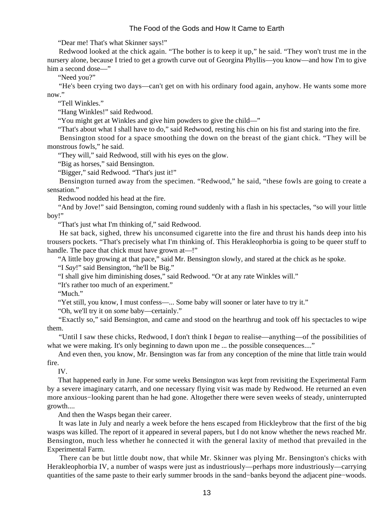"Dear me! That's what Skinner says!"

 Redwood looked at the chick again. "The bother is to keep it up," he said. "They won't trust me in the nursery alone, because I tried to get a growth curve out of Georgina Phyllis—you know—and how I'm to give him a second dose—"

"Need you?"

 "He's been crying two days—can't get on with his ordinary food again, anyhow. He wants some more now."

"Tell Winkles."

"Hang Winkles!" said Redwood.

"You might get at Winkles and give him powders to give the child—"

"That's about what I shall have to do," said Redwood, resting his chin on his fist and staring into the fire.

 Bensington stood for a space smoothing the down on the breast of the giant chick. "They will be monstrous fowls," he said.

"They will," said Redwood, still with his eyes on the glow.

"Big as horses," said Bensington.

"Bigger," said Redwood. "That's just it!"

 Bensington turned away from the specimen. "Redwood," he said, "these fowls are going to create a sensation."

Redwood nodded his head at the fire.

 "And by Jove!" said Bensington, coming round suddenly with a flash in his spectacles, "so will your little boy!"

"That's just what I'm thinking of," said Redwood.

 He sat back, sighed, threw his unconsumed cigarette into the fire and thrust his hands deep into his trousers pockets. "That's precisely what I'm thinking of. This Herakleophorbia is going to be queer stuff to handle. The pace that chick must have grown at—!"

"A little boy growing at that pace," said Mr. Bensington slowly, and stared at the chick as he spoke.

"I *Say*!" said Bensington, "he'll be Big."

"I shall give him diminishing doses," said Redwood. "Or at any rate Winkles will."

"It's rather too much of an experiment."

"Much."

"Yet still, you know, I must confess—... Some baby will sooner or later have to try it."

"Oh, we'll try it on *some* baby—certainly."

 "Exactly so," said Bensington, and came and stood on the hearthrug and took off his spectacles to wipe them.

 "Until I saw these chicks, Redwood, I don't think I *began* to realise—anything—of the possibilities of what we were making. It's only beginning to dawn upon me ... the possible consequences...."

 And even then, you know, Mr. Bensington was far from any conception of the mine that little train would fire.

IV.

 That happened early in June. For some weeks Bensington was kept from revisiting the Experimental Farm by a severe imaginary catarrh, and one necessary flying visit was made by Redwood. He returned an even more anxious−looking parent than he had gone. Altogether there were seven weeks of steady, uninterrupted growth....

And then the Wasps began their career.

 It was late in July and nearly a week before the hens escaped from Hickleybrow that the first of the big wasps was killed. The report of it appeared in several papers, but I do not know whether the news reached Mr. Bensington, much less whether he connected it with the general laxity of method that prevailed in the Experimental Farm.

 There can be but little doubt now, that while Mr. Skinner was plying Mr. Bensington's chicks with Herakleophorbia IV, a number of wasps were just as industriously—perhaps more industriously—carrying quantities of the same paste to their early summer broods in the sand–banks beyond the adjacent pine–woods.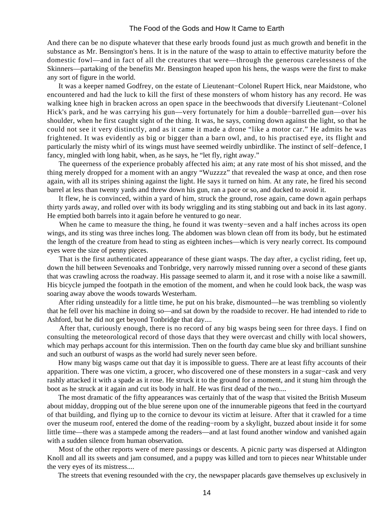And there can be no dispute whatever that these early broods found just as much growth and benefit in the substance as Mr. Bensington's hens. It is in the nature of the wasp to attain to effective maturity before the domestic fowl—and in fact of all the creatures that were—through the generous carelessness of the Skinners—partaking of the benefits Mr. Bensington heaped upon his hens, the wasps were the first to make any sort of figure in the world.

 It was a keeper named Godfrey, on the estate of Lieutenant−Colonel Rupert Hick, near Maidstone, who encountered and had the luck to kill the first of these monsters of whom history has any record. He was walking knee high in bracken across an open space in the beechwoods that diversify Lieutenant−Colonel Hick's park, and he was carrying his gun—very fortunately for him a double−barrelled gun—over his shoulder, when he first caught sight of the thing. It was, he says, coming down against the light, so that he could not see it very distinctly, and as it came it made a drone "like a motor car." He admits he was frightened. It was evidently as big or bigger than a barn owl, and, to his practised eye, its flight and particularly the misty whirl of its wings must have seemed weirdly unbirdlike. The instinct of self−defence, I fancy, mingled with long habit, when, as he says, he "let fly, right away."

 The queerness of the experience probably affected his aim; at any rate most of his shot missed, and the thing merely dropped for a moment with an angry "Wuzzzz" that revealed the wasp at once, and then rose again, with all its stripes shining against the light. He says it turned on him. At any rate, he fired his second barrel at less than twenty yards and threw down his gun, ran a pace or so, and ducked to avoid it.

 It flew, he is convinced, within a yard of him, struck the ground, rose again, came down again perhaps thirty yards away, and rolled over with its body wriggling and its sting stabbing out and back in its last agony. He emptied both barrels into it again before he ventured to go near.

 When he came to measure the thing, he found it was twenty−seven and a half inches across its open wings, and its sting was three inches long. The abdomen was blown clean off from its body, but he estimated the length of the creature from head to sting as eighteen inches—which is very nearly correct. Its compound eyes were the size of penny pieces.

 That is the first authenticated appearance of these giant wasps. The day after, a cyclist riding, feet up, down the hill between Sevenoaks and Tonbridge, very narrowly missed running over a second of these giants that was crawling across the roadway. His passage seemed to alarm it, and it rose with a noise like a sawmill. His bicycle jumped the footpath in the emotion of the moment, and when he could look back, the wasp was soaring away above the woods towards Westerham.

 After riding unsteadily for a little time, he put on his brake, dismounted—he was trembling so violently that he fell over his machine in doing so—and sat down by the roadside to recover. He had intended to ride to Ashford, but he did not get beyond Tonbridge that day....

 After that, curiously enough, there is no record of any big wasps being seen for three days. I find on consulting the meteorological record of those days that they were overcast and chilly with local showers, which may perhaps account for this intermission. Then on the fourth day came blue sky and brilliant sunshine and such an outburst of wasps as the world had surely never seen before.

 How many big wasps came out that day it is impossible to guess. There are at least fifty accounts of their apparition. There was one victim, a grocer, who discovered one of these monsters in a sugar−cask and very rashly attacked it with a spade as it rose. He struck it to the ground for a moment, and it stung him through the boot as he struck at it again and cut its body in half. He was first dead of the two....

 The most dramatic of the fifty appearances was certainly that of the wasp that visited the British Museum about midday, dropping out of the blue serene upon one of the innumerable pigeons that feed in the courtyard of that building, and flying up to the cornice to devour its victim at leisure. After that it crawled for a time over the museum roof, entered the dome of the reading−room by a skylight, buzzed about inside it for some little time—there was a stampede among the readers—and at last found another window and vanished again with a sudden silence from human observation.

 Most of the other reports were of mere passings or descents. A picnic party was dispersed at Aldington Knoll and all its sweets and jam consumed, and a puppy was killed and torn to pieces near Whitstable under the very eyes of its mistress....

The streets that evening resounded with the cry, the newspaper placards gave themselves up exclusively in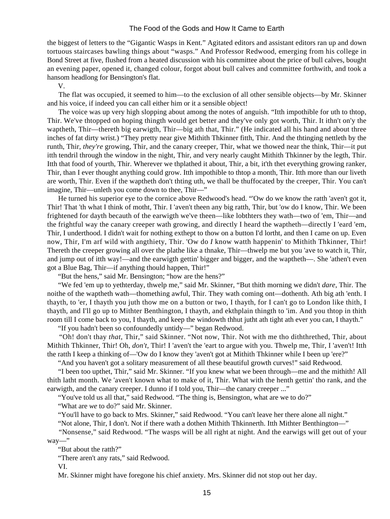the biggest of letters to the "Gigantic Wasps in Kent." Agitated editors and assistant editors ran up and down tortuous staircases bawling things about "wasps." And Professor Redwood, emerging from his college in Bond Street at five, flushed from a heated discussion with his committee about the price of bull calves, bought an evening paper, opened it, changed colour, forgot about bull calves and committee forthwith, and took a hansom headlong for Bensington's flat.

V.

 The flat was occupied, it seemed to him—to the exclusion of all other sensible objects—by Mr. Skinner and his voice, if indeed you can call either him or it a sensible object!

 The voice was up very high slopping about among the notes of anguish. "Itth impothible for uth to thtop, Thir. We've thtopped on hoping thingth would get better and they've only got worth, Thir. It ithn't on'y the waptheth, Thir—thereth big earwigth, Thir—big ath that, Thir." (He indicated all his hand and about three inches of fat dirty wrist.) "They pretty near give Mithith Thkinner fitth, Thir. And the thtinging nettleth by the runth, Thir, *they're* growing, Thir, and the canary creeper, Thir, what we thowed near the think, Thir—it put itth tendril through the window in the night, Thir, and very nearly caught Mithith Thkinner by the legth, Thir. Itth that food of yourth, Thir. Wherever we thplathed it about, Thir, a bit, it'th thet everything growing ranker, Thir, than I ever thought anything could grow. Itth impothible to thtop a month, Thir. Itth more than our liveth are worth, Thir. Even if the waptheth don't thting uth, we thall be thuffocated by the creeper, Thir. You can't imagine, Thir—unleth you come down to thee, Thir—"

 He turned his superior eye to the cornice above Redwood's head. "'Ow do we know the ratth 'aven't got it, Thir! That 'th what I think of motht, Thir. I 'aven't theen any big ratth, Thir, but 'ow do I know, Thir. We been frightened for dayth becauth of the earwigth we've theen—like lobthters they wath—two of 'em, Thir—and the frightful way the canary creeper wath growing, and directly I heard the waptheth—directly I 'eard 'em, Thir, I underthood. I didn't wait for nothing exthept to thow on a button I'd lortht, and then I came on up. Even now, Thir, I'm arf wild with angthiety, Thir. 'Ow do *I* know watth happenin' to Mithith Thkinner, Thir! Thereth the creeper growing all over the plathe like a thnake, Thir—thwelp me but you 'ave to watch it, Thir, and jump out of itth way!—and the earwigth gettin' bigger and bigger, and the waptheth—. She 'athen't even got a Blue Bag, Thir—if anything thould happen, Thir!"

"But the hens," said Mr. Bensington; "how are the hens?"

 "We fed 'em up to yethterday, thwelp me," said Mr. Skinner, "But thith morning we didn't *dare*, Thir. The noithe of the waptheth wath—thomething awful, Thir. They wath coming ont—dothenth. Ath big ath 'enth. I thayth, to 'er, I thayth you juth thow me on a button or two, I thayth, for I can't go to London like thith, I thayth, and I'll go up to Mithter Benthington, I thayth, and ekthplain thingth to 'im. And you thtop in thith room till I come back to you, I thayth, and keep the windowth thhut jutht ath tight ath ever you can, I thayth."

"If you hadn't been so confoundedly untidy—" began Redwood.

 "Oh! don't thay *that*, Thir," said Skinner. "Not now, Thir. Not with me tho diththrethed, Thir, about Mithith Thkinner, Thir! Oh, *don't,* Thir! I 'aven't the 'eart to argue with you. Thwelp me, Thir, I 'aven't! Itth the ratth I keep a thinking of—'Ow do I know they 'aven't got at Mithith Thkinner while I been up 'ere?"

"And you haven't got a solitary measurement of all these beautiful growth curves!" said Redwood.

 "I been too upthet, Thir," said Mr. Skinner. "If you knew what we been through—me and the mithith! All thith latht month. We 'aven't known what to make of it, Thir. What with the henth gettin' tho rank, and the earwigth, and the canary creeper. I dunno if I told you, Thir—the canary creeper ..."

"You've told us all that," said Redwood. "The thing is, Bensington, what are we to do?"

"What are *we* to do?" said Mr. Skinner.

"You'll have to go back to Mrs. Skinner," said Redwood. "You can't leave her there alone all night."

"Not alone, Thir, I don't. Not if there wath a dothen Mithith Thkinnerth. Itth Mithter Benthington—"

 "Nonsense," said Redwood. "The wasps will be all right at night. And the earwigs will get out of your way—"

"But about the ratth?"

"There aren't any rats," said Redwood.

VI.

Mr. Skinner might have foregone his chief anxiety. Mrs. Skinner did not stop out her day.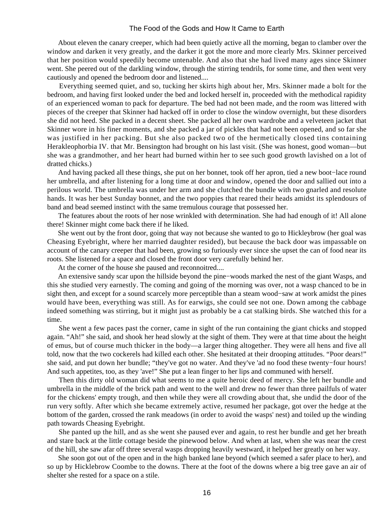About eleven the canary creeper, which had been quietly active all the morning, began to clamber over the window and darken it very greatly, and the darker it got the more and more clearly Mrs. Skinner perceived that her position would speedily become untenable. And also that she had lived many ages since Skinner went. She peered out of the darkling window, through the stirring tendrils, for some time, and then went very cautiously and opened the bedroom door and listened....

 Everything seemed quiet, and so, tucking her skirts high about her, Mrs. Skinner made a bolt for the bedroom, and having first looked under the bed and locked herself in, proceeded with the methodical rapidity of an experienced woman to pack for departure. The bed had not been made, and the room was littered with pieces of the creeper that Skinner had hacked off in order to close the window overnight, but these disorders she did not heed. She packed in a decent sheet. She packed all her own wardrobe and a velveteen jacket that Skinner wore in his finer moments, and she packed a jar of pickles that had not been opened, and so far she was justified in her packing. But she also packed two of the hermetically closed tins containing Herakleophorbia IV. that Mr. Bensington had brought on his last visit. (She was honest, good woman—but she was a grandmother, and her heart had burned within her to see such good growth lavished on a lot of dratted chicks.)

 And having packed all these things, she put on her bonnet, took off her apron, tied a new boot−lace round her umbrella, and after listening for a long time at door and window, opened the door and sallied out into a perilous world. The umbrella was under her arm and she clutched the bundle with two gnarled and resolute hands. It was her best Sunday bonnet, and the two poppies that reared their heads amidst its splendours of band and bead seemed instinct with the same tremulous courage that possessed her.

 The features about the roots of her nose wrinkled with determination. She had had enough of it! All alone there! Skinner might come back there if he liked.

 She went out by the front door, going that way not because she wanted to go to Hickleybrow (her goal was Cheasing Eyebright, where her married daughter resided), but because the back door was impassable on account of the canary creeper that had been, growing so furiously ever since she upset the can of food near its roots. She listened for a space and closed the front door very carefully behind her.

At the corner of the house she paused and reconnoitred....

 An extensive sandy scar upon the hillside beyond the pine−woods marked the nest of the giant Wasps, and this she studied very earnestly. The coming and going of the morning was over, not a wasp chanced to be in sight then, and except for a sound scarcely more perceptible than a steam wood−saw at work amidst the pines would have been, everything was still. As for earwigs, she could see not one. Down among the cabbage indeed something was stirring, but it might just as probably be a cat stalking birds. She watched this for a time.

 She went a few paces past the corner, came in sight of the run containing the giant chicks and stopped again. "Ah!" she said, and shook her head slowly at the sight of them. They were at that time about the height of emus, but of course much thicker in the body—a larger thing altogether. They were all hens and five all told, now that the two cockerels had killed each other. She hesitated at their drooping attitudes. "Poor dears!" she said, and put down her bundle; "they've got no water. And they've 'ad no food these twenty−four hours! And such appetites, too, as they 'ave!" She put a lean finger to her lips and communed with herself.

 Then this dirty old woman did what seems to me a quite heroic deed of mercy. She left her bundle and umbrella in the middle of the brick path and went to the well and drew no fewer than three pailfuls of water for the chickens' empty trough, and then while they were all crowding about that, she undid the door of the run very softly. After which she became extremely active, resumed her package, got over the hedge at the bottom of the garden, crossed the rank meadows (in order to avoid the wasps' nest) and toiled up the winding path towards Cheasing Eyebright.

 She panted up the hill, and as she went she paused ever and again, to rest her bundle and get her breath and stare back at the little cottage beside the pinewood below. And when at last, when she was near the crest of the hill, she saw afar off three several wasps dropping heavily westward, it helped her greatly on her way.

 She soon got out of the open and in the high banked lane beyond (which seemed a safer place to her), and so up by Hicklebrow Coombe to the downs. There at the foot of the downs where a big tree gave an air of shelter she rested for a space on a stile.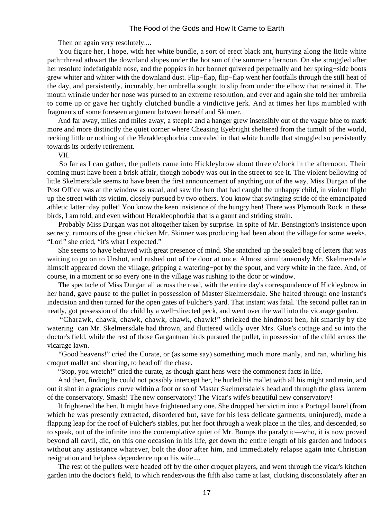Then on again very resolutely....

 You figure her, I hope, with her white bundle, a sort of erect black ant, hurrying along the little white path−thread athwart the downland slopes under the hot sun of the summer afternoon. On she struggled after her resolute indefatigable nose, and the poppies in her bonnet quivered perpetually and her spring−side boots grew whiter and whiter with the downland dust. Flip−flap, flip−flap went her footfalls through the still heat of the day, and persistently, incurably, her umbrella sought to slip from under the elbow that retained it. The mouth wrinkle under her nose was pursed to an extreme resolution, and ever and again she told her umbrella to come up or gave her tightly clutched bundle a vindictive jerk. And at times her lips mumbled with fragments of some foreseen argument between herself and Skinner.

 And far away, miles and miles away, a steeple and a hanger grew insensibly out of the vague blue to mark more and more distinctly the quiet corner where Cheasing Eyebright sheltered from the tumult of the world, recking little or nothing of the Herakleophorbia concealed in that white bundle that struggled so persistently towards its orderly retirement.

VII.

 So far as I can gather, the pullets came into Hickleybrow about three o'clock in the afternoon. Their coming must have been a brisk affair, though nobody was out in the street to see it. The violent bellowing of little Skelmersdale seems to have been the first announcement of anything out of the way. Miss Durgan of the Post Office was at the window as usual, and saw the hen that had caught the unhappy child, in violent flight up the street with its victim, closely pursued by two others. You know that swinging stride of the emancipated athletic latter−day pullet! You know the keen insistence of the hungry hen! There was Plymouth Rock in these birds, I am told, and even without Herakleophorbia that is a gaunt and striding strain.

 Probably Miss Durgan was not altogether taken by surprise. In spite of Mr. Bensington's insistence upon secrecy, rumours of the great chicken Mr. Skinner was producing had been about the village for some weeks. "Lor!" she cried, "it's what I expected."

 She seems to have behaved with great presence of mind. She snatched up the sealed bag of letters that was waiting to go on to Urshot, and rushed out of the door at once. Almost simultaneously Mr. Skelmersdale himself appeared down the village, gripping a watering−pot by the spout, and very white in the face. And, of course, in a moment or so every one in the village was rushing to the door or window.

 The spectacle of Miss Durgan all across the road, with the entire day's correspondence of Hickleybrow in her hand, gave pause to the pullet in possession of Master Skelmersdale. She halted through one instant's indecision and then turned for the open gates of Fulcher's yard. That instant was fatal. The second pullet ran in neatly, got possession of the child by a well−directed peck, and went over the wall into the vicarage garden.

 "Charawk, chawk, chawk, chawk, chawk, chawk!" shrieked the hindmost hen, hit smartly by the watering−can Mr. Skelmersdale had thrown, and fluttered wildly over Mrs. Glue's cottage and so into the doctor's field, while the rest of those Gargantuan birds pursued the pullet, in possession of the child across the vicarage lawn.

 "Good heavens!" cried the Curate, or (as some say) something much more manly, and ran, whirling his croquet mallet and shouting, to head off the chase.

"Stop, you wretch!" cried the curate, as though giant hens were the commonest facts in life.

 And then, finding he could not possibly intercept her, he hurled his mallet with all his might and main, and out it shot in a gracious curve within a foot or so of Master Skelmersdale's head and through the glass lantern of the conservatory. Smash! The new conservatory! The Vicar's wife's beautiful new conservatory!

 It frightened the hen. It might have frightened any one. She dropped her victim into a Portugal laurel (from which he was presently extracted, disordered but, save for his less delicate garments, uninjured), made a flapping leap for the roof of Fulcher's stables, put her foot through a weak place in the tiles, and descended, so to speak, out of the infinite into the contemplative quiet of Mr. Bumps the paralytic—who, it is now proved beyond all cavil, did, on this one occasion in his life, get down the entire length of his garden and indoors without any assistance whatever, bolt the door after him, and immediately relapse again into Christian resignation and helpless dependence upon his wife....

 The rest of the pullets were headed off by the other croquet players, and went through the vicar's kitchen garden into the doctor's field, to which rendezvous the fifth also came at last, clucking disconsolately after an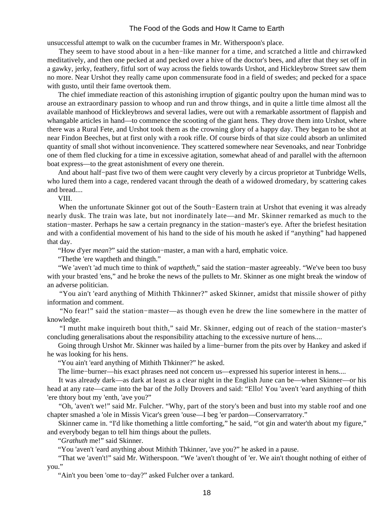unsuccessful attempt to walk on the cucumber frames in Mr. Witherspoon's place.

 They seem to have stood about in a hen−like manner for a time, and scratched a little and chirrawked meditatively, and then one pecked at and pecked over a hive of the doctor's bees, and after that they set off in a gawky, jerky, feathery, fitful sort of way across the fields towards Urshot, and Hickleybrow Street saw them no more. Near Urshot they really came upon commensurate food in a field of swedes; and pecked for a space with gusto, until their fame overtook them.

 The chief immediate reaction of this astonishing irruption of gigantic poultry upon the human mind was to arouse an extraordinary passion to whoop and run and throw things, and in quite a little time almost all the available manhood of Hickleybrows and several ladies, were out with a remarkable assortment of flappish and whangable articles in hand—to commence the scooting of the giant hens. They drove them into Urshot, where there was a Rural Fete, and Urshot took them as the crowning glory of a happy day. They began to be shot at near Findon Beeches, but at first only with a rook rifle. Of course birds of that size could absorb an unlimited quantity of small shot without inconvenience. They scattered somewhere near Sevenoaks, and near Tonbridge one of them fled clucking for a time in excessive agitation, somewhat ahead of and parallel with the afternoon boat express—to the great astonishment of every one therein.

 And about half−past five two of them were caught very cleverly by a circus proprietor at Tunbridge Wells, who lured them into a cage, rendered vacant through the death of a widowed dromedary, by scattering cakes and bread....

VIII.

 When the unfortunate Skinner got out of the South−Eastern train at Urshot that evening it was already nearly dusk. The train was late, but not inordinately late—and Mr. Skinner remarked as much to the station−master. Perhaps he saw a certain pregnancy in the station−master's eye. After the briefest hesitation and with a confidential movement of his hand to the side of his mouth he asked if "anything" had happened that day.

"How d'yer *mean*?" said the station−master, a man with a hard, emphatic voice.

"Thethe 'ere waptheth and thingth."

 "We 'aven't 'ad much time to think of *waptheth*," said the station−master agreeably. "We've been too busy with your brasted 'ens," and he broke the news of the pullets to Mr. Skinner as one might break the window of an adverse politician.

 "You ain't 'eard anything of Mithith Thkinner?" asked Skinner, amidst that missile shower of pithy information and comment.

 "No fear!" said the station−master—as though even he drew the line somewhere in the matter of knowledge.

 "I mutht make inquireth bout thith," said Mr. Skinner, edging out of reach of the station−master's concluding generalisations about the responsibility attaching to the excessive nurture of hens....

 Going through Urshot Mr. Skinner was hailed by a lime−burner from the pits over by Hankey and asked if he was looking for his hens.

"You ain't 'eard anything of Mithith Thkinner?" he asked.

The lime−burner—his exact phrases need not concern us—expressed his superior interest in hens....

 It was already dark—as dark at least as a clear night in the English June can be—when Skinner—or his head at any rate—came into the bar of the Jolly Drovers and said: "Ello! You 'aven't 'eard anything of thith 'ere thtory bout my 'enth, 'ave you?"

 "Oh, 'aven't we!" said Mr. Fulcher. "Why, part of the story's been and bust into my stable roof and one chapter smashed a 'ole in Missis Vicar's green 'ouse—I beg 'er pardon—Conservarratory."

 Skinner came in. "I'd like thomething a little comforting," he said, "'ot gin and water'th about my figure," and everybody began to tell him things about the pullets.

"*Grathuth* me!" said Skinner.

"You 'aven't 'eard anything about Mithith Thkinner, 'ave you?" he asked in a pause.

 "That we 'aven't!" said Mr. Witherspoon. "We 'aven't thought of 'er. We ain't thought nothing of either of you."

"Ain't you been 'ome to−day?" asked Fulcher over a tankard.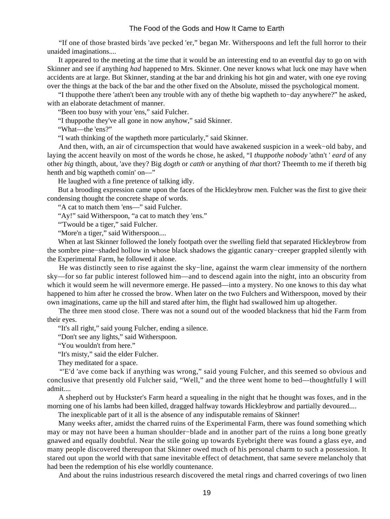"If one of those brasted birds 'ave pecked 'er," began Mr. Witherspoons and left the full horror to their unaided imaginations....

 It appeared to the meeting at the time that it would be an interesting end to an eventful day to go on with Skinner and see if anything *had* happened to Mrs. Skinner. One never knows what luck one may have when accidents are at large. But Skinner, standing at the bar and drinking his hot gin and water, with one eye roving over the things at the back of the bar and the other fixed on the Absolute, missed the psychological moment.

 "I thuppothe there 'athen't been any trouble with any of thethe big waptheth to−day anywhere?" he asked, with an elaborate detachment of manner.

"Been too busy with your 'ens," said Fulcher.

"I thuppothe they've all gone in now anyhow," said Skinner.

"What—the 'ens?"

"I wath thinking of the waptheth more particularly," said Skinner.

 And then, with, an air of circumspection that would have awakened suspicion in a week−old baby, and laying the accent heavily on most of the words he chose, he asked, "I *thuppothe nobody* 'athn't ' *eard* of any other *big* thingth, about, 'ave they? Big *dogth* or *catth* or anything of *that* thort? Theemth to me if thereth big henth and big waptheth comin' on—"

He laughed with a fine pretence of talking idly.

 But a brooding expression came upon the faces of the Hickleybrow men. Fulcher was the first to give their condensing thought the concrete shape of words.

"A cat to match them 'ens—" said Fulcher.

"Ay!" said Witherspoon, "a cat to match they 'ens."

"Twould be a tiger," said Fulcher.

"More'n a tiger," said Witherspoon....

 When at last Skinner followed the lonely footpath over the swelling field that separated Hickleybrow from the sombre pine−shaded hollow in whose black shadows the gigantic canary−creeper grappled silently with the Experimental Farm, he followed it alone.

 He was distinctly seen to rise against the sky−line, against the warm clear immensity of the northern sky—for so far public interest followed him—and to descend again into the night, into an obscurity from which it would seem he will nevermore emerge. He passed—into a mystery. No one knows to this day what happened to him after he crossed the brow. When later on the two Fulchers and Witherspoon, moved by their own imaginations, came up the hill and stared after him, the flight had swallowed him up altogether.

 The three men stood close. There was not a sound out of the wooded blackness that hid the Farm from their eyes.

"It's all right," said young Fulcher, ending a silence.

"Don't see any lights," said Witherspoon.

"You wouldn't from here."

"It's misty," said the elder Fulcher.

They meditated for a space.

 "'E'd 'ave come back if anything was wrong," said young Fulcher, and this seemed so obvious and conclusive that presently old Fulcher said, "Well," and the three went home to bed—thoughtfully I will admit....

 A shepherd out by Huckster's Farm heard a squealing in the night that he thought was foxes, and in the morning one of his lambs had been killed, dragged halfway towards Hickleybrow and partially devoured....

The inexplicable part of it all is the absence of any indisputable remains of Skinner!

 Many weeks after, amidst the charred ruins of the Experimental Farm, there was found something which may or may not have been a human shoulder−blade and in another part of the ruins a long bone greatly gnawed and equally doubtful. Near the stile going up towards Eyebright there was found a glass eye, and many people discovered thereupon that Skinner owed much of his personal charm to such a possession. It stared out upon the world with that same inevitable effect of detachment, that same severe melancholy that had been the redemption of his else worldly countenance.

And about the ruins industrious research discovered the metal rings and charred coverings of two linen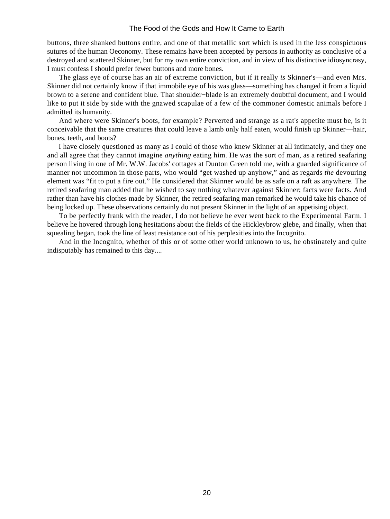buttons, three shanked buttons entire, and one of that metallic sort which is used in the less conspicuous sutures of the human Oeconomy. These remains have been accepted by persons in authority as conclusive of a destroyed and scattered Skinner, but for my own entire conviction, and in view of his distinctive idiosyncrasy, I must confess I should prefer fewer buttons and more bones.

 The glass eye of course has an air of extreme conviction, but if it really *is* Skinner's—and even Mrs. Skinner did not certainly know if that immobile eye of his was glass—something has changed it from a liquid brown to a serene and confident blue. That shoulder−blade is an extremely doubtful document, and I would like to put it side by side with the gnawed scapulae of a few of the commoner domestic animals before I admitted its humanity.

 And where were Skinner's boots, for example? Perverted and strange as a rat's appetite must be, is it conceivable that the same creatures that could leave a lamb only half eaten, would finish up Skinner—hair, bones, teeth, and boots?

 I have closely questioned as many as I could of those who knew Skinner at all intimately, and they one and all agree that they cannot imagine *anything* eating him. He was the sort of man, as a retired seafaring person living in one of Mr. W.W. Jacobs' cottages at Dunton Green told me, with a guarded significance of manner not uncommon in those parts, who would "get washed up anyhow," and as regards *the* devouring element was "fit to put a fire out." He considered that Skinner would be as safe on a raft as anywhere. The retired seafaring man added that he wished to say nothing whatever against Skinner; facts were facts. And rather than have his clothes made by Skinner, the retired seafaring man remarked he would take his chance of being locked up. These observations certainly do not present Skinner in the light of an appetising object.

 To be perfectly frank with the reader, I do not believe he ever went back to the Experimental Farm. I believe he hovered through long hesitations about the fields of the Hickleybrow glebe, and finally, when that squealing began, took the line of least resistance out of his perplexities into the Incognito.

 And in the Incognito, whether of this or of some other world unknown to us, he obstinately and quite indisputably has remained to this day....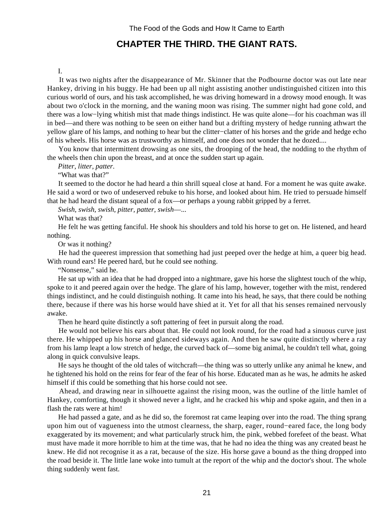## **CHAPTER THE THIRD. THE GIANT RATS.**

#### I.

<span id="page-22-0"></span> It was two nights after the disappearance of Mr. Skinner that the Podbourne doctor was out late near Hankey, driving in his buggy. He had been up all night assisting another undistinguished citizen into this curious world of ours, and his task accomplished, he was driving homeward in a drowsy mood enough. It was about two o'clock in the morning, and the waning moon was rising. The summer night had gone cold, and there was a low−lying whitish mist that made things indistinct. He was quite alone—for his coachman was ill in bed—and there was nothing to be seen on either hand but a drifting mystery of hedge running athwart the yellow glare of his lamps, and nothing to hear but the clitter−clatter of his horses and the gride and hedge echo of his wheels. His horse was as trustworthy as himself, and one does not wonder that he dozed....

 You know that intermittent drowsing as one sits, the drooping of the head, the nodding to the rhythm of the wheels then chin upon the breast, and at once the sudden start up again.

 *Pitter, litter, patter*.

"What was that?"

 It seemed to the doctor he had heard a thin shrill squeal close at hand. For a moment he was quite awake. He said a word or two of undeserved rebuke to his horse, and looked about him. He tried to persuade himself that he had heard the distant squeal of a fox—or perhaps a young rabbit gripped by a ferret.

 *Swish, swish, swish, pitter, patter, swish*—...

What was that?

 He felt he was getting fanciful. He shook his shoulders and told his horse to get on. He listened, and heard nothing.

Or was it nothing?

 He had the queerest impression that something had just peeped over the hedge at him, a queer big head. With round ears! He peered hard, but he could see nothing.

"Nonsense," said he.

 He sat up with an idea that he had dropped into a nightmare, gave his horse the slightest touch of the whip, spoke to it and peered again over the hedge. The glare of his lamp, however, together with the mist, rendered things indistinct, and he could distinguish nothing. It came into his head, he says, that there could be nothing there, because if there was his horse would have shied at it. Yet for all that his senses remained nervously awake.

Then he heard quite distinctly a soft pattering of feet in pursuit along the road.

 He would not believe his ears about that. He could not look round, for the road had a sinuous curve just there. He whipped up his horse and glanced sideways again. And then he saw quite distinctly where a ray from his lamp leapt a low stretch of hedge, the curved back of—some big animal, he couldn't tell what, going along in quick convulsive leaps.

 He says he thought of the old tales of witchcraft—the thing was so utterly unlike any animal he knew, and he tightened his hold on the reins for fear of the fear of his horse. Educated man as he was, he admits he asked himself if this could be something that his horse could not see.

 Ahead, and drawing near in silhouette against the rising moon, was the outline of the little hamlet of Hankey, comforting, though it showed never a light, and he cracked his whip and spoke again, and then in a flash the rats were at him!

 He had passed a gate, and as he did so, the foremost rat came leaping over into the road. The thing sprang upon him out of vagueness into the utmost clearness, the sharp, eager, round−eared face, the long body exaggerated by its movement; and what particularly struck him, the pink, webbed forefeet of the beast. What must have made it more horrible to him at the time was, that he had no idea the thing was any created beast he knew. He did not recognise it as a rat, because of the size. His horse gave a bound as the thing dropped into the road beside it. The little lane woke into tumult at the report of the whip and the doctor's shout. The whole thing suddenly went fast.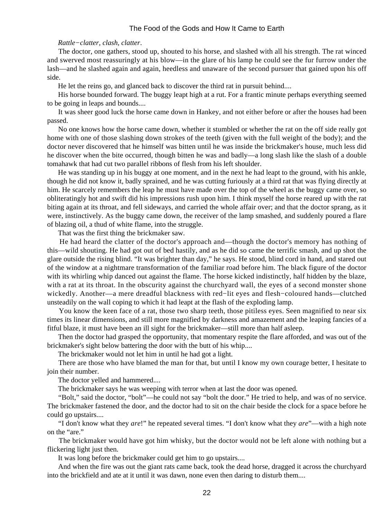#### *Rattle−clatter, clash, clatter*.

 The doctor, one gathers, stood up, shouted to his horse, and slashed with all his strength. The rat winced and swerved most reassuringly at his blow—in the glare of his lamp he could see the fur furrow under the lash—and he slashed again and again, heedless and unaware of the second pursuer that gained upon his off side.

He let the reins go, and glanced back to discover the third rat in pursuit behind....

 His horse bounded forward. The buggy leapt high at a rut. For a frantic minute perhaps everything seemed to be going in leaps and bounds....

 It was sheer good luck the horse came down in Hankey, and not either before or after the houses had been passed.

 No one knows how the horse came down, whether it stumbled or whether the rat on the off side really got home with one of those slashing down strokes of the teeth (given with the full weight of the body); and the doctor never discovered that he himself was bitten until he was inside the brickmaker's house, much less did he discover when the bite occurred, though bitten he was and badly—a long slash like the slash of a double tomahawk that had cut two parallel ribbons of flesh from his left shoulder.

 He was standing up in his buggy at one moment, and in the next he had leapt to the ground, with his ankle, though he did not know it, badly sprained, and he was cutting furiously at a third rat that was flying directly at him. He scarcely remembers the leap he must have made over the top of the wheel as the buggy came over, so obliteratingly hot and swift did his impressions rush upon him. I think myself the horse reared up with the rat biting again at its throat, and fell sideways, and carried the whole affair over; and that the doctor sprang, as it were, instinctively. As the buggy came down, the receiver of the lamp smashed, and suddenly poured a flare of blazing oil, a thud of white flame, into the struggle.

That was the first thing the brickmaker saw.

 He had heard the clatter of the doctor's approach and—though the doctor's memory has nothing of this—wild shouting. He had got out of bed hastily, and as he did so came the terrific smash, and up shot the glare outside the rising blind. "It was brighter than day," he says. He stood, blind cord in hand, and stared out of the window at a nightmare transformation of the familiar road before him. The black figure of the doctor with its whirling whip danced out against the flame. The horse kicked indistinctly, half hidden by the blaze, with a rat at its throat. In the obscurity against the churchyard wall, the eyes of a second monster shone wickedly. Another—a mere dreadful blackness with red−lit eyes and flesh−coloured hands—clutched unsteadily on the wall coping to which it had leapt at the flash of the exploding lamp.

 You know the keen face of a rat, those two sharp teeth, those pitiless eyes. Seen magnified to near six times its linear dimensions, and still more magnified by darkness and amazement and the leaping fancies of a fitful blaze, it must have been an ill sight for the brickmaker—still more than half asleep.

 Then the doctor had grasped the opportunity, that momentary respite the flare afforded, and was out of the brickmaker's sight below battering the door with the butt of his whip....

The brickmaker would not let him in until he had got a light.

 There are those who have blamed the man for that, but until I know my own courage better, I hesitate to join their number.

The doctor yelled and hammered....

The brickmaker says he was weeping with terror when at last the door was opened.

 "Bolt," said the doctor, "bolt"—he could not say "bolt the door." He tried to help, and was of no service. The brickmaker fastened the door, and the doctor had to sit on the chair beside the clock for a space before he could go upstairs....

 "I don't know what they *are*!" he repeated several times. "I don't know what they *are*"—with a high note on the "are."

 The brickmaker would have got him whisky, but the doctor would not be left alone with nothing but a flickering light just then.

It was long before the brickmaker could get him to go upstairs....

 And when the fire was out the giant rats came back, took the dead horse, dragged it across the churchyard into the brickfield and ate at it until it was dawn, none even then daring to disturb them....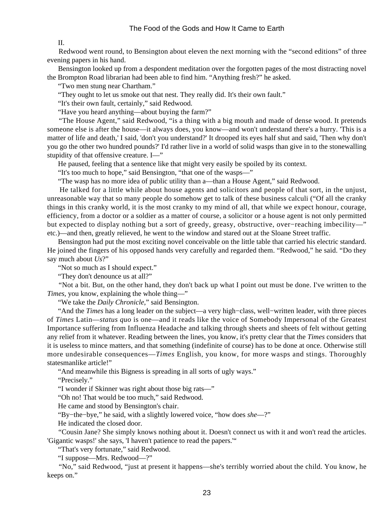II.

 Redwood went round, to Bensington about eleven the next morning with the "second editions" of three evening papers in his hand.

 Bensington looked up from a despondent meditation over the forgotten pages of the most distracting novel the Brompton Road librarian had been able to find him. "Anything fresh?" he asked.

"Two men stung near Chartham."

"They ought to let us smoke out that nest. They really did. It's their own fault."

"It's their own fault, certainly," said Redwood.

"Have you heard anything—about buying the farm?"

 "The House Agent," said Redwood, "is a thing with a big mouth and made of dense wood. It pretends someone else is after the house—it always does, you know—and won't understand there's a hurry. 'This is a matter of life and death,' I said, 'don't you understand?' It drooped its eyes half shut and said, 'Then why don't you go the other two hundred pounds?' I'd rather live in a world of solid wasps than give in to the stonewalling stupidity of that offensive creature. I—"

He paused, feeling that a sentence like that might very easily be spoiled by its context.

"It's too much to hope," said Bensington, "that one of the wasps—"

"The wasp has no more idea of public utility than a—than a House Agent," said Redwood.

 He talked for a little while about house agents and solicitors and people of that sort, in the unjust, unreasonable way that so many people do somehow get to talk of these business calculi ("Of all the cranky things in this cranky world, it is the most cranky to my mind of all, that while we expect honour, courage, efficiency, from a doctor or a soldier as a matter of course, a solicitor or a house agent is not only permitted but expected to display nothing but a sort of greedy, greasy, obstructive, over−reaching imbecility—" etc.)—and then, greatly relieved, he went to the window and stared out at the Sloane Street traffic.

 Bensington had put the most exciting novel conceivable on the little table that carried his electric standard. He joined the fingers of his opposed hands very carefully and regarded them. "Redwood," he said. "Do they say much about *Us*?"

"Not so much as I should expect."

"They don't denounce us at all?"

 "Not a bit. But, on the other hand, they don't back up what I point out must be done. I've written to the *Times*, you know, explaining the whole thing—"

"We take the *Daily Chronicle*," said Bensington.

 "And the *Times* has a long leader on the subject—a very high−class, well−written leader, with three pieces of *Times* Latin—*status quo* is one—and it reads like the voice of Somebody Impersonal of the Greatest Importance suffering from Influenza Headache and talking through sheets and sheets of felt without getting any relief from it whatever. Reading between the lines, you know, it's pretty clear that the *Times* considers that it is useless to mince matters, and that something (indefinite of course) has to be done at once. Otherwise still more undesirable consequences—*Times* English, you know, for more wasps and stings. Thoroughly statesmanlike article!"

"And meanwhile this Bigness is spreading in all sorts of ugly ways."

"Precisely."

"I wonder if Skinner was right about those big rats—"

"Oh no! That would be too much," said Redwood.

He came and stood by Bensington's chair.

"By−the−bye," he said, with a slightly lowered voice, "how does *she*—?"

He indicated the closed door.

 "Cousin Jane? She simply knows nothing about it. Doesn't connect us with it and won't read the articles. 'Gigantic wasps!' she says, 'I haven't patience to read the papers.'"

"That's very fortunate," said Redwood.

"I suppose—Mrs. Redwood—?"

 "No," said Redwood, "just at present it happens—she's terribly worried about the child. You know, he keeps on."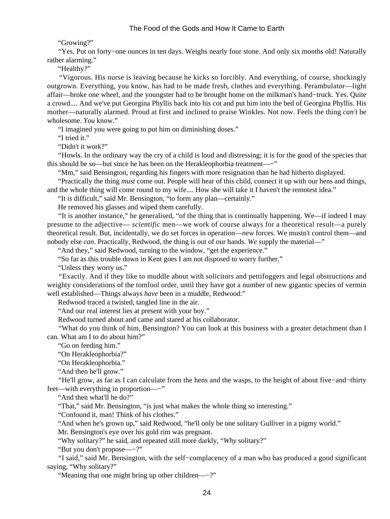"Growing?"

 "Yes. Put on forty−one ounces in ten days. Weighs nearly four stone. And only six months old! Naturally rather alarming."

"Healthy?"

 "Vigorous. His nurse is leaving because he kicks so forcibly. And everything, of course, shockingly outgrown. Everything, you know, has had to be made fresh, clothes and everything. Perambulator—light affair—broke one wheel, and the youngster had to be brought home on the milkman's hand−truck. Yes. Quite a crowd.... And we've put Georgina Phyllis back into his cot and put him into the bed of Georgina Phyllis. His mother—naturally alarmed. Proud at first and inclined to praise Winkles. Not now. Feels the thing *can't* be wholesome. *You* know."

"I imagined you were going to put him on diminishing doses."

"I tried it."

"Didn't it work?"

 "Howls. In the ordinary way the cry of a child is loud and distressing; it is for the good of the species that this should be so—but since he has been on the Herakleophorbia treatment—−"

"Mm," said Bensington, regarding his fingers with more resignation than he had hitherto displayed.

 "Practically the thing *must* come out. People will hear of this child, connect it up with our hens and things, and the whole thing will come round to my wife.... How she will take it I haven't the remotest idea."

"It *is* difficult," said Mr. Bensington, "to form any plan—certainly."

He removed his glasses and wiped them carefully.

 "It is another instance," he generalised, "of the thing that is continually happening. We—if indeed I may presume to the adjective— *scientific* men—we work of course always for a theoretical result—a purely theoretical result. But, incidentally, we do set forces in operation—*new* forces. We mustn't control them—and nobody else *can*. Practically, Redwood, the thing is out of our hands. *We* supply the material—"

"And they," said Redwood, turning to the window, "get the experience."

"So far as this trouble down in Kent goes I am not disposed to worry further."

"Unless they worry us."

 "Exactly. And if they like to muddle about with solicitors and pettifoggers and legal obstructions and weighty considerations of the tomfool order, until they have got a number of new gigantic species of vermin well established—Things always *have* been in a muddle, Redwood."

Redwood traced a twisted, tangled line in the air.

"And our real interest lies at present with your boy."

Redwood turned about and came and stared at his collaborator.

 "What do you think of him, Bensington? You can look at this business with a greater detachment than I can. What am I to do about him?"

"Go on feeding him."

"On Herakleophorbia?"

"On Herakleophorbia."

"And then he'll grow."

 "He'll grow, as far as I can calculate from the hens and the wasps, to the height of about five−and−thirty feet—with everything in proportion—−"

"And then what'll he do?"

"That," said Mr. Bensington, "is just what makes the whole thing so interesting."

"Confound it, man! Think of his clothes."

"And when he's grown up," said Redwood, "he'll only be one solitary Gulliver in a pigmy world."

Mr. Bensington's eye over his gold rim was pregnant.

"Why solitary?" he said, and repeated still more darkly, "*Why* solitary?"

"But you don't propose—−?"

 "I said," said Mr. Bensington, with the self−complacency of a man who has produced a good significant saying, "Why solitary?"

"Meaning that one might bring up other children—−?"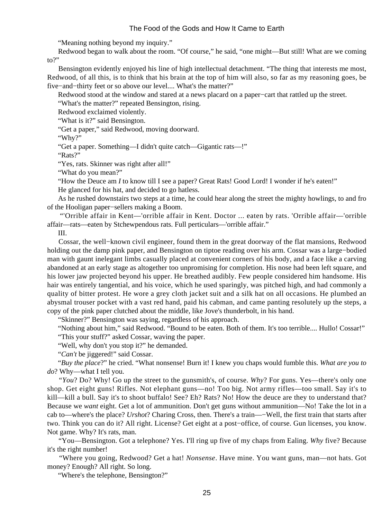"Meaning nothing beyond my inquiry."

 Redwood began to walk about the room. "Of course," he said, "one might—But still! What are we coming to?"

 Bensington evidently enjoyed his line of high intellectual detachment. "The thing that interests me most, Redwood, of all this, is to think that his brain at the top of him will also, so far as my reasoning goes, be five−and−thirty feet or so above our level.... What's the matter?"

Redwood stood at the window and stared at a news placard on a paper−cart that rattled up the street.

"What's the matter?" repeated Bensington, rising.

Redwood exclaimed violently.

"What is it?" said Bensington.

"Get a paper," said Redwood, moving doorward.

"Why?"

"Get a paper. Something—I didn't quite catch—Gigantic rats—!"

"Rats?"

"Yes, rats. Skinner was right after all!"

"What do you mean?"

"How the Deuce am *I* to know till I see a paper? Great Rats! Good Lord! I wonder if he's eaten!"

He glanced for his hat, and decided to go hatless.

 As he rushed downstairs two steps at a time, he could hear along the street the mighty howlings, to and fro of the Hooligan paper−sellers making a Boom.

 "'Orrible affair in Kent—'orrible affair in Kent. Doctor ... eaten by rats. 'Orrible affair—'orrible affair—rats—eaten by Stchewpendous rats. Full perticulars—'orrible affair."

III.

 Cossar, the well−known civil engineer, found them in the great doorway of the flat mansions, Redwood holding out the damp pink paper, and Bensington on tiptoe reading over his arm. Cossar was a large−bodied man with gaunt inelegant limbs casually placed at convenient corners of his body, and a face like a carving abandoned at an early stage as altogether too unpromising for completion. His nose had been left square, and his lower jaw projected beyond his upper. He breathed audibly. Few people considered him handsome. His hair was entirely tangential, and his voice, which he used sparingly, was pitched high, and had commonly a quality of bitter protest. He wore a grey cloth jacket suit and a silk hat on all occasions. He plumbed an abysmal trouser pocket with a vast red hand, paid his cabman, and came panting resolutely up the steps, a copy of the pink paper clutched about the middle, like Jove's thunderbolt, in his hand.

"Skinner?" Bensington was saying, regardless of his approach.

 "Nothing about him," said Redwood. "Bound to be eaten. Both of them. It's too terrible.... Hullo! Cossar!" "This your stuff?" asked Cossar, waving the paper.

"Well, why don't you stop it?" he demanded.

"*Can't* be jiggered!" said Cossar.

 "*Buy the place*?" he cried. "What nonsense! Burn it! I knew you chaps would fumble this. *What are you to do*? Why—what I tell you.

 "*You*? Do? Why! Go up the street to the gunsmith's, of course. *Why*? For guns. Yes—there's only one shop. Get eight guns! Rifles. Not elephant guns—no! Too big. Not army rifles—too small. Say it's to kill—kill a bull. Say it's to shoot buffalo! See? Eh? Rats? No! How the deuce are they to understand that? Because we *want* eight. Get a lot of ammunition. Don't get guns without ammunition—No! Take the lot in a cab to—where's the place? *Urshot*? Charing Cross, then. There's a train—−Well, the first train that starts after two. Think you can do it? All right. License? Get eight at a post−office, of course. Gun licenses, you know. Not game. Why? It's rats, man.

 "You—Bensington. Got a telephone? Yes. I'll ring up five of my chaps from Ealing. *Why* five? Because it's the right number!

 "Where you going, Redwood? Get a hat! *Nonsense*. Have mine. You want guns, man—not hats. Got money? Enough? All right. So long.

"Where's the telephone, Bensington?"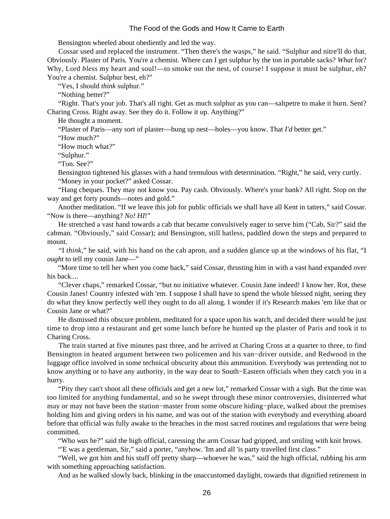Bensington wheeled about obediently and led the way.

 Cossar used and replaced the instrument. "Then there's the wasps," he said. "Sulphur and nitre'll do that. Obviously. Plaster of Paris. You're a chemist. Where can I get sulphur by the ton in portable sacks? *What* for? Why, Lord *bless* my heart and soul!—to smoke out the nest, of course! I suppose it must be sulphur, eh? You're a chemist. Sulphur best, eh?"

"Yes, I should *think* sulphur."

"Nothing better?"

 "Right. That's your job. That's all right. Get as much sulphur as you can—saltpetre to make it burn. Sent? Charing Cross. Right away. See they do it. Follow it up. Anything?"

He thought a moment.

"Plaster of Paris—any sort of plaster—bung up nest—holes—you know. That *I'd* better get."

"How much?"

"How much what?"

"Sulphur."

"Ton. See?"

 Bensington tightened his glasses with a hand tremulous with determination. "Right," he said, very curtly. "Money in your pocket?" asked Cossar.

 "Hang cheques. They may not know you. Pay cash. Obviously. Where's your bank? All right. Stop on the way and get forty pounds—notes and gold."

 Another meditation. "If we leave this job for public officials we shall have all Kent in tatters," said Cossar. "Now is there—anything? *No! HI*!"

 He stretched a vast hand towards a cab that became convulsively eager to serve him ("Cab, Sir?" said the cabman. "Obviously," said Cossar); and Bensington, still hatless, paddled down the steps and prepared to mount.

 "I *think*," he said, with his hand on the cab apron, and a sudden glance up at the windows of his flat, "I *ought* to tell my cousin Jane—"

 "More time to tell her when you come back," said Cossar, thrusting him in with a vast hand expanded over his back....

 "Clever chaps," remarked Cossar, "but no initiative whatever. Cousin Jane indeed! I know her. Rot, these Cousin Janes! Country infested with 'em. I suppose I shall have to spend the whole blessed night, seeing they do what they know perfectly well they ought to do all along. I wonder if it's Research makes 'em like that or Cousin Jane or what?"

 He dismissed this obscure problem, meditated for a space upon his watch, and decided there would be just time to drop into a restaurant and get some lunch before he hunted up the plaster of Paris and took it to Charing Cross.

 The train started at five minutes past three, and he arrived at Charing Cross at a quarter to three, to find Bensington in heated argument between two policemen and his van−driver outside, and Redwood in the luggage office involved in some technical obscurity about this ammunition. Everybody was pretending not to know anything or to have any authority, in the way dear to South−Eastern officials when they catch you in a hurry.

 "Pity they can't shoot all these officials and get a new lot," remarked Cossar with a sigh. But the time was too limited for anything fundamental, and so he swept through these minor controversies, disinterred what may or may not have been the station−master from some obscure hiding−place, walked about the premises holding him and giving orders in his name, and was out of the station with everybody and everything aboard before that official was fully awake to the breaches in the most sacred routines and regulations that were being committed.

"Who *was* he?" said the high official, caressing the arm Cossar had gripped, and smiling with knit brows.

"'E was a gentleman, Sir," said a porter, "anyhow. 'Im and all 'is party travelled first class."

 "Well, we got him and his stuff off pretty sharp—whoever he was," said the high official, rubbing his arm with something approaching satisfaction.

And as he walked slowly back, blinking in the unaccustomed daylight, towards that dignified retirement in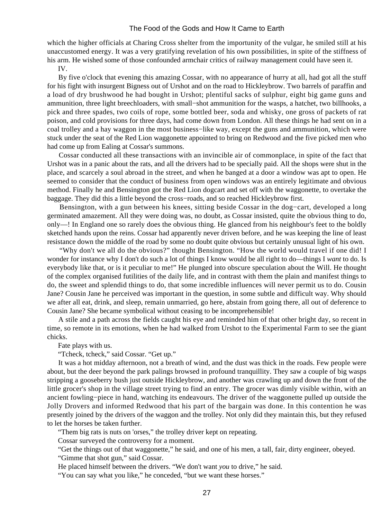which the higher officials at Charing Cross shelter from the importunity of the vulgar, he smiled still at his unaccustomed energy. It was a very gratifying revelation of his own possibilities, in spite of the stiffness of his arm. He wished some of those confounded armchair critics of railway management could have seen it.

IV.

 By five o'clock that evening this amazing Cossar, with no appearance of hurry at all, had got all the stuff for his fight with insurgent Bigness out of Urshot and on the road to Hickleybrow. Two barrels of paraffin and a load of dry brushwood he had bought in Urshot; plentiful sacks of sulphur, eight big game guns and ammunition, three light breechloaders, with small−shot ammunition for the wasps, a hatchet, two billhooks, a pick and three spades, two coils of rope, some bottled beer, soda and whisky, one gross of packets of rat poison, and cold provisions for three days, had come down from London. All these things he had sent on in a coal trolley and a hay waggon in the most business−like way, except the guns and ammunition, which were stuck under the seat of the Red Lion waggonette appointed to bring on Redwood and the five picked men who had come up from Ealing at Cossar's summons.

 Cossar conducted all these transactions with an invincible air of commonplace, in spite of the fact that Urshot was in a panic about the rats, and all the drivers had to be specially paid. All the shops were shut in the place, and scarcely a soul abroad in the street, and when he banged at a door a window was apt to open. He seemed to consider that the conduct of business from open windows was an entirely legitimate and obvious method. Finally he and Bensington got the Red Lion dogcart and set off with the waggonette, to overtake the baggage. They did this a little beyond the cross−roads, and so reached Hickleybrow first.

 Bensington, with a gun between his knees, sitting beside Cossar in the dog−cart, developed a long germinated amazement. All they were doing was, no doubt, as Cossar insisted, quite the obvious thing to do, only—! In England one so rarely does the obvious thing. He glanced from his neighbour's feet to the boldly sketched hands upon the reins. Cossar had apparently never driven before, and he was keeping the line of least resistance down the middle of the road by some no doubt quite obvious but certainly unusual light of his own.

 "Why don't we all do the obvious?" thought Bensington. "How the world would travel if one did! I wonder for instance why I don't do such a lot of things I know would be all right to do—things I *want* to do. Is everybody like that, or is it peculiar to me!" He plunged into obscure speculation about the Will. He thought of the complex organised futilities of the daily life, and in contrast with them the plain and manifest things to do, the sweet and splendid things to do, that some incredible influences will never permit us to do. Cousin Jane? Cousin Jane he perceived was important in the question, in some subtle and difficult way. Why should we after all eat, drink, and sleep, remain unmarried, go here, abstain from going there, all out of deference to Cousin Jane? She became symbolical without ceasing to be incomprehensible!

 A stile and a path across the fields caught his eye and reminded him of that other bright day, so recent in time, so remote in its emotions, when he had walked from Urshot to the Experimental Farm to see the giant chicks.

Fate plays with us.

"Tcheck, tcheck," said Cossar. "Get up."

 It was a hot midday afternoon, not a breath of wind, and the dust was thick in the roads. Few people were about, but the deer beyond the park palings browsed in profound tranquillity. They saw a couple of big wasps stripping a gooseberry bush just outside Hickleybrow, and another was crawling up and down the front of the little grocer's shop in the village street trying to find an entry. The grocer was dimly visible within, with an ancient fowling−piece in hand, watching its endeavours. The driver of the waggonette pulled up outside the Jolly Drovers and informed Redwood that his part of the bargain was done. In this contention he was presently joined by the drivers of the waggon and the trolley. Not only did they maintain this, but they refused to let the horses be taken further.

"Them big rats is nuts on 'orses," the trolley driver kept on repeating.

Cossar surveyed the controversy for a moment.

"Get the things out of that waggonette," he said, and one of his men, a tall, fair, dirty engineer, obeyed.

"Gimme that shot gun," said Cossar.

He placed himself between the drivers. "We don't want *you* to drive," he said.

"You can say what you like," he conceded, "but we want these horses."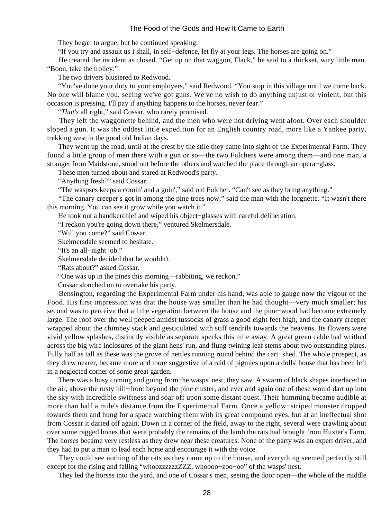They began to argue, but he continued speaking.

"If you try and assault us I shall, in self−defence, let fly at your legs. The horses are going on."

 He treated the incident as closed. "Get up on that waggon, Flack," he said to a thickset, wiry little man. "Boon, take the trolley."

The two drivers blustered to Redwood.

 "You've done your duty to your employers," said Redwood. "You stop in this village until we come back. No one will blame you, seeing we've got guns. We've no wish to do anything unjust or violent, but this occasion is pressing. I'll pay if anything happens to the horses, never fear."

"*That's* all right," said Cossar, who rarely promised.

 They left the waggonette behind, and the men who were not driving went afoot. Over each shoulder sloped a gun. It was the oddest little expedition for an English country road, more like a Yankee party, trekking west in the good old Indian days.

 They went up the road, until at the crest by the stile they came into sight of the Experimental Farm. They found a little group of men there with a gun or so—the two Fulchers were among them—and one man, a stranger from Maidstone, stood out before the others and watched the place through an opera−glass.

These men turned about and stared at Redwood's party.

"Anything fresh?" said Cossar.

"The waspses keeps a comin' and a goin'," said old Fulcher. "Can't see as they bring anything."

 "The canary creeper's got in among the pine trees now," said the man with the lorgnette. "It wasn't there this morning. You can see it grow while you watch it."

He took out a handkerchief and wiped his object−glasses with careful deliberation.

"I reckon you're going down there," ventured Skelmersdale.

"Will you come?" said Cossar.

Skelmersdale seemed to hesitate.

"It's an all−night job."

Skelmersdale decided that he wouldn't.

"Rats about?" asked Cossar.

"One was up in the pines this morning—rabbiting, we reckon."

Cossar slouched on to overtake his party.

 Bensington, regarding the Experimental Farm under his hand, was able to gauge now the vigour of the Food. His first impression was that the house was smaller than he had thought—very much smaller; his second was to perceive that all the vegetation between the house and the pine−wood had become extremely large. The roof over the well peeped amidst tussocks of grass a good eight feet high, and the canary creeper wrapped about the chimney stack and gesticulated with stiff tendrils towards the heavens. Its flowers were vivid yellow splashes, distinctly visible as separate specks this mile away. A great green cable had writhed across the big wire inclosures of the giant hens' run, and flung twining leaf stems about two outstanding pines. Fully half as tall as these was the grove of nettles running round behind the cart−shed. The whole prospect, as they drew nearer, became more and more suggestive of a raid of pigmies upon a dolls' house that has been left in a neglected corner of some great garden.

 There was a busy coming and going from the wasps' nest, they saw. A swarm of black shapes interlaced in the air, above the rusty hill−front beyond the pine cluster, and ever and again one of these would dart up into the sky with incredible swiftness and soar off upon some distant quest. Their humming became audible at more than half a mile's distance from the Experimental Farm. Once a yellow−striped monster dropped towards them and hung for a space watching them with its great compound eyes, but at an ineffectual shot from Cossar it darted off again. Down in a corner of the field, away to the right, several were crawling about over some ragged bones that were probably the remains of the lamb the rats had brought from Huxter's Farm. The horses became very restless as they drew near these creatures. None of the party was an expert driver, and they had to put a man to lead each horse and encourage it with the voice.

 They could see nothing of the rats as they came up to the house, and everything seemed perfectly still except for the rising and falling "whoozzzzzzZZZ, whoooo−zoo−oo" of the wasps' nest.

They led the horses into the yard, and one of Cossar's men, seeing the door open—the whole of the middle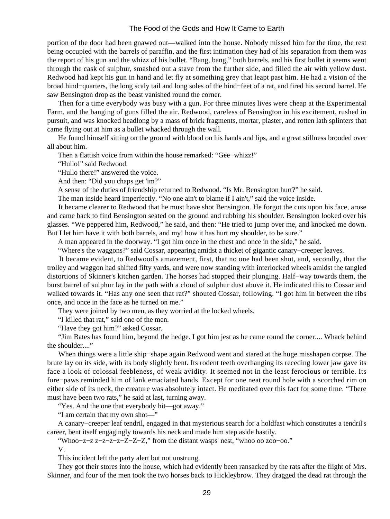portion of the door had been gnawed out—walked into the house. Nobody missed him for the time, the rest being occupied with the barrels of paraffin, and the first intimation they had of his separation from them was the report of his gun and the whizz of his bullet. "Bang, bang," both barrels, and his first bullet it seems went through the cask of sulphur, smashed out a stave from the further side, and filled the air with yellow dust. Redwood had kept his gun in hand and let fly at something grey that leapt past him. He had a vision of the broad hind−quarters, the long scaly tail and long soles of the hind−feet of a rat, and fired his second barrel. He saw Bensington drop as the beast vanished round the corner.

 Then for a time everybody was busy with a gun. For three minutes lives were cheap at the Experimental Farm, and the banging of guns filled the air. Redwood, careless of Bensington in his excitement, rushed in pursuit, and was knocked headlong by a mass of brick fragments, mortar, plaster, and rotten lath splinters that came flying out at him as a bullet whacked through the wall.

 He found himself sitting on the ground with blood on his hands and lips, and a great stillness brooded over all about him.

Then a flattish voice from within the house remarked: "Gee−whizz!"

"Hullo!" said Redwood.

"Hullo there!" answered the voice.

And then: "Did you chaps get 'im?"

A sense of the duties of friendship returned to Redwood. "Is Mr. Bensington hurt?" he said.

The man inside heard imperfectly. "No one ain't to blame if I ain't," said the voice inside.

 It became clearer to Redwood that he must have shot Bensington. He forgot the cuts upon his face, arose and came back to find Bensington seated on the ground and rubbing his shoulder. Bensington looked over his glasses. "We peppered him, Redwood," he said, and then: "He tried to jump over me, and knocked me down. But I let him have it with both barrels, and my! how it has hurt my shoulder, to be sure."

A man appeared in the doorway. "I got him once in the chest and once in the side," he said.

"Where's the waggons?" said Cossar, appearing amidst a thicket of gigantic canary−creeper leaves.

 It became evident, to Redwood's amazement, first, that no one had been shot, and, secondly, that the trolley and waggon had shifted fifty yards, and were now standing with interlocked wheels amidst the tangled distortions of Skinner's kitchen garden. The horses had stopped their plunging. Half−way towards them, the burst barrel of sulphur lay in the path with a cloud of sulphur dust above it. He indicated this to Cossar and walked towards it. "Has any one seen that rat?" shouted Cossar, following. "I got him in between the ribs once, and once in the face as he turned on me."

They were joined by two men, as they worried at the locked wheels.

"I killed that rat," said one of the men.

"Have they got him?" asked Cossar.

 "Jim Bates has found him, beyond the hedge. I got him jest as he came round the corner.... Whack behind the shoulder...."

 When things were a little ship−shape again Redwood went and stared at the huge misshapen corpse. The brute lay on its side, with its body slightly bent. Its rodent teeth overhanging its receding lower jaw gave its face a look of colossal feebleness, of weak avidity. It seemed not in the least ferocious or terrible. Its fore−paws reminded him of lank emaciated hands. Except for one neat round hole with a scorched rim on either side of its neck, the creature was absolutely intact. He meditated over this fact for some time. "There must have been two rats," he said at last, turning away.

"Yes. And the one that everybody hit—got away."

"I am certain that my own shot—"

 A canary−creeper leaf tendril, engaged in that mysterious search for a holdfast which constitutes a tendril's career, bent itself engagingly towards his neck and made him step aside hastily.

"Whoo−z−z z−z−z−z−Z−Z−Z," from the distant wasps' nest, "whoo oo zoo−oo."

V.

This incident left the party alert but not unstrung.

 They got their stores into the house, which had evidently been ransacked by the rats after the flight of Mrs. Skinner, and four of the men took the two horses back to Hickleybrow. They dragged the dead rat through the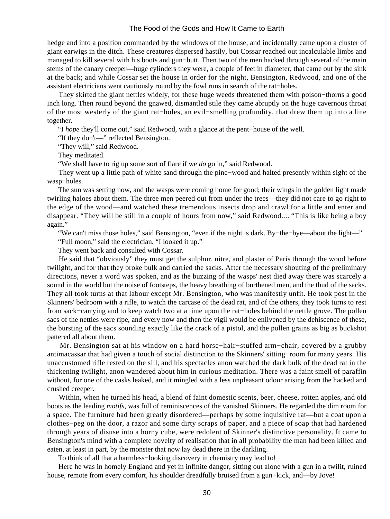hedge and into a position commanded by the windows of the house, and incidentally came upon a cluster of giant earwigs in the ditch. These creatures dispersed hastily, but Cossar reached out incalculable limbs and managed to kill several with his boots and gun−butt. Then two of the men hacked through several of the main stems of the canary creeper—huge cylinders they were, a couple of feet in diameter, that came out by the sink at the back; and while Cossar set the house in order for the night, Bensington, Redwood, and one of the assistant electricians went cautiously round by the fowl runs in search of the rat−holes.

 They skirted the giant nettles widely, for these huge weeds threatened them with poison−thorns a good inch long. Then round beyond the gnawed, dismantled stile they came abruptly on the huge cavernous throat of the most westerly of the giant rat−holes, an evil−smelling profundity, that drew them up into a line together.

"I *hope* they'll come out," said Redwood, with a glance at the pent−house of the well.

"If they don't—" reflected Bensington.

"They will," said Redwood.

They meditated.

"We shall have to rig up some sort of flare if we *do* go in," said Redwood.

 They went up a little path of white sand through the pine−wood and halted presently within sight of the wasp−holes.

 The sun was setting now, and the wasps were coming home for good; their wings in the golden light made twirling haloes about them. The three men peered out from under the trees—they did not care to go right to the edge of the wood—and watched these tremendous insects drop and crawl for a little and enter and disappear. "They will be still in a couple of hours from now," said Redwood.... "This is like being a boy again."

"We can't miss those holes," said Bensington, "even if the night is dark. By−the−bye—about the light—"

"Full moon," said the electrician. "I looked it up."

They went back and consulted with Cossar.

 He said that "obviously" they must get the sulphur, nitre, and plaster of Paris through the wood before twilight, and for that they broke bulk and carried the sacks. After the necessary shouting of the preliminary directions, never a word was spoken, and as the buzzing of the wasps' nest died away there was scarcely a sound in the world but the noise of footsteps, the heavy breathing of burthened men, and the thud of the sacks. They all took turns at that labour except Mr. Bensington, who was manifestly unfit. He took post in the Skinners' bedroom with a rifle, to watch the carcase of the dead rat, and of the others, they took turns to rest from sack−carrying and to keep watch two at a time upon the rat−holes behind the nettle grove. The pollen sacs of the nettles were ripe, and every now and then the vigil would be enlivened by the dehiscence of these, the bursting of the sacs sounding exactly like the crack of a pistol, and the pollen grains as big as buckshot pattered all about them.

 Mr. Bensington sat at his window on a hard horse−hair−stuffed arm−chair, covered by a grubby antimacassar that had given a touch of social distinction to the Skinners' sitting−room for many years. His unaccustomed rifle rested on the sill, and his spectacles anon watched the dark bulk of the dead rat in the thickening twilight, anon wandered about him in curious meditation. There was a faint smell of paraffin without, for one of the casks leaked, and it mingled with a less unpleasant odour arising from the hacked and crushed creeper.

 Within, when he turned his head, a blend of faint domestic scents, beer, cheese, rotten apples, and old boots as the leading *motifs*, was full of reminiscences of the vanished Skinners. He regarded the dim room for a space. The furniture had been greatly disordered—perhaps by some inquisitive rat—but a coat upon a clothes−peg on the door, a razor and some dirty scraps of paper, and a piece of soap that had hardened through years of disuse into a horny cube, were redolent of Skinner's distinctive personality. It came to Bensington's mind with a complete novelty of realisation that in all probability the man had been killed and eaten, at least in part, by the monster that now lay dead there in the darkling.

To think of all that a harmless−looking discovery in chemistry may lead to!

 Here he was in homely England and yet in infinite danger, sitting out alone with a gun in a twilit, ruined house, remote from every comfort, his shoulder dreadfully bruised from a gun−kick, and—by Jove!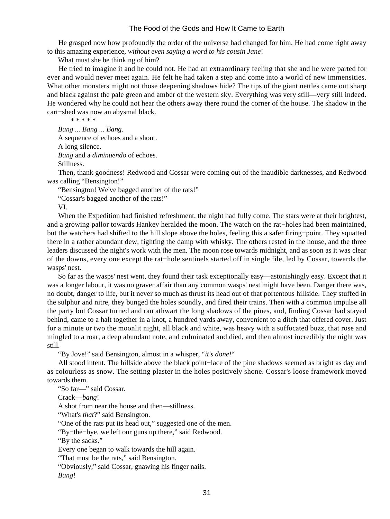He grasped now how profoundly the order of the universe had changed for him. He had come right away to this amazing experience, *without even saying a word to his cousin Jane*!

What must she be thinking of him?

 He tried to imagine it and he could not. He had an extraordinary feeling that she and he were parted for ever and would never meet again. He felt he had taken a step and come into a world of new immensities. What other monsters might not those deepening shadows hide? The tips of the giant nettles came out sharp and black against the pale green and amber of the western sky. Everything was very still—very still indeed. He wondered why he could not hear the others away there round the corner of the house. The shadow in the cart−shed was now an abysmal black.

\* \* \* \* \*

 *Bang ... Bang ... Bang*. A sequence of echoes and a shout. A long silence.  *Bang* and a *diminuendo* of echoes. Stillness.

 Then, thank goodness! Redwood and Cossar were coming out of the inaudible darknesses, and Redwood was calling "Bensington!"

"Bensington! We've bagged another of the rats!"

"Cossar's bagged another of the rats!"

VI.

 When the Expedition had finished refreshment, the night had fully come. The stars were at their brightest, and a growing pallor towards Hankey heralded the moon. The watch on the rat−holes had been maintained, but the watchers had shifted to the hill slope above the holes, feeling this a safer firing−point. They squatted there in a rather abundant dew, fighting the damp with whisky. The others rested in the house, and the three leaders discussed the night's work with the men. The moon rose towards midnight, and as soon as it was clear of the downs, every one except the rat−hole sentinels started off in single file, led by Cossar, towards the wasps' nest.

 So far as the wasps' nest went, they found their task exceptionally easy—astonishingly easy. Except that it was a longer labour, it was no graver affair than any common wasps' nest might have been. Danger there was, no doubt, danger to life, but it never so much as thrust its head out of that portentous hillside. They stuffed in the sulphur and nitre, they bunged the holes soundly, and fired their trains. Then with a common impulse all the party but Cossar turned and ran athwart the long shadows of the pines, and, finding Cossar had stayed behind, came to a halt together in a knot, a hundred yards away, convenient to a ditch that offered cover. Just for a minute or two the moonlit night, all black and white, was heavy with a suffocated buzz, that rose and mingled to a roar, a deep abundant note, and culminated and died, and then almost incredibly the night was still.

"By Jove!" said Bensington, almost in a whisper, "*it's done!*"

 All stood intent. The hillside above the black point−lace of the pine shadows seemed as bright as day and as colourless as snow. The setting plaster in the holes positively shone. Cossar's loose framework moved towards them.

"So far—" said Cossar.

Crack—*bang*!

A shot from near the house and then—stillness.

"What's *that*?" said Bensington.

"One of the rats put its head out," suggested one of the men.

"By−the−bye, we left our guns up there," said Redwood.

"By the sacks."

Every one began to walk towards the hill again.

"That must be the rats," said Bensington.

"Obviously," said Cossar, gnawing his finger nails.

 *Bang*!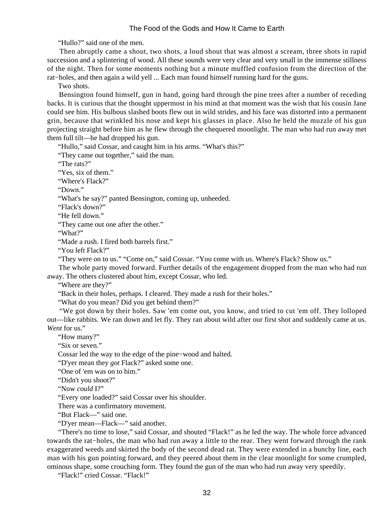"Hullo?" said one of the men.

 Then abruptly came a shout, two shots, a loud shout that was almost a scream, three shots in rapid succession and a splintering of wood. All these sounds were very clear and very small in the immense stillness of the night. Then for some moments nothing but a minute muffled confusion from the direction of the rat−holes, and then again a wild yell ... Each man found himself running hard for the guns.

Two shots.

 Bensington found himself, gun in hand, going hard through the pine trees after a number of receding backs. It is curious that the thought uppermost in his mind at that moment was the wish that his cousin Jane could see him. His bulbous slashed boots flew out in wild strides, and his face was distorted into a permanent grin, because that wrinkled his nose and kept his glasses in place. Also he held the muzzle of his gun projecting straight before him as he flew through the chequered moonlight. The man who had run away met them full tilt—he had dropped his gun.

"Hullo," said Cossar, and caught him in his arms. "What's this?"

"They came out together," said the man.

"The rats?"

"Yes, six of them."

"Where's Flack?"

"Down."

"What's he say?" panted Bensington, coming up, unheeded.

"Flack's down?"

"He fell down."

"They came out one after the other."

"What?"

"Made a rush. I fired both barrels first."

"You left Flack?"

"They were on to us." "Come on," said Cossar. "You come with us. Where's Flack? Show us."

 The whole party moved forward. Further details of the engagement dropped from the man who had run away. The others clustered about him, except Cossar, who led.

"Where are they?"

"Back in their holes, perhaps. I cleared. They made a rush for their holes."

"What do you mean? Did you get behind them?"

 "We got down by their holes. Saw 'em come out, you know, and tried to cut 'em off. They lolloped out—like rabbits. We ran down and let fly. They ran about wild after our first shot and suddenly came at us. *Went* for us."

"How many?"

"Six or seven."

Cossar led the way to the edge of the pine−wood and halted.

"D'yer mean they *got* Flack?" asked some one.

"One of 'em was on to him."

"Didn't you shoot?"

"Now *could* I?"

"Every one loaded?" said Cossar over his shoulder.

There was a confirmatory movement.

"But Flack—" said one.

"D'yer mean—Flack—" said another.

 "There's no time to lose," said Cossar, and shouted "Flack!" as he led the way. The whole force advanced towards the rat−holes, the man who had run away a little to the rear. They went forward through the rank exaggerated weeds and skirted the body of the second dead rat. They were extended in a bunchy line, each man with his gun pointing forward, and they peered about them in the clear moonlight for some crumpled, ominous shape, some crouching form. They found the gun of the man who had run away very speedily.

"Flack!" cried Cossar. "Flack!"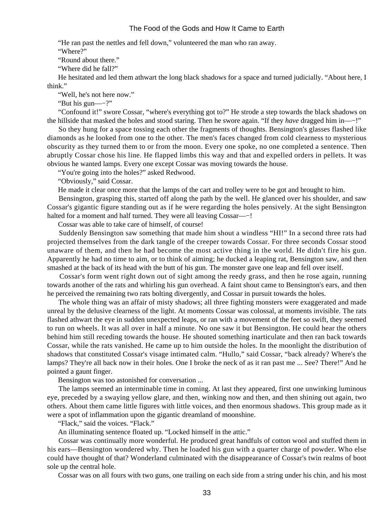"He ran past the nettles and fell down," volunteered the man who ran away.

"Where?"

"Round about there."

"Where did he fall?"

 He hesitated and led them athwart the long black shadows for a space and turned judicially. "About here, I think."

"Well, he's not here now."

"But his gun—−?"

 "Confound it!" swore Cossar, "where's everything got to?" He strode a step towards the black shadows on the hillside that masked the holes and stood staring. Then he swore again. "If they *have* dragged him in—−!"

 So they hung for a space tossing each other the fragments of thoughts. Bensington's glasses flashed like diamonds as he looked from one to the other. The men's faces changed from cold clearness to mysterious obscurity as they turned them to or from the moon. Every one spoke, no one completed a sentence. Then abruptly Cossar chose his line. He flapped limbs this way and that and expelled orders in pellets. It was obvious he wanted lamps. Every one except Cossar was moving towards the house.

"You're going into the holes?" asked Redwood.

"Obviously," said Cossar.

He made it clear once more that the lamps of the cart and trolley were to be got and brought to him.

 Bensington, grasping this, started off along the path by the well. He glanced over his shoulder, and saw Cossar's gigantic figure standing out as if he were regarding the holes pensively. At the sight Bensington halted for a moment and half turned. They were all leaving Cossar—−!

Cossar was able to take care of himself, of course!

 Suddenly Bensington saw something that made him shout a windless "HI!" In a second three rats had projected themselves from the dark tangle of the creeper towards Cossar. For three seconds Cossar stood unaware of them, and then he had become the most active thing in the world. He didn't fire his gun. Apparently he had no time to aim, or to think of aiming; he ducked a leaping rat, Bensington saw, and then smashed at the back of its head with the butt of his gun. The monster gave one leap and fell over itself.

 Cossar's form went right down out of sight among the reedy grass, and then he rose again, running towards another of the rats and whirling his gun overhead. A faint shout came to Bensington's ears, and then he perceived the remaining two rats bolting divergently, and Cossar in pursuit towards the holes.

 The whole thing was an affair of misty shadows; all three fighting monsters were exaggerated and made unreal by the delusive clearness of the light. At moments Cossar was colossal, at moments invisible. The rats flashed athwart the eye in sudden unexpected leaps, or ran with a movement of the feet so swift, they seemed to run on wheels. It was all over in half a minute. No one saw it but Bensington. He could hear the others behind him still receding towards the house. He shouted something inarticulate and then ran back towards Cossar, while the rats vanished. He came up to him outside the holes. In the moonlight the distribution of shadows that constituted Cossar's visage intimated calm. "Hullo," said Cossar, "back already? Where's the lamps? They're all back now in their holes. One I broke the neck of as it ran past me ... See? There!" And he pointed a gaunt finger.

Bensington was too astonished for conversation ...

 The lamps seemed an interminable time in coming. At last they appeared, first one unwinking luminous eye, preceded by a swaying yellow glare, and then, winking now and then, and then shining out again, two others. About them came little figures with little voices, and then enormous shadows. This group made as it were a spot of inflammation upon the gigantic dreamland of moonshine.

"Flack," said the voices. "Flack."

An illuminating sentence floated up. "Locked himself in the attic."

 Cossar was continually more wonderful. He produced great handfuls of cotton wool and stuffed them in his ears—Bensington wondered why. Then he loaded his gun with a quarter charge of powder. Who else could have thought of that? Wonderland culminated with the disappearance of Cossar's twin realms of boot sole up the central hole.

Cossar was on all fours with two guns, one trailing on each side from a string under his chin, and his most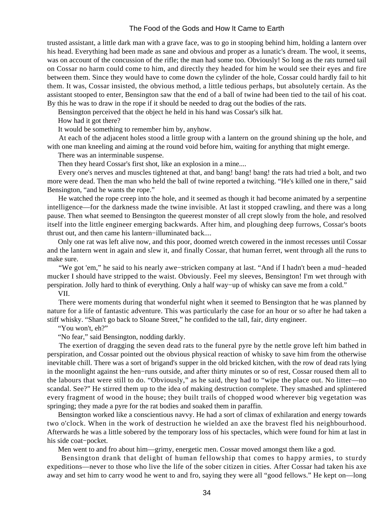trusted assistant, a little dark man with a grave face, was to go in stooping behind him, holding a lantern over his head. Everything had been made as sane and obvious and proper as a lunatic's dream. The wool, it seems, was on account of the concussion of the rifle; the man had some too. Obviously! So long as the rats turned tail on Cossar no harm could come to him, and directly they headed for him he would see their eyes and fire between them. Since they would have to come down the cylinder of the hole, Cossar could hardly fail to hit them. It was, Cossar insisted, the obvious method, a little tedious perhaps, but absolutely certain. As the assistant stooped to enter, Bensington saw that the end of a ball of twine had been tied to the tail of his coat. By this he was to draw in the rope if it should be needed to drag out the bodies of the rats.

Bensington perceived that the object he held in his hand was Cossar's silk hat.

How had it got there?

It would be something to remember him by, anyhow.

 At each of the adjacent holes stood a little group with a lantern on the ground shining up the hole, and with one man kneeling and aiming at the round void before him, waiting for anything that might emerge.

There was an interminable suspense.

Then they heard Cossar's first shot, like an explosion in a mine....

 Every one's nerves and muscles tightened at that, and bang! bang! bang! the rats had tried a bolt, and two more were dead. Then the man who held the ball of twine reported a twitching. "He's killed one in there," said Bensington, "and he wants the rope."

 He watched the rope creep into the hole, and it seemed as though it had become animated by a serpentine intelligence—for the darkness made the twine invisible. At last it stopped crawling, and there was a long pause. Then what seemed to Bensington the queerest monster of all crept slowly from the hole, and resolved itself into the little engineer emerging backwards. After him, and ploughing deep furrows, Cossar's boots thrust out, and then came his lantern−illuminated back....

 Only one rat was left alive now, and this poor, doomed wretch cowered in the inmost recesses until Cossar and the lantern went in again and slew it, and finally Cossar, that human ferret, went through all the runs to make sure.

 "We got 'em," he said to his nearly awe−stricken company at last. "And if I hadn't been a mud−headed mucker I should have stripped to the waist. Obviously. Feel my sleeves, Bensington! I'm wet through with perspiration. Jolly hard to think of everything. Only a half way−up of whisky can save me from a cold."

VII.

 There were moments during that wonderful night when it seemed to Bensington that he was planned by nature for a life of fantastic adventure. This was particularly the case for an hour or so after he had taken a stiff whisky. "Shan't go back to Sloane Street," he confided to the tall, fair, dirty engineer.

"You won't, eh?"

"No fear," said Bensington, nodding darkly.

 The exertion of dragging the seven dead rats to the funeral pyre by the nettle grove left him bathed in perspiration, and Cossar pointed out the obvious physical reaction of whisky to save him from the otherwise inevitable chill. There was a sort of brigand's supper in the old bricked kitchen, with the row of dead rats lying in the moonlight against the hen−runs outside, and after thirty minutes or so of rest, Cossar roused them all to the labours that were still to do. "Obviously," as he said, they had to "wipe the place out. No litter—no scandal. See?" He stirred them up to the idea of making destruction complete. They smashed and splintered every fragment of wood in the house; they built trails of chopped wood wherever big vegetation was springing; they made a pyre for the rat bodies and soaked them in paraffin.

 Bensington worked like a conscientious navvy. He had a sort of climax of exhilaration and energy towards two o'clock. When in the work of destruction he wielded an axe the bravest fled his neighbourhood. Afterwards he was a little sobered by the temporary loss of his spectacles, which were found for him at last in his side coat−pocket.

Men went to and fro about him—grimy, energetic men. Cossar moved amongst them like a god.

 Bensington drank that delight of human fellowship that comes to happy armies, to sturdy expeditions—never to those who live the life of the sober citizen in cities. After Cossar had taken his axe away and set him to carry wood he went to and fro, saying they were all "good fellows." He kept on—long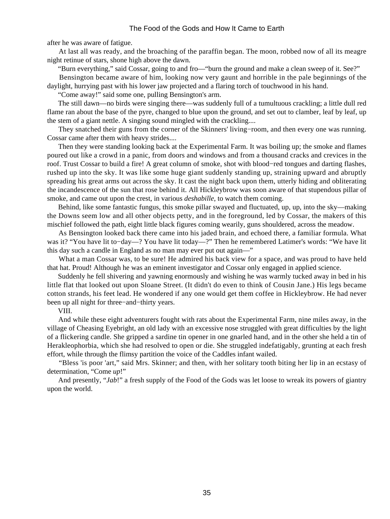after he was aware of fatigue.

 At last all was ready, and the broaching of the paraffin began. The moon, robbed now of all its meagre night retinue of stars, shone high above the dawn.

"Burn everything," said Cossar, going to and fro—"burn the ground and make a clean sweep of it. See?"

 Bensington became aware of him, looking now very gaunt and horrible in the pale beginnings of the daylight, hurrying past with his lower jaw projected and a flaring torch of touchwood in his hand.

"Come away!" said some one, pulling Bensington's arm.

 The still dawn—no birds were singing there—was suddenly full of a tumultuous crackling; a little dull red flame ran about the base of the pyre, changed to blue upon the ground, and set out to clamber, leaf by leaf, up the stem of a giant nettle. A singing sound mingled with the crackling....

 They snatched their guns from the corner of the Skinners' living−room, and then every one was running. Cossar came after them with heavy strides....

 Then they were standing looking back at the Experimental Farm. It was boiling up; the smoke and flames poured out like a crowd in a panic, from doors and windows and from a thousand cracks and crevices in the roof. Trust Cossar to build a fire! A great column of smoke, shot with blood−red tongues and darting flashes, rushed up into the sky. It was like some huge giant suddenly standing up, straining upward and abruptly spreading his great arms out across the sky. It cast the night back upon them, utterly hiding and obliterating the incandescence of the sun that rose behind it. All Hickleybrow was soon aware of that stupendous pillar of smoke, and came out upon the crest, in various *deshabille*, to watch them coming.

 Behind, like some fantastic fungus, this smoke pillar swayed and fluctuated, up, up, into the sky—making the Downs seem low and all other objects petty, and in the foreground, led by Cossar, the makers of this mischief followed the path, eight little black figures coming wearily, guns shouldered, across the meadow.

 As Bensington looked back there came into his jaded brain, and echoed there, a familiar formula. What was it? "You have lit to−day—? You have lit today—?" Then he remembered Latimer's words: "We have lit this day such a candle in England as no man may ever put out again—"

 What a man Cossar was, to be sure! He admired his back view for a space, and was proud to have held that hat. Proud! Although he was an eminent investigator and Cossar only engaged in applied science.

 Suddenly he fell shivering and yawning enormously and wishing he was warmly tucked away in bed in his little flat that looked out upon Sloane Street. (It didn't do even to think of Cousin Jane.) His legs became cotton strands, his feet lead. He wondered if any one would get them coffee in Hickleybrow. He had never been up all night for three−and−thirty years.

VIII.

 And while these eight adventurers fought with rats about the Experimental Farm, nine miles away, in the village of Cheasing Eyebright, an old lady with an excessive nose struggled with great difficulties by the light of a flickering candle. She gripped a sardine tin opener in one gnarled hand, and in the other she held a tin of Herakleophorbia, which she had resolved to open or die. She struggled indefatigably, grunting at each fresh effort, while through the flimsy partition the voice of the Caddles infant wailed.

 "Bless 'is poor 'art," said Mrs. Skinner; and then, with her solitary tooth biting her lip in an ecstasy of determination, "Come *up*!"

 And presently, "*Jab*!" a fresh supply of the Food of the Gods was let loose to wreak its powers of giantry upon the world.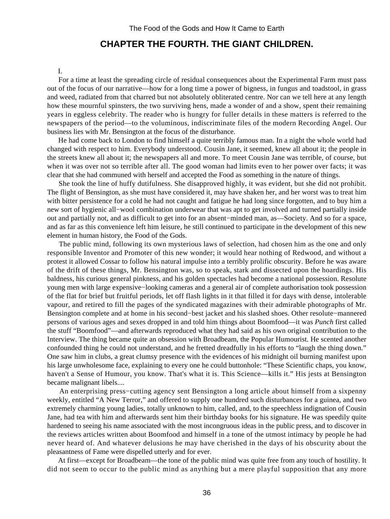# **CHAPTER THE FOURTH. THE GIANT CHILDREN.**

#### I.

 For a time at least the spreading circle of residual consequences about the Experimental Farm must pass out of the focus of our narrative—how for a long time a power of bigness, in fungus and toadstool, in grass and weed, radiated from that charred but not absolutely obliterated centre. Nor can we tell here at any length how these mournful spinsters, the two surviving hens, made a wonder of and a show, spent their remaining years in eggless celebrity. The reader who is hungry for fuller details in these matters is referred to the newspapers of the period—to the voluminous, indiscriminate files of the modern Recording Angel. Our business lies with Mr. Bensington at the focus of the disturbance.

 He had come back to London to find himself a quite terribly famous man. In a night the whole world had changed with respect to him. Everybody understood. Cousin Jane, it seemed, knew all about it; the people in the streets knew all about it; the newspapers all and more. To meet Cousin Jane was terrible, of course, but when it was over not so terrible after all. The good woman had limits even to her power over facts; it was clear that she had communed with herself and accepted the Food as something in the nature of things.

 She took the line of huffy dutifulness. She disapproved highly, it was evident, but she did not prohibit. The flight of Bensington, as she must have considered it, may have shaken her, and her worst was to treat him with bitter persistence for a cold he had not caught and fatigue he had long since forgotten, and to buy him a new sort of hygienic all−wool combination underwear that was apt to get involved and turned partially inside out and partially not, and as difficult to get into for an absent−minded man, as—Society. And so for a space, and as far as this convenience left him leisure, he still continued to participate in the development of this new element in human history, the Food of the Gods.

 The public mind, following its own mysterious laws of selection, had chosen him as the one and only responsible Inventor and Promoter of this new wonder; it would hear nothing of Redwood, and without a protest it allowed Cossar to follow his natural impulse into a terribly prolific obscurity. Before he was aware of the drift of these things, Mr. Bensington was, so to speak, stark and dissected upon the hoardings. His baldness, his curious general pinkness, and his golden spectacles had become a national possession. Resolute young men with large expensive−looking cameras and a general air of complete authorisation took possession of the flat for brief but fruitful periods, let off flash lights in it that filled it for days with dense, intolerable vapour, and retired to fill the pages of the syndicated magazines with their admirable photographs of Mr. Bensington complete and at home in his second−best jacket and his slashed shoes. Other resolute−mannered persons of various ages and sexes dropped in and told him things about Boomfood—it was *Punch* first called the stuff "Boomfood"—and afterwards reproduced what they had said as his own original contribution to the Interview. The thing became quite an obsession with Broadbeam, the Popular Humourist. He scented another confounded thing he could not understand, and he fretted dreadfully in his efforts to "laugh the thing down." One saw him in clubs, a great clumsy presence with the evidences of his midnight oil burning manifest upon his large unwholesome face, explaining to every one he could buttonhole: "These Scientific chaps, you know, haven't a Sense of Humour, you know. That's what it is. This Science—kills it." His jests at Bensington became malignant libels....

 An enterprising press−cutting agency sent Bensington a long article about himself from a sixpenny weekly, entitled "A New Terror," and offered to supply one hundred such disturbances for a guinea, and two extremely charming young ladies, totally unknown to him, called, and, to the speechless indignation of Cousin Jane, had tea with him and afterwards sent him their birthday books for his signature. He was speedily quite hardened to seeing his name associated with the most incongruous ideas in the public press, and to discover in the reviews articles written about Boomfood and himself in a tone of the utmost intimacy by people he had never heard of. And whatever delusions he may have cherished in the days of his obscurity about the pleasantness of Fame were dispelled utterly and for ever.

 At first—except for Broadbeam—the tone of the public mind was quite free from any touch of hostility. It did not seem to occur to the public mind as anything but a mere playful supposition that any more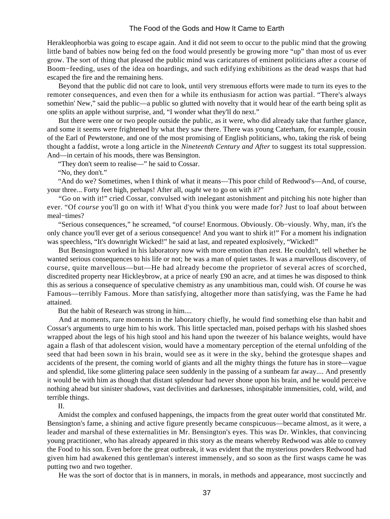Herakleophorbia was going to escape again. And it did not seem to occur to the public mind that the growing little band of babies now being fed on the food would presently be growing more "up" than most of us ever grow. The sort of thing that pleased the public mind was caricatures of eminent politicians after a course of Boom−feeding, uses of the idea on hoardings, and such edifying exhibitions as the dead wasps that had escaped the fire and the remaining hens.

 Beyond that the public did not care to look, until very strenuous efforts were made to turn its eyes to the remoter consequences, and even then for a while its enthusiasm for action was partial. "There's always somethin' New," said the public—a public so glutted with novelty that it would hear of the earth being split as one splits an apple without surprise, and, "I wonder what they'll do next."

 But there were one or two people outside the public, as it were, who did already take that further glance, and some it seems were frightened by what they saw there. There was young Caterham, for example, cousin of the Earl of Pewterstone, and one of the most promising of English politicians, who, taking the risk of being thought a faddist, wrote a long article in the *Nineteenth Century and After* to suggest its total suppression. And—in certain of his moods, there was Bensington.

"They don't seem to realise—" he said to Cossar.

"No, they don't."

 "And do we? Sometimes, when I think of what it means—This poor child of Redwood's—And, of course, your three... Forty feet high, perhaps! After all, *ought* we to go on with it?"

 "Go on with it!" cried Cossar, convulsed with inelegant astonishment and pitching his note higher than ever. "Of *course* you'll go on with it! What d'you think you were made for? Just to loaf about between meal−times?

 "Serious consequences," he screamed, "of course! Enormous. Obviously. Ob−viously. Why, man, it's the only chance you'll ever get of a serious consequence! And you want to shirk it!" For a moment his indignation was speechless, "It's downright Wicked!" he said at last, and repeated explosively, "Wicked!"

 But Bensington worked in his laboratory now with more emotion than zest. He couldn't, tell whether he wanted serious consequences to his life or not; he was a man of quiet tastes. It was a marvellous discovery, of course, quite marvellous—but—He had already become the proprietor of several acres of scorched, discredited property near Hickleybrow, at a price of nearly £90 an acre, and at times he was disposed to think this as serious a consequence of speculative chemistry as any unambitious man, could wish. Of course he was Famous—terribly Famous. More than satisfying, altogether more than satisfying, was the Fame he had attained.

But the habit of Research was strong in him....

 And at moments, rare moments in the laboratory chiefly, he would find something else than habit and Cossar's arguments to urge him to his work. This little spectacled man, poised perhaps with his slashed shoes wrapped about the legs of his high stool and his hand upon the tweezer of his balance weights, would have again a flash of that adolescent vision, would have a momentary perception of the eternal unfolding of the seed that had been sown in his brain, would see as it were in the sky, behind the grotesque shapes and accidents of the present, the coming world of giants and all the mighty things the future has in store—vague and splendid, like some glittering palace seen suddenly in the passing of a sunbeam far away.... And presently it would be with him as though that distant splendour had never shone upon his brain, and he would perceive nothing ahead but sinister shadows, vast declivities and darknesses, inhospitable immensities, cold, wild, and terrible things.

II.

 Amidst the complex and confused happenings, the impacts from the great outer world that constituted Mr. Bensington's fame, a shining and active figure presently became conspicuous—became almost, as it were, a leader and marshal of these externalities in Mr. Bensington's eyes. This was Dr. Winkles, that convincing young practitioner, who has already appeared in this story as the means whereby Redwood was able to convey the Food to his son. Even before the great outbreak, it was evident that the mysterious powders Redwood had given him had awakened this gentleman's interest immensely, and so soon as the first wasps came he was putting two and two together.

He was the sort of doctor that is in manners, in morals, in methods and appearance, most succinctly and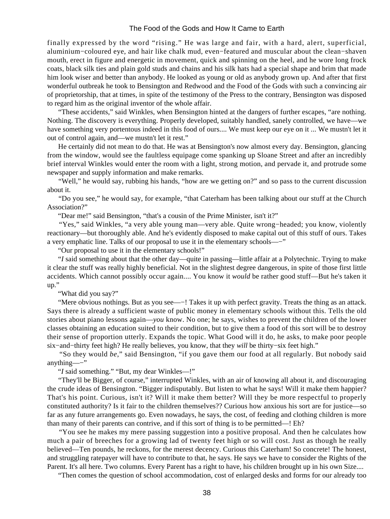finally expressed by the word "rising." He was large and fair, with a hard, alert, superficial, aluminium−coloured eye, and hair like chalk mud, even−featured and muscular about the clean−shaven mouth, erect in figure and energetic in movement, quick and spinning on the heel, and he wore long frock coats, black silk ties and plain gold studs and chains and his silk hats had a special shape and brim that made him look wiser and better than anybody. He looked as young or old as anybody grown up. And after that first wonderful outbreak he took to Bensington and Redwood and the Food of the Gods with such a convincing air of proprietorship, that at times, in spite of the testimony of the Press to the contrary, Bensington was disposed to regard him as the original inventor of the whole affair.

 "These accidents," said Winkles, when Bensington hinted at the dangers of further escapes, "are nothing. Nothing. The discovery is everything. Properly developed, suitably handled, sanely controlled, we have—we have something very portentous indeed in this food of ours.... We must keep our eye on it ... We mustn't let it out of control again, and—we mustn't let it rest."

 He certainly did not mean to do that. He was at Bensington's now almost every day. Bensington, glancing from the window, would see the faultless equipage come spanking up Sloane Street and after an incredibly brief interval Winkles would enter the room with a light, strong motion, and pervade it, and protrude some newspaper and supply information and make remarks.

 "Well," he would say, rubbing his hands, "how are we getting on?" and so pass to the current discussion about it.

 "Do you see," he would say, for example, "that Caterham has been talking about our stuff at the Church Association?"

"Dear me!" said Bensington, "that's a cousin of the Prime Minister, isn't it?"

 "Yes," said Winkles, "a very able young man—very able. Quite wrong−headed; you know, violently reactionary—but thoroughly able. And he's evidently disposed to make capital out of this stuff of ours. Takes a very emphatic line. Talks of our proposal to use it in the elementary schools—−"

"Our proposal to use it in the elementary schools!"

 "*I* said something about that the other day—quite in passing—little affair at a Polytechnic. Trying to make it clear the stuff was really highly beneficial. Not in the slightest degree dangerous, in spite of those first little accidents. Which cannot possibly occur again.... You know it *would* be rather good stuff—But he's taken it up."

"What did you say?"

 "Mere obvious nothings. But as you see—−! Takes it up with perfect gravity. Treats the thing as an attack. Says there is already a sufficient waste of public money in elementary schools without this. Tells the old stories about piano lessons again—*you* know. No one; he says, wishes to prevent the children of the lower classes obtaining an education suited to their condition, but to give them a food of this sort will be to destroy their sense of proportion utterly. Expands the topic. What Good will it do, he asks, to make poor people six−and−thirty feet high? He really believes, you know, that they *will* be thirty−six feet high."

 "So they would *be*," said Bensington, "if you gave them our food at all regularly. But nobody said anything—−"

"*I* said something." "But, my dear Winkles—!"

 "They'll be Bigger, of course," interrupted Winkles, with an air of knowing all about it, and discouraging the crude ideas of Bensington. "Bigger indisputably. But listen to what he says! Will it make them happier? That's his point. Curious, isn't it? Will it make them better? Will they be more respectful to properly constituted authority? Is it fair to the children themselves?? Curious how anxious his sort are for justice—so far as any future arrangements go. Even nowadays, he says, the cost, of feeding and clothing children is more than many of their parents can contrive, and if this sort of thing is to be permitted—! Eh?

 "You see he makes my mere passing suggestion into a positive proposal. And then he calculates how much a pair of breeches for a growing lad of twenty feet high or so will cost. Just as though he really believed—Ten pounds, he reckons, for the merest decency. Curious this Caterham! So concrete! The honest, and struggling ratepayer will have to contribute to that, he says. He says we have to consider the Rights of the Parent. It's all here. Two columns. Every Parent has a right to have, his children brought up in his own Size....

"Then comes the question of school accommodation, cost of enlarged desks and forms for our already too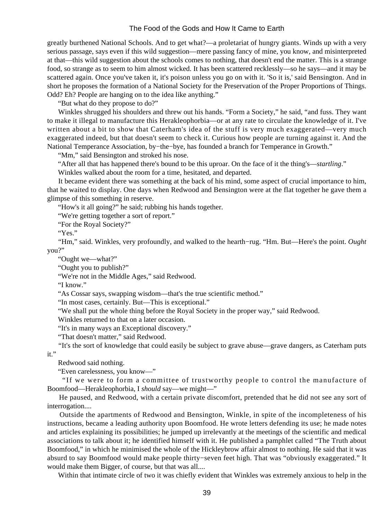greatly burthened National Schools. And to get what?—a proletariat of hungry giants. Winds up with a very serious passage, says even if this wild suggestion—mere passing fancy of mine, you know, and misinterpreted at that—this wild suggestion about the schools comes to nothing, that doesn't end the matter. This is a strange food, so strange as to seem to him almost wicked. It has been scattered recklessly—so he says—and it may be scattered again. Once you've taken it, it's poison unless you go on with it. 'So it is,' said Bensington. And in short he proposes the formation of a National Society for the Preservation of the Proper Proportions of Things. Odd? Eh? People are hanging on to the idea like anything."

"But what do they propose to do?"

 Winkles shrugged his shoulders and threw out his hands. "Form a Society," he said, "and fuss. They want to make it illegal to manufacture this Herakleophorbia—or at any rate to circulate the knowledge of it. I've written about a bit to show that Caterham's idea of the stuff is very much exaggerated—very much exaggerated indeed, but that doesn't seem to check it. Curious how people are turning against it. And the National Temperance Association, by−the−bye, has founded a branch for Temperance in Growth."

"Mm," said Bensington and stroked his nose.

"After all that has happened there's bound to be this uproar. On the face of it the thing's—*startling*."

Winkles walked about the room for a time, hesitated, and departed.

 It became evident there was something at the back of his mind, some aspect of crucial importance to him, that he waited to display. One days when Redwood and Bensington were at the flat together he gave them a glimpse of this something in reserve.

"How's it all going?" he said; rubbing his hands together.

"We're getting together a sort of report."

"For the Royal Society?"

"Yes."

 "Hm," said. Winkles, very profoundly, and walked to the hearth−rug. "Hm. But—Here's the point. *Ought* you?"

"Ought we—what?"

"Ought you to publish?"

"We're not in the Middle Ages," said Redwood.

"I know."

"As Cossar says, swapping wisdom—that's the true scientific method."

"In most cases, certainly. But—This is exceptional."

"We shall put the whole thing before the Royal Society in the proper way," said Redwood.

Winkles returned to that on a later occasion.

"It's in many ways an Exceptional discovery."

"That doesn't matter," said Redwood.

 "It's the sort of knowledge that could easily be subject to grave abuse—grave dangers, as Caterham puts it."

Redwood said nothing.

"Even carelessness, you know—"

 "If we were to form a committee of trustworthy people to control the manufacture of Boomfood—Herakleophorbia, I *should* say—we might—"

 He paused, and Redwood, with a certain private discomfort, pretended that he did not see any sort of interrogation....

 Outside the apartments of Redwood and Bensington, Winkle, in spite of the incompleteness of his instructions, became a leading authority upon Boomfood. He wrote letters defending its use; he made notes and articles explaining its possibilities; he jumped up irrelevantly at the meetings of the scientific and medical associations to talk about it; he identified himself with it. He published a pamphlet called "The Truth about Boomfood," in which he minimised the whole of the Hickleybrow affair almost to nothing. He said that it was absurd to say Boomfood would make people thirty−seven feet high. That was "obviously exaggerated." It would make them Bigger, of course, but that was all....

Within that intimate circle of two it was chiefly evident that Winkles was extremely anxious to help in the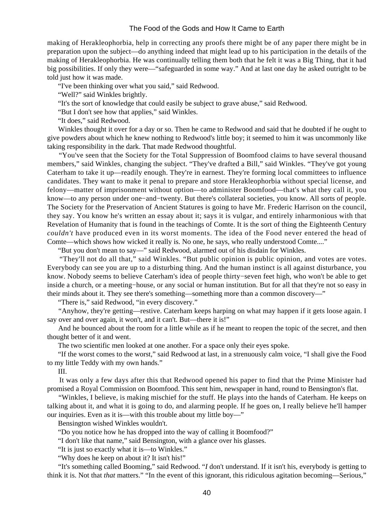making of Herakleophorbia, help in correcting any proofs there might be of any paper there might be in preparation upon the subject—do anything indeed that might lead up to his participation in the details of the making of Herakleophorbia. He was continually telling them both that he felt it was a Big Thing, that it had big possibilities. If only they were—"safeguarded in some way." And at last one day he asked outright to be told just how it was made.

"I've been thinking over what you said," said Redwood.

"Well?" said Winkles brightly.

"It's the sort of knowledge that could easily be subject to grave abuse," said Redwood.

"But I don't see how that applies," said Winkles.

"It does," said Redwood.

 Winkles thought it over for a day or so. Then he came to Redwood and said that he doubted if he ought to give powders about which he knew nothing to Redwood's little boy; it seemed to him it was uncommonly like taking responsibility in the dark. That made Redwood thoughtful.

 "You've seen that the Society for the Total Suppression of Boomfood claims to have several thousand members," said Winkles, changing the subject. "They've drafted a Bill," said Winkles. "They've got young Caterham to take it up—readily enough. They're in earnest. They're forming local committees to influence candidates. They want to make it penal to prepare and store Herakleophorbia without special license, and felony—matter of imprisonment without option—to administer Boomfood—that's what they call it, you know—to any person under one−and−twenty. But there's collateral societies, you know. All sorts of people. The Society for the Preservation of Ancient Statures is going to have Mr. Frederic Harrison on the council, they say. You know he's written an essay about it; says it is vulgar, and entirely inharmonious with that Revelation of Humanity that is found in the teachings of Comte. It is the sort of thing the Eighteenth Century *couldn't* have produced even in its worst moments. The idea of the Food never entered the head of Comte—which shows how wicked it really is. No one, he says, who really understood Comte...."

"But you don't mean to say—" said Redwood, alarmed out of his disdain for Winkles.

 "They'll not do all that," said Winkles. "But public opinion is public opinion, and votes are votes. Everybody can see you are up to a disturbing thing. And the human instinct is all against disturbance, you know. Nobody seems to believe Caterham's idea of people thirty−seven feet high, who won't be able to get inside a church, or a meeting−house, or any social or human institution. But for all that they're not so easy in their minds about it. They see there's something—something more than a common discovery—"

"There is," said Redwood, "in every discovery."

 "Anyhow, they're getting—restive. Caterham keeps harping on what may happen if it gets loose again. I say over and over again, it won't, and it can't. But—there it is!"

 And he bounced about the room for a little while as if he meant to reopen the topic of the secret, and then thought better of it and went.

The two scientific men looked at one another. For a space only their eyes spoke.

 "If the worst comes to the worst," said Redwood at last, in a strenuously calm voice, "I shall give the Food to my little Teddy with my own hands."

III.

 It was only a few days after this that Redwood opened his paper to find that the Prime Minister had promised a Royal Commission on Boomfood. This sent him, newspaper in hand, round to Bensington's flat.

 "Winkles, I believe, is making mischief for the stuff. He plays into the hands of Caterham. He keeps on talking about it, and what it is going to do, and alarming people. If he goes on, I really believe he'll hamper our inquiries. Even as it is—with this trouble about my little boy—"

Bensington wished Winkles wouldn't.

"Do you notice how he has dropped into the way of calling it Boomfood?"

"I don't like that name," said Bensington, with a glance over his glasses.

"It is just so exactly what it is—to Winkles."

"Why does he keep on about it? It isn't his!"

 "It's something called Booming," said Redwood. "*I* don't understand. If it isn't his, everybody is getting to think it is. Not that *that* matters." "In the event of this ignorant, this ridiculous agitation becoming—Serious,"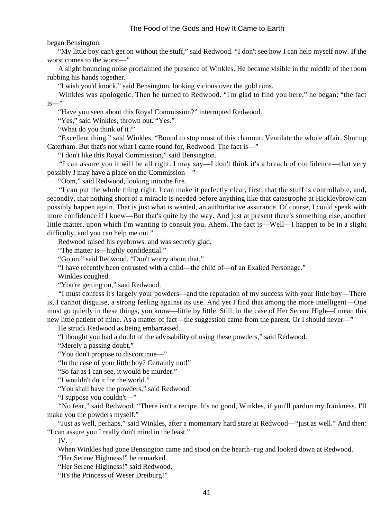began Bensington.

 "My little boy can't get on without the stuff," said Redwood. "I don't see how I can help myself now. If the worst comes to the worst—"

 A slight bouncing noise proclaimed the presence of Winkles. He became visible in the middle of the room rubbing his hands together.

"I wish you'd knock," said Bensington, looking vicious over the gold rims.

 Winkles was apologetic. Then he turned to Redwood. "I'm glad to find you here," he began; "the fact is—"

"Have you seen about this Royal Commission?" interrupted Redwood.

"Yes," said Winkles, thrown out. "Yes."

"What do you think of it?"

 "Excellent thing," said Winkles. "Bound to stop most of this clamour. Ventilate the whole affair. Shut up Caterham. But that's not what I came round for, Redwood. The fact is—"

"I don't like this Royal Commission," said Bensington.

 "I can assure you it will be all right. I may say—I don't think it's a breach of confidence—that very possibly *I* may have a place on the Commission—"

"Oom," said Redwood, looking into the fire.

 "I can put the whole thing right. I can make it perfectly clear, first, that the stuff is controllable, and, secondly, that nothing short of a miracle is needed before anything like that catastrophe at Hickleybrow can possibly happen again. That is just what is wanted, an authoritative assurance. Of course, I could speak with more confidence if I knew—But that's quite by the way. And just at present there's something else, another little matter, upon which I'm wanting to consult you. Ahem. The fact is—Well—I happen to be in a slight difficulty, and you can help me out."

Redwood raised his eyebrows, and was secretly glad.

"The matter is—highly confidential."

"Go on," said Redwood. "Don't worry about that."

"I have recently been entrusted with a child—the child of—of an Exalted Personage."

Winkles coughed.

"You're getting on," said Redwood.

 "I must confess it's largely your powders—and the reputation of my success with your little boy—There is, I cannot disguise, a strong feeling against its use. And yet I find that among the more intelligent—One must go quietly in these things, you know—little by little. Still, in the case of Her Serene High—I mean this new little patient of mine. As a matter of fact—the suggestion came from the parent. Or I should never—"

He struck Redwood as being embarrassed.

"I thought you had a doubt of the advisability of using these powders," said Redwood.

"Merely a passing doubt."

"You don't propose to discontinue—"

"In the case of your little boy? Certainly not!"

"So far as I can see, it would be murder."

"I wouldn't do it for the world."

"You shall have the powders," said Redwood.

"I suppose you couldn't—"

 "No fear," said Redwood. "There isn't a recipe. It's no good, Winkles, if you'll pardon my frankness. I'll make you the powders myself."

 "Just as well, perhaps," said Winkles, after a momentary hard stare at Redwood—"just as well." And then: "I can assure you I really don't mind in the least."

IV.

When Winkles had gone Bensington came and stood on the hearth−rug and looked down at Redwood.

"Her Serene Highness!" he remarked.

"Her Serene Highness!" said Redwood.

"It's the Princess of Weser Dreiburg!"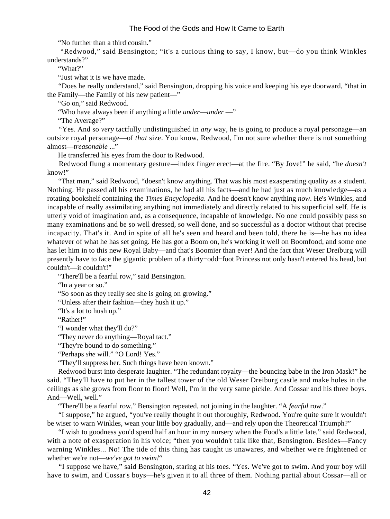"No further than a third cousin."

 "Redwood," said Bensington; "it's a curious thing to say, I know, but—do you think Winkles understands?"

"What?"

"Just what it is we have made.

 "Does he really understand," said Bensington, dropping his voice and keeping his eye doorward, "that in the Family—the Family of his new patient—"

"Go on," said Redwood.

"Who have always been if anything a little *under*—*under* —"

"The Average?"

 "Yes. And so *very* tactfully undistinguished in *any* way, he is going to produce a royal personage—an outsize royal personage—of *that* size. You know, Redwood, I'm not sure whether there is not something almost—*treasonable* ..."

He transferred his eyes from the door to Redwood.

 Redwood flung a momentary gesture—index finger erect—at the fire. "By Jove!" he said, "he *doesn't* know!"

 "That man," said Redwood, "doesn't know anything. That was his most exasperating quality as a student. Nothing. He passed all his examinations, he had all his facts—and he had just as much knowledge—as a rotating bookshelf containing the *Times Encyclopedia*. And he doesn't know anything *now*. He's Winkles, and incapable of really assimilating anything not immediately and directly related to his superficial self. He is utterly void of imagination and, as a consequence, incapable of knowledge. No one could possibly pass so many examinations and be so well dressed, so well done, and so successful as a doctor without that precise incapacity. That's it. And in spite of all he's seen and heard and been told, there he is—he has no idea whatever of what he has set going. He has got a Boom on, he's working it well on Boomfood, and some one has let him in to this new Royal Baby—and that's Boomier than ever! And the fact that Weser Dreiburg will presently have to face the gigantic problem of a thirty−odd−foot Princess not only hasn't entered his head, but couldn't—it couldn't!"

"There'll be a fearful row," said Bensington.

"In a year or so."

"So soon as they really see she is going on growing."

"Unless after their fashion—they hush it up."

"It's a lot to hush up."

"Rather!"

"I wonder what they'll do?"

"They never do anything—Royal tact."

"They're bound to do something."

"Perhaps *she* will." "O Lord! Yes."

"They'll suppress her. Such things have been known."

 Redwood burst into desperate laughter. "The redundant royalty—the bouncing babe in the Iron Mask!" he said. "They'll have to put her in the tallest tower of the old Weser Dreiburg castle and make holes in the ceilings as she grows from floor to floor! Well, I'm in the very same pickle. And Cossar and his three boys. And—Well, well."

"There'll be a fearful row," Bensington repeated, not joining in the laughter. "A *fearful* row."

 "I suppose," he argued, "you've really thought it out thoroughly, Redwood. You're quite sure it wouldn't be wiser to warn Winkles, wean your little boy gradually, and—and rely upon the Theoretical Triumph?"

 "I wish to goodness you'd spend half an hour in my nursery when the Food's a little late," said Redwood, with a note of exasperation in his voice; "then you wouldn't talk like that, Bensington. Besides—Fancy warning Winkles... No! The tide of this thing has caught us unawares, and whether we're frightened or whether we're not—*we've got to swim!*"

 "I suppose we have," said Bensington, staring at his toes. "Yes. We've got to swim. And your boy will have to swim, and Cossar's boys—he's given it to all three of them. Nothing partial about Cossar—all or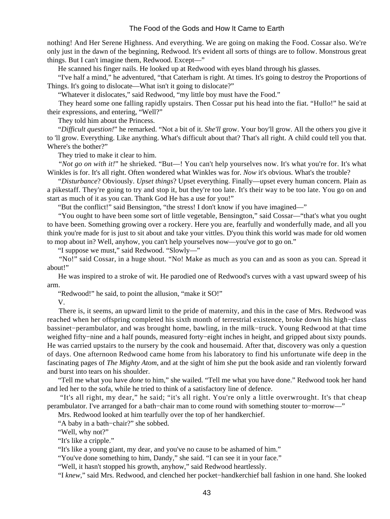nothing! And Her Serene Highness. And everything. We are going on making the Food. Cossar also. We're only just in the dawn of the beginning, Redwood. It's evident all sorts of things are to follow. Monstrous great things. But I can't imagine them, Redwood. Except—"

He scanned his finger nails. He looked up at Redwood with eyes bland through his glasses.

 "I've half a mind," he adventured, "that Caterham is right. At times. It's going to destroy the Proportions of Things. It's going to dislocate—What isn't it going to dislocate?"

"Whatever it dislocates," said Redwood, "my little boy must have the Food."

 They heard some one falling rapidly upstairs. Then Cossar put his head into the fiat. "Hullo!" he said at their expressions, and entering, "Well?"

They told him about the Princess.

 "*Difficult question!*" he remarked. "Not a bit of it. *She'll* grow. Your boy'll grow. All the others you give it to 'll grow. Everything. Like anything. What's difficult about that? That's all right. A child could tell you that. Where's the bother?"

They tried to make it clear to him.

 "*Not go on with it!*" he shrieked. "But—! You can't help yourselves now. It's what you're for. It's what Winkles is for. It's all right. Often wondered what Winkles was for. *Now* it's obvious. What's the trouble?

 "*Disturbance*? Obviously. *Upset things*? Upset everything. Finally—upset every human concern. Plain as a pikestaff. They're going to try and stop it, but they're too late. It's their way to be too late. You go on and start as much of it as you can. Thank God He has a use for you!"

"But the conflict!" said Bensington, "the stress! I don't know if you have imagined—"

 "You ought to have been some sort of little vegetable, Bensington," said Cossar—"that's what you ought to have been. Something growing over a rockery. Here you are, fearfully and wonderfully made, and all you think you're made for is just to sit about and take your vittles. D'you think this world was made for old women to mop about in? Well, anyhow, you can't help yourselves now—you've *got* to go on."

"I suppose we must," said Redwood. "Slowly—"

 "No!" said Cossar, in a huge shout. "No! Make as much as you can and as soon as you can. Spread it about!"

 He was inspired to a stroke of wit. He parodied one of Redwood's curves with a vast upward sweep of his arm.

"Redwood!" he said, to point the allusion, "make it SO!"

V.

 There is, it seems, an upward limit to the pride of maternity, and this in the case of Mrs. Redwood was reached when her offspring completed his sixth month of terrestrial existence, broke down his high−class bassinet−perambulator, and was brought home, bawling, in the milk−truck. Young Redwood at that time weighed fifty−nine and a half pounds, measured forty−eight inches in height, and gripped about sixty pounds. He was carried upstairs to the nursery by the cook and housemaid. After that, discovery was only a question of days. One afternoon Redwood came home from his laboratory to find his unfortunate wife deep in the fascinating pages of *The Mighty Atom*, and at the sight of him she put the book aside and ran violently forward and burst into tears on his shoulder.

 "Tell me what you have *done* to him," she wailed. "Tell me what you have done." Redwood took her hand and led her to the sofa, while he tried to think of a satisfactory line of defence.

 "It's all right, my dear," he said; "it's all right. You're only a little overwrought. It's that cheap perambulator. I've arranged for a bath−chair man to come round with something stouter to−morrow—"

Mrs. Redwood looked at him tearfully over the top of her handkerchief.

"A baby in a bath−chair?" she sobbed.

"Well, why not?"

"It's like a cripple."

"It's like a young giant, my dear, and you've no cause to be ashamed of him."

"You've done something to him, Dandy," she said. "I can see it in your face."

"Well, it hasn't stopped his growth, anyhow," said Redwood heartlessly.

"I *knew*," said Mrs. Redwood, and clenched her pocket−handkerchief ball fashion in one hand. She looked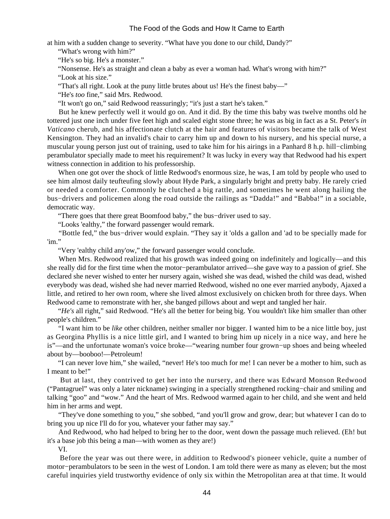at him with a sudden change to severity. "What have you done to our child, Dandy?"

"What's wrong with him?"

"He's so big. He's a monster."

"Nonsense. He's as straight and clean a baby as ever a woman had. What's wrong with him?"

"Look at his size."

"That's all right. Look at the puny little brutes about us! He's the finest baby—"

"He's *too* fine," said Mrs. Redwood.

"It won't go on," said Redwood reassuringly; "it's just a start he's taken."

 But he knew perfectly well it would go on. And it did. By the time this baby was twelve months old he tottered just one inch under five feet high and scaled eight stone three; he was as big in fact as a St. Peter's *in Vaticano* cherub, and his affectionate clutch at the hair and features of visitors became the talk of West Kensington. They had an invalid's chair to carry him up and down to his nursery, and his special nurse, a muscular young person just out of training, used to take him for his airings in a Panhard 8 h.p. hill−climbing perambulator specially made to meet his requirement? It was lucky in every way that Redwood had his expert witness connection in addition to his professorship.

 When one got over the shock of little Redwood's enormous size, he was, I am told by people who used to see him almost daily teufteufing slowly about Hyde Park, a singularly bright and pretty baby. He rarely cried or needed a comforter. Commonly he clutched a big rattle, and sometimes he went along hailing the bus−drivers and policemen along the road outside the railings as "Dadda!" and "Babba!" in a sociable, democratic way.

"There goes that there great Boomfood baby," the bus−driver used to say.

"Looks 'ealthy," the forward passenger would remark.

 "Bottle fed," the bus−driver would explain. "They say it 'olds a gallon and 'ad to be specially made for 'im."

"Very 'ealthy child any'ow," the forward passenger would conclude.

When Mrs. Redwood realized that his growth was indeed going on indefinitely and logically—and this she really did for the first time when the motor−perambulator arrived—she gave way to a passion of grief. She declared she never wished to enter her nursery again, wished she was dead, wished the child was dead, wished everybody was dead, wished she had never married Redwood, wished no one ever married anybody, Ajaxed a little, and retired to her own room, where she lived almost exclusively on chicken broth for three days. When Redwood came to remonstrate with her, she banged pillows about and wept and tangled her hair.

 "*He's* all right," said Redwood. "He's all the better for being big. You wouldn't like him smaller than other people's children."

 "I want him to be *like* other children, neither smaller nor bigger. I wanted him to be a nice little boy, just as Georgina Phyllis is a nice little girl, and I wanted to bring him up nicely in a nice way, and here he is"—and the unfortunate woman's voice broke—"wearing number four grown−up shoes and being wheeled about by—booboo!—Petroleum!

 "I can never love him," she wailed, "never! He's too much for me! I can never be a mother to him, such as I meant to be!"

 But at last, they contrived to get her into the nursery, and there was Edward Monson Redwood ("Pantagruel" was only a later nickname) swinging in a specially strengthened rocking−chair and smiling and talking "goo" and "wow." And the heart of Mrs. Redwood warmed again to her child, and she went and held him in her arms and wept.

 "They've done something to you," she sobbed, "and you'll grow and grow, dear; but whatever I can do to bring you up nice I'll do for you, whatever your father may say."

 And Redwood, who had helped to bring her to the door, went down the passage much relieved. (Eh! but it's a base job this being a man—with women as they are!)

VI.

 Before the year was out there were, in addition to Redwood's pioneer vehicle, quite a number of motor−perambulators to be seen in the west of London. I am told there were as many as eleven; but the most careful inquiries yield trustworthy evidence of only six within the Metropolitan area at that time. It would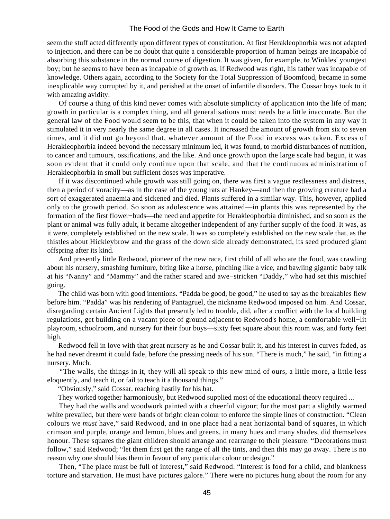seem the stuff acted differently upon different types of constitution. At first Herakleophorbia was not adapted to injection, and there can be no doubt that quite a considerable proportion of human beings are incapable of absorbing this substance in the normal course of digestion. It was given, for example, to Winkles' youngest boy; but he seems to have been as incapable of growth as, if Redwood was right, his father was incapable of knowledge. Others again, according to the Society for the Total Suppression of Boomfood, became in some inexplicable way corrupted by it, and perished at the onset of infantile disorders. The Cossar boys took to it with amazing avidity.

 Of course a thing of this kind never comes with absolute simplicity of application into the life of man; growth in particular is a complex thing, and all generalisations must needs be a little inaccurate. But the general law of the Food would seem to be this, that when it could be taken into the system in any way it stimulated it in very nearly the same degree in all cases. It increased the amount of growth from six to seven times, and it did not go beyond that, whatever amount of the Food in excess was taken. Excess of Herakleophorbia indeed beyond the necessary minimum led, it was found, to morbid disturbances of nutrition, to cancer and tumours, ossifications, and the like. And once growth upon the large scale had begun, it was soon evident that it could only continue upon that scale, and that the continuous administration of Herakleophorbia in small but sufficient doses was imperative.

 If it was discontinued while growth was still going on, there was first a vague restlessness and distress, then a period of voracity—as in the case of the young rats at Hankey—and then the growing creature had a sort of exaggerated anaemia and sickened and died. Plants suffered in a similar way. This, however, applied only to the growth period. So soon as adolescence was attained—in plants this was represented by the formation of the first flower−buds—the need and appetite for Herakleophorbia diminished, and so soon as the plant or animal was fully adult, it became altogether independent of any further supply of the food. It was, as it were, completely established on the new scale. It was so completely established on the new scale that, as the thistles about Hickleybrow and the grass of the down side already demonstrated, its seed produced giant offspring after its kind.

 And presently little Redwood, pioneer of the new race, first child of all who ate the food, was crawling about his nursery, smashing furniture, biting like a horse, pinching like a vice, and bawling gigantic baby talk at his "Nanny" and "Mammy" and the rather scared and awe−stricken "Daddy," who had set this mischief going.

 The child was born with good intentions. "Padda be good, be good," he used to say as the breakables flew before him. "Padda" was his rendering of Pantagruel, the nickname Redwood imposed on him. And Cossar, disregarding certain Ancient Lights that presently led to trouble, did, after a conflict with the local building regulations, get building on a vacant piece of ground adjacent to Redwood's home, a comfortable well−lit playroom, schoolroom, and nursery for their four boys—sixty feet square about this room was, and forty feet high.

 Redwood fell in love with that great nursery as he and Cossar built it, and his interest in curves faded, as he had never dreamt it could fade, before the pressing needs of his son. "There is much," he said, "in fitting a nursery. Much.

 "The walls, the things in it, they will all speak to this new mind of ours, a little more, a little less eloquently, and teach it, or fail to teach it a thousand things."

"Obviously," said Cossar, reaching hastily for his hat.

They worked together harmoniously, but Redwood supplied most of the educational theory required ...

 They had the walls and woodwork painted with a cheerful vigour; for the most part a slightly warmed white prevailed, but there were bands of bright clean colour to enforce the simple lines of construction. "Clean colours we *must* have," said Redwood, and in one place had a neat horizontal band of squares, in which crimson and purple, orange and lemon, blues and greens, in many hues and many shades, did themselves honour. These squares the giant children should arrange and rearrange to their pleasure. "Decorations must follow," said Redwood; "let them first get the range of all the tints, and then this may go away. There is no reason why one should bias them in favour of any particular colour or design."

 Then, "The place must be full of interest," said Redwood. "Interest is food for a child, and blankness torture and starvation. He must have pictures galore." There were no pictures hung about the room for any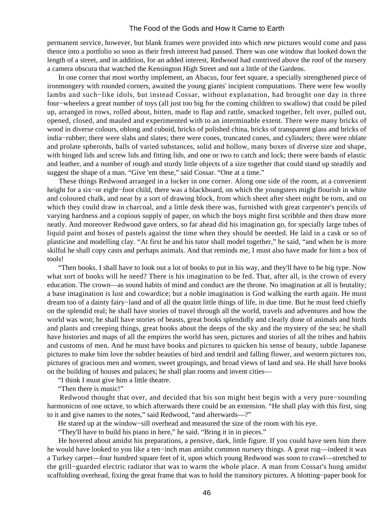permanent service, however, but blank frames were provided into which new pictures would come and pass thence into a portfolio so soon as their fresh interest had passed. There was one window that looked down the length of a street, and in addition, for an added interest, Redwood had contrived above the roof of the nursery a camera obscura that watched the Kensington High Street and not a little of the Gardens.

 In one corner that most worthy implement, an Abacus, four feet square, a specially strengthened piece of ironmongery with rounded corners, awaited the young giants' incipient computations. There were few woolly lambs and such−like idols, but instead Cossar, without explanation, had brought one day in three four−wheelers a great number of toys (all just too big for the coming children to swallow) that could be piled up, arranged in rows, rolled about, bitten, made to flap and rattle, smacked together, felt over, pulled out, opened, closed, and mauled and experimented with to an interminable extent. There were many bricks of wood in diverse colours, oblong and cuboid, bricks of polished china, bricks of transparent glass and bricks of india−rubber; there were slabs and slates; there were cones, truncated cones, and cylinders; there were oblate and prolate spheroids, balls of varied substances, solid and hollow, many boxes of diverse size and shape, with hinged lids and screw lids and fitting lids, and one or two to catch and lock; there were bands of elastic and leather, and a number of rough and sturdy little objects of a size together that could stand up steadily and suggest the shape of a man. "Give 'em these," said Cossar. "One at a time."

 These things Redwood arranged in a locker in one corner. Along one side of the room, at a convenient height for a six−or eight−foot child, there was a blackboard, on which the youngsters might flourish in white and coloured chalk, and near by a sort of drawing block, from which sheet after sheet might be torn, and on which they could draw in charcoal, and a little desk there was, furnished with great carpenter's pencils of varying hardness and a copious supply of paper, on which the boys might first scribble and then draw more neatly. And moreover Redwood gave orders, so far ahead did his imagination go, for specially large tubes of liquid paint and boxes of pastels against the time when they should be needed. He laid in a cask or so of plasticine and modelling clay. "At first he and his tutor shall model together," he said, "and when he is more skilful he shall copy casts and perhaps animals. And that reminds me, I must also have made for him a box of tools!

 "Then books. I shall have to look out a lot of books to put in his way, and they'll have to be big type. Now what sort of books will he need? There is his imagination to be fed. That, after all, is the crown of every education. The crown—as sound habits of mind and conduct are the throne. No imagination at all is brutality; a base imagination is lust and cowardice; but a noble imagination is God walking the earth again. He must dream too of a dainty fairy−land and of all the quaint little things of life, in due time. But he must feed chiefly on the splendid real; he shall have stories of travel through all the world, travels and adventures and how the world was won; he shall have stories of beasts, great books splendidly and clearly done of animals and birds and plants and creeping things, great books about the deeps of the sky and the mystery of the sea; he shall have histories and maps of all the empires the world has seen, pictures and stories of all the tribes and habits and customs of men. And he must have books and pictures to quicken his sense of beauty, subtle Japanese pictures to make him love the subtler beauties of bird and tendril and falling flower, and western pictures too, pictures of gracious men and women, sweet groupings, and broad views of land and sea. He shall have books on the building of houses and palaces; he shall plan rooms and invent cities—

"I think I must give him a little theatre.

"Then there is music!"

 Redwood thought that over, and decided that his son might best begin with a very pure−sounding harmonicon of one octave, to which afterwards there could be an extension. "He shall play with this first, sing to it and give names to the notes," said Redwood, "and afterwards—?"

He stared up at the window-sill overhead and measured the size of the room with his eye.

"They'll have to build his piano in here," he said. "Bring it in in pieces."

 He hovered about amidst his preparations, a pensive, dark, little figure. If you could have seen him there he would have looked to you like a ten−inch man amidst common nursery things. A great rug—indeed it was a Turkey carpet—four hundred square feet of it, upon which young Redwood was soon to crawl—stretched to the grill−guarded electric radiator that was to warm the whole place. A man from Cossar's hung amidst scaffolding overhead, fixing the great frame that was to hold the transitory pictures. A blotting−paper book for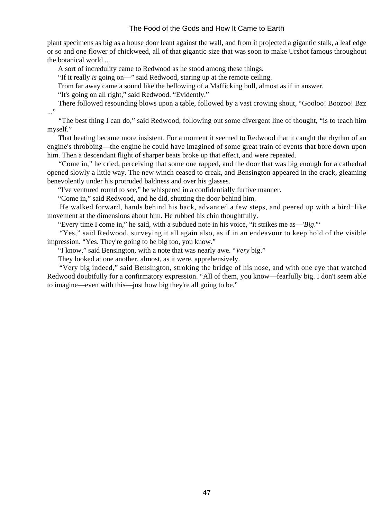plant specimens as big as a house door leant against the wall, and from it projected a gigantic stalk, a leaf edge or so and one flower of chickweed, all of that gigantic size that was soon to make Urshot famous throughout the botanical world ...

A sort of incredulity came to Redwood as he stood among these things.

"If it really *is* going on—" said Redwood, staring up at the remote ceiling.

From far away came a sound like the bellowing of a Mafficking bull, almost as if in answer.

"It's going on all right," said Redwood. "Evidently."

 There followed resounding blows upon a table, followed by a vast crowing shout, "Gooloo! Boozoo! Bzz ..."

 "The best thing I can do," said Redwood, following out some divergent line of thought, "is to teach him myself."

 That beating became more insistent. For a moment it seemed to Redwood that it caught the rhythm of an engine's throbbing—the engine he could have imagined of some great train of events that bore down upon him. Then a descendant flight of sharper beats broke up that effect, and were repeated.

 "Come in," he cried, perceiving that some one rapped, and the door that was big enough for a cathedral opened slowly a little way. The new winch ceased to creak, and Bensington appeared in the crack, gleaming benevolently under his protruded baldness and over his glasses.

"I've ventured round to *see*," he whispered in a confidentially furtive manner.

"Come in," said Redwood, and he did, shutting the door behind him.

 He walked forward, hands behind his back, advanced a few steps, and peered up with a bird−like movement at the dimensions about him. He rubbed his chin thoughtfully.

"Every time I come in," he said, with a subdued note in his voice, "it strikes me as—'*Big*.'"

 "Yes," said Redwood, surveying it all again also, as if in an endeavour to keep hold of the visible impression. "Yes. They're going to be big too, you know."

"I know," said Bensington, with a note that was nearly awe. "*Very* big."

They looked at one another, almost, as it were, apprehensively.

 "Very big indeed," said Bensington, stroking the bridge of his nose, and with one eye that watched Redwood doubtfully for a confirmatory expression. "All of them, you know—fearfully big. I don't seem able to imagine—even with this—just how big they're all going to be."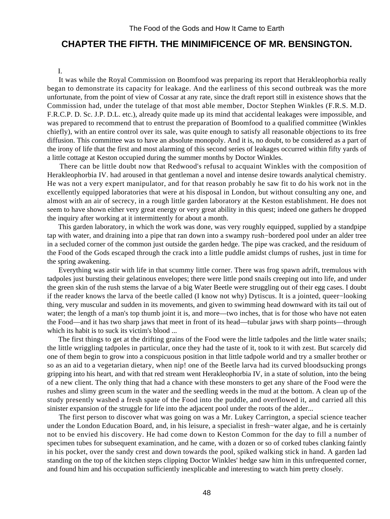# **CHAPTER THE FIFTH. THE MINIMIFICENCE OF MR. BENSINGTON.**

#### I.

 It was while the Royal Commission on Boomfood was preparing its report that Herakleophorbia really began to demonstrate its capacity for leakage. And the earliness of this second outbreak was the more unfortunate, from the point of view of Cossar at any rate, since the draft report still in existence shows that the Commission had, under the tutelage of that most able member, Doctor Stephen Winkles (F.R.S. M.D. F.R.C.P. D. Sc. J.P. D.L. etc.), already quite made up its mind that accidental leakages were impossible, and was prepared to recommend that to entrust the preparation of Boomfood to a qualified committee (Winkles chiefly), with an entire control over its sale, was quite enough to satisfy all reasonable objections to its free diffusion. This committee was to have an absolute monopoly. And it is, no doubt, to be considered as a part of the irony of life that the first and most alarming of this second series of leakages occurred within fifty yards of a little cottage at Keston occupied during the summer months by Doctor Winkles.

 There can be little doubt now that Redwood's refusal to acquaint Winkles with the composition of Herakleophorbia IV. had aroused in that gentleman a novel and intense desire towards analytical chemistry. He was not a very expert manipulator, and for that reason probably he saw fit to do his work not in the excellently equipped laboratories that were at his disposal in London, but without consulting any one, and almost with an air of secrecy, in a rough little garden laboratory at the Keston establishment. He does not seem to have shown either very great energy or very great ability in this quest; indeed one gathers he dropped the inquiry after working at it intermittently for about a month.

 This garden laboratory, in which the work was done, was very roughly equipped, supplied by a standpipe tap with water, and draining into a pipe that ran down into a swampy rush−bordered pool under an alder tree in a secluded corner of the common just outside the garden hedge. The pipe was cracked, and the residuum of the Food of the Gods escaped through the crack into a little puddle amidst clumps of rushes, just in time for the spring awakening.

 Everything was astir with life in that scummy little corner. There was frog spawn adrift, tremulous with tadpoles just bursting their gelatinous envelopes; there were little pond snails creeping out into life, and under the green skin of the rush stems the larvae of a big Water Beetle were struggling out of their egg cases. I doubt if the reader knows the larva of the beetle called (I know not why) Dytiscus. It is a jointed, queer−looking thing, very muscular and sudden in its movements, and given to swimming head downward with its tail out of water; the length of a man's top thumb joint it is, and more—two inches, that is for those who have not eaten the Food—and it has two sharp jaws that meet in front of its head—tubular jaws with sharp points—through which its habit is to suck its victim's blood ...

 The first things to get at the drifting grains of the Food were the little tadpoles and the little water snails; the little wriggling tadpoles in particular, once they had the taste of it, took to it with zest. But scarcely did one of them begin to grow into a conspicuous position in that little tadpole world and try a smaller brother or so as an aid to a vegetarian dietary, when nip! one of the Beetle larva had its curved bloodsucking prongs gripping into his heart, and with that red stream went Herakleophorbia IV, in a state of solution, into the being of a new client. The only thing that had a chance with these monsters to get any share of the Food were the rushes and slimy green scum in the water and the seedling weeds in the mud at the bottom. A clean up of the study presently washed a fresh spate of the Food into the puddle, and overflowed it, and carried all this sinister expansion of the struggle for life into the adjacent pool under the roots of the alder...

 The first person to discover what was going on was a Mr. Lukey Carrington, a special science teacher under the London Education Board, and, in his leisure, a specialist in fresh−water algae, and he is certainly not to be envied his discovery. He had come down to Keston Common for the day to fill a number of specimen tubes for subsequent examination, and he came, with a dozen or so of corked tubes clanking faintly in his pocket, over the sandy crest and down towards the pool, spiked walking stick in hand. A garden lad standing on the top of the kitchen steps clipping Doctor Winkles' hedge saw him in this unfrequented corner, and found him and his occupation sufficiently inexplicable and interesting to watch him pretty closely.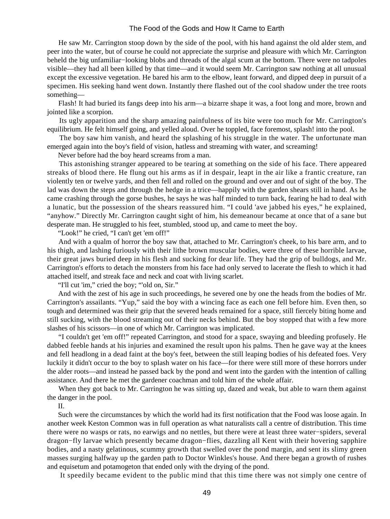He saw Mr. Carrington stoop down by the side of the pool, with his hand against the old alder stem, and peer into the water, but of course he could not appreciate the surprise and pleasure with which Mr. Carrington beheld the big unfamiliar−looking blobs and threads of the algal scum at the bottom. There were no tadpoles visible—they had all been killed by that time—and it would seem Mr. Carrington saw nothing at all unusual except the excessive vegetation. He bared his arm to the elbow, leant forward, and dipped deep in pursuit of a specimen. His seeking hand went down. Instantly there flashed out of the cool shadow under the tree roots something—

 Flash! It had buried its fangs deep into his arm—a bizarre shape it was, a foot long and more, brown and jointed like a scorpion.

 Its ugly apparition and the sharp amazing painfulness of its bite were too much for Mr. Carrington's equilibrium. He felt himself going, and yelled aloud. Over he toppled, face foremost, splash! into the pool.

 The boy saw him vanish, and heard the splashing of his struggle in the water. The unfortunate man emerged again into the boy's field of vision, hatless and streaming with water, and screaming!

Never before had the boy heard screams from a man.

 This astonishing stranger appeared to be tearing at something on the side of his face. There appeared streaks of blood there. He flung out his arms as if in despair, leapt in the air like a frantic creature, ran violently ten or twelve yards, and then fell and rolled on the ground and over and out of sight of the boy. The lad was down the steps and through the hedge in a trice—happily with the garden shears still in hand. As he came crashing through the gorse bushes, he says he was half minded to turn back, fearing he had to deal with a lunatic, but the possession of the shears reassured him. "I could 'ave jabbed his eyes," he explained, "anyhow." Directly Mr. Carrington caught sight of him, his demeanour became at once that of a sane but desperate man. He struggled to his feet, stumbled, stood up, and came to meet the boy.

"Look!" he cried, "I can't get 'em off!"

 And with a qualm of horror the boy saw that, attached to Mr. Carrington's cheek, to his bare arm, and to his thigh, and lashing furiously with their lithe brown muscular bodies, were three of these horrible larvae, their great jaws buried deep in his flesh and sucking for dear life. They had the grip of bulldogs, and Mr. Carrington's efforts to detach the monsters from his face had only served to lacerate the flesh to which it had attached itself, and streak face and neck and coat with living scarlet.

"I'll cut 'im," cried the boy; "'old on, Sir."

 And with the zest of his age in such proceedings, he severed one by one the heads from the bodies of Mr. Carrington's assailants. "Yup," said the boy with a wincing face as each one fell before him. Even then, so tough and determined was their grip that the severed heads remained for a space, still fiercely biting home and still sucking, with the blood streaming out of their necks behind. But the boy stopped that with a few more slashes of his scissors—in one of which Mr. Carrington was implicated.

 "I couldn't get 'em off!" repeated Carrington, and stood for a space, swaying and bleeding profusely. He dabbed feeble hands at his injuries and examined the result upon his palms. Then he gave way at the knees and fell headlong in a dead faint at the boy's feet, between the still leaping bodies of his defeated foes. Very luckily it didn't occur to the boy to splash water on his face—for there were still more of these horrors under the alder roots—and instead he passed back by the pond and went into the garden with the intention of calling assistance. And there he met the gardener coachman and told him of the whole affair.

When they got back to Mr. Carrington he was sitting up, dazed and weak, but able to warn them against the danger in the pool.

II.

 Such were the circumstances by which the world had its first notification that the Food was loose again. In another week Keston Common was in full operation as what naturalists call a centre of distribution. This time there were no wasps or rats, no earwigs and no nettles, but there were at least three water−spiders, several dragon−fly larvae which presently became dragon−flies, dazzling all Kent with their hovering sapphire bodies, and a nasty gelatinous, scummy growth that swelled over the pond margin, and sent its slimy green masses surging halfway up the garden path to Doctor Winkles's house. And there began a growth of rushes and equisetum and potamogeton that ended only with the drying of the pond.

It speedily became evident to the public mind that this time there was not simply one centre of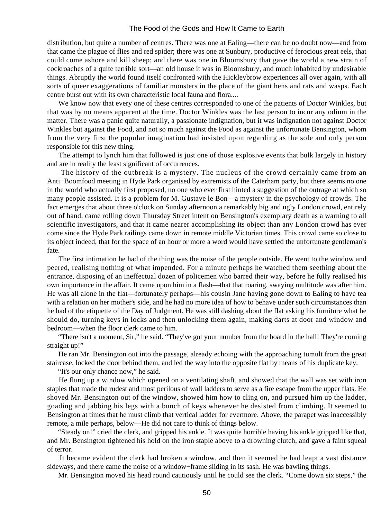distribution, but quite a number of centres. There was one at Ealing—there can be no doubt now—and from that came the plague of flies and red spider; there was one at Sunbury, productive of ferocious great eels, that could come ashore and kill sheep; and there was one in Bloomsbury that gave the world a new strain of cockroaches of a quite terrible sort—an old house it was in Bloomsbury, and much inhabited by undesirable things. Abruptly the world found itself confronted with the Hickleybrow experiences all over again, with all sorts of queer exaggerations of familiar monsters in the place of the giant hens and rats and wasps. Each centre burst out with its own characteristic local fauna and flora....

 We know now that every one of these centres corresponded to one of the patients of Doctor Winkles, but that was by no means apparent at the time. Doctor Winkles was the last person to incur any odium in the matter. There was a panic quite naturally, a passionate indignation, but it was indignation not against Doctor Winkles but against the Food, and not so much against the Food as against the unfortunate Bensington, whom from the very first the popular imagination had insisted upon regarding as the sole and only person responsible for this new thing.

 The attempt to lynch him that followed is just one of those explosive events that bulk largely in history and are in reality the least significant of occurrences.

 The history of the outbreak is a mystery. The nucleus of the crowd certainly came from an Anti−Boomfood meeting in Hyde Park organised by extremists of the Caterham party, but there seems no one in the world who actually first proposed, no one who ever first hinted a suggestion of the outrage at which so many people assisted. It is a problem for M. Gustave le Bon—a mystery in the psychology of crowds. The fact emerges that about three o'clock on Sunday afternoon a remarkably big and ugly London crowd, entirely out of hand, came rolling down Thursday Street intent on Bensington's exemplary death as a warning to all scientific investigators, and that it came nearer accomplishing its object than any London crowd has ever come since the Hyde Park railings came down in remote middle Victorian times. This crowd came so close to its object indeed, that for the space of an hour or more a word would have settled the unfortunate gentleman's fate.

 The first intimation he had of the thing was the noise of the people outside. He went to the window and peered, realising nothing of what impended. For a minute perhaps he watched them seething about the entrance, disposing of an ineffectual dozen of policemen who barred their way, before he fully realised his own importance in the affair. It came upon him in a flash—that that roaring, swaying multitude was after him. He was all alone in the flat—fortunately perhaps—his cousin Jane having gone down to Ealing to have tea with a relation on her mother's side, and he had no more idea of how to behave under such circumstances than he had of the etiquette of the Day of Judgment. He was still dashing about the flat asking his furniture what he should do, turning keys in locks and then unlocking them again, making darts at door and window and bedroom—when the floor clerk came to him.

 "There isn't a moment, Sir," he said. "They've got your number from the board in the hall! They're coming straight up!"

 He ran Mr. Bensington out into the passage, already echoing with the approaching tumult from the great staircase, locked the door behind them, and led the way into the opposite flat by means of his duplicate key.

"It's our only chance now," he said.

 He flung up a window which opened on a ventilating shaft, and showed that the wall was set with iron staples that made the rudest and most perilous of wall ladders to serve as a fire escape from the upper flats. He shoved Mr. Bensington out of the window, showed him how to cling on, and pursued him up the ladder, goading and jabbing his legs with a bunch of keys whenever he desisted from climbing. It seemed to Bensington at times that he must climb that vertical ladder for evermore. Above, the parapet was inaccessibly remote, a mile perhaps, below—He did not care to think of things below.

 "Steady on!" cried the clerk, and gripped his ankle. It was quite horrible having his ankle gripped like that, and Mr. Bensington tightened his hold on the iron staple above to a drowning clutch, and gave a faint squeal of terror.

 It became evident the clerk had broken a window, and then it seemed he had leapt a vast distance sideways, and there came the noise of a window−frame sliding in its sash. He was bawling things.

Mr. Bensington moved his head round cautiously until he could see the clerk. "Come down six steps," the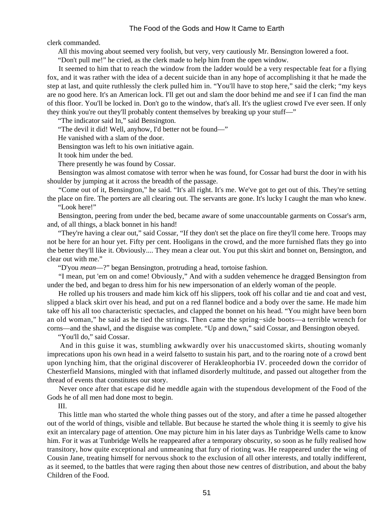clerk commanded.

All this moving about seemed very foolish, but very, very cautiously Mr. Bensington lowered a foot.

"Don't pull me!" he cried, as the clerk made to help him from the open window.

 It seemed to him that to reach the window from the ladder would be a very respectable feat for a flying fox, and it was rather with the idea of a decent suicide than in any hope of accomplishing it that he made the step at last, and quite ruthlessly the clerk pulled him in. "You'll have to stop here," said the clerk; "my keys are no good here. It's an American lock. I'll get out and slam the door behind me and see if I can find the man of this floor. You'll be locked in. Don't go to the window, that's all. It's the ugliest crowd I've ever seen. If only they think you're out they'll probably content themselves by breaking up your stuff—"

"The indicator said In," said Bensington.

"The devil it did! Well, anyhow, I'd better not be found—"

He vanished with a slam of the door.

Bensington was left to his own initiative again.

It took him under the bed.

There presently he was found by Cossar.

 Bensington was almost comatose with terror when he was found, for Cossar had burst the door in with his shoulder by jumping at it across the breadth of the passage.

 "Come out of it, Bensington," he said. "It's all right. It's me. We've got to get out of this. They're setting the place on fire. The porters are all clearing out. The servants are gone. It's lucky I caught the man who knew. "Look here!"

 Bensington, peering from under the bed, became aware of some unaccountable garments on Cossar's arm, and, of all things, a black bonnet in his hand!

 "They're having a clear out," said Cossar, "If they don't set the place on fire they'll come here. Troops may not be here for an hour yet. Fifty per cent. Hooligans in the crowd, and the more furnished flats they go into the better they'll like it. Obviously.... They mean a clear out. You put this skirt and bonnet on, Bensington, and clear out with me."

"D'you *mean*—?" began Bensington, protruding a head, tortoise fashion.

 "I mean, put 'em on and come! Obviously," And with a sudden vehemence he dragged Bensington from under the bed, and began to dress him for his new impersonation of an elderly woman of the people.

 He rolled up his trousers and made him kick off his slippers, took off his collar and tie and coat and vest, slipped a black skirt over his head, and put on a red flannel bodice and a body over the same. He made him take off his all too characteristic spectacles, and clapped the bonnet on his head. "You might have been born an old woman," he said as he tied the strings. Then came the spring−side boots—a terrible wrench for corns—and the shawl, and the disguise was complete. "Up and down," said Cossar, and Bensington obeyed.

"You'll do," said Cossar.

 And in this guise it was, stumbling awkwardly over his unaccustomed skirts, shouting womanly imprecations upon his own head in a weird falsetto to sustain his part, and to the roaring note of a crowd bent upon lynching him, that the original discoverer of Herakleophorbia IV. proceeded down the corridor of Chesterfield Mansions, mingled with that inflamed disorderly multitude, and passed out altogether from the thread of events that constitutes our story.

 Never once after that escape did he meddle again with the stupendous development of the Food of the Gods he of all men had done most to begin.

III.

 This little man who started the whole thing passes out of the story, and after a time he passed altogether out of the world of things, visible and tellable. But because he started the whole thing it is seemly to give his exit an intercalary page of attention. One may picture him in his later days as Tunbridge Wells came to know him. For it was at Tunbridge Wells he reappeared after a temporary obscurity, so soon as he fully realised how transitory, how quite exceptional and unmeaning that fury of rioting was. He reappeared under the wing of Cousin Jane, treating himself for nervous shock to the exclusion of all other interests, and totally indifferent, as it seemed, to the battles that were raging then about those new centres of distribution, and about the baby Children of the Food.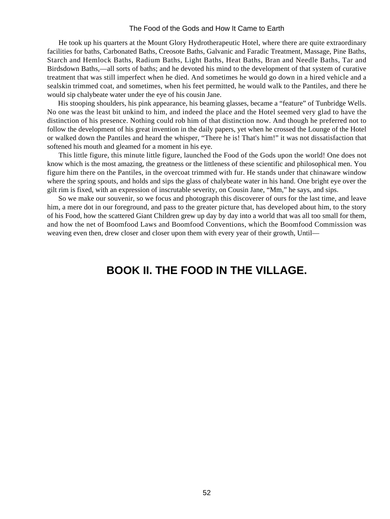He took up his quarters at the Mount Glory Hydrotherapeutic Hotel, where there are quite extraordinary facilities for baths, Carbonated Baths, Creosote Baths, Galvanic and Faradic Treatment, Massage, Pine Baths, Starch and Hemlock Baths, Radium Baths, Light Baths, Heat Baths, Bran and Needle Baths, Tar and Birdsdown Baths,—all sorts of baths; and he devoted his mind to the development of that system of curative treatment that was still imperfect when he died. And sometimes he would go down in a hired vehicle and a sealskin trimmed coat, and sometimes, when his feet permitted, he would walk to the Pantiles, and there he would sip chalybeate water under the eye of his cousin Jane.

 His stooping shoulders, his pink appearance, his beaming glasses, became a "feature" of Tunbridge Wells. No one was the least bit unkind to him, and indeed the place and the Hotel seemed very glad to have the distinction of his presence. Nothing could rob him of that distinction now. And though he preferred not to follow the development of his great invention in the daily papers, yet when he crossed the Lounge of the Hotel or walked down the Pantiles and heard the whisper, "There he is! That's him!" it was not dissatisfaction that softened his mouth and gleamed for a moment in his eye.

 This little figure, this minute little figure, launched the Food of the Gods upon the world! One does not know which is the most amazing, the greatness or the littleness of these scientific and philosophical men. You figure him there on the Pantiles, in the overcoat trimmed with fur. He stands under that chinaware window where the spring spouts, and holds and sips the glass of chalybeate water in his hand. One bright eye over the gilt rim is fixed, with an expression of inscrutable severity, on Cousin Jane, "Mm," he says, and sips.

 So we make our souvenir, so we focus and photograph this discoverer of ours for the last time, and leave him, a mere dot in our foreground, and pass to the greater picture that, has developed about him, to the story of his Food, how the scattered Giant Children grew up day by day into a world that was all too small for them, and how the net of Boomfood Laws and Boomfood Conventions, which the Boomfood Commission was weaving even then, drew closer and closer upon them with every year of their growth, Until—

# **BOOK II. THE FOOD IN THE VILLAGE.**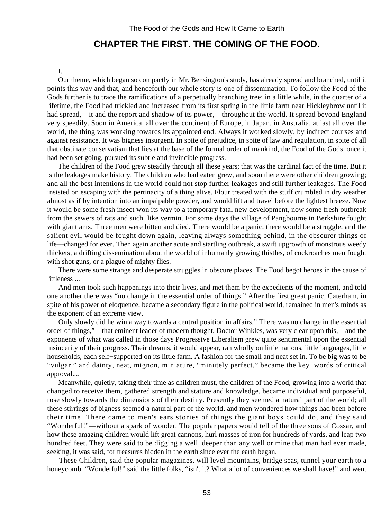# **CHAPTER THE FIRST. THE COMING OF THE FOOD.**

#### I.

 Our theme, which began so compactly in Mr. Bensington's study, has already spread and branched, until it points this way and that, and henceforth our whole story is one of dissemination. To follow the Food of the Gods further is to trace the ramifications of a perpetually branching tree; in a little while, in the quarter of a lifetime, the Food had trickled and increased from its first spring in the little farm near Hickleybrow until it had spread,—it and the report and shadow of its power,—throughout the world. It spread beyond England very speedily. Soon in America, all over the continent of Europe, in Japan, in Australia, at last all over the world, the thing was working towards its appointed end. Always it worked slowly, by indirect courses and against resistance. It was bigness insurgent. In spite of prejudice, in spite of law and regulation, in spite of all that obstinate conservatism that lies at the base of the formal order of mankind, the Food of the Gods, once it had been set going, pursued its subtle and invincible progress.

 The children of the Food grew steadily through all these years; that was the cardinal fact of the time. But it is the leakages make history. The children who had eaten grew, and soon there were other children growing; and all the best intentions in the world could not stop further leakages and still further leakages. The Food insisted on escaping with the pertinacity of a thing alive. Flour treated with the stuff crumbled in dry weather almost as if by intention into an impalpable powder, and would lift and travel before the lightest breeze. Now it would be some fresh insect won its way to a temporary fatal new development, now some fresh outbreak from the sewers of rats and such−like vermin. For some days the village of Pangbourne in Berkshire fought with giant ants. Three men were bitten and died. There would be a panic, there would be a struggle, and the salient evil would be fought down again, leaving always something behind, in the obscurer things of life—changed for ever. Then again another acute and startling outbreak, a swift upgrowth of monstrous weedy thickets, a drifting dissemination about the world of inhumanly growing thistles, of cockroaches men fought with shot guns, or a plague of mighty flies.

 There were some strange and desperate struggles in obscure places. The Food begot heroes in the cause of littleness ...

 And men took such happenings into their lives, and met them by the expedients of the moment, and told one another there was "no change in the essential order of things." After the first great panic, Caterham, in spite of his power of eloquence, became a secondary figure in the political world, remained in men's minds as the exponent of an extreme view.

 Only slowly did he win a way towards a central position in affairs." There was no change in the essential order of things,"—that eminent leader of modern thought, Doctor Winkles, was very clear upon this,—and the exponents of what was called in those days Progressive Liberalism grew quite sentimental upon the essential insincerity of their progress. Their dreams, it would appear, ran wholly on little nations, little languages, little households, each self−supported on its little farm. A fashion for the small and neat set in. To be big was to be "vulgar," and dainty, neat, mignon, miniature, "minutely perfect," became the key−words of critical approval....

 Meanwhile, quietly, taking their time as children must, the children of the Food, growing into a world that changed to receive them, gathered strength and stature and knowledge, became individual and purposeful, rose slowly towards the dimensions of their destiny. Presently they seemed a natural part of the world; all these stirrings of bigness seemed a natural part of the world, and men wondered how things had been before their time. There came to men's ears stories of things the giant boys could do, and they said "Wonderful!"—without a spark of wonder. The popular papers would tell of the three sons of Cossar, and how these amazing children would lift great cannons, hurl masses of iron for hundreds of yards, and leap two hundred feet. They were said to be digging a well, deeper than any well or mine that man had ever made, seeking, it was said, for treasures hidden in the earth since ever the earth began.

 These Children, said the popular magazines, will level mountains, bridge seas, tunnel your earth to a honeycomb. "Wonderful!" said the little folks, "isn't it? What a lot of conveniences we shall have!" and went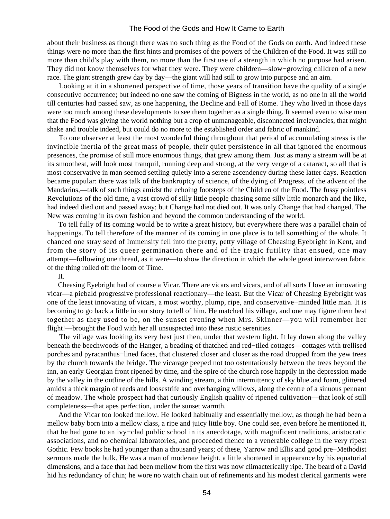about their business as though there was no such thing as the Food of the Gods on earth. And indeed these things were no more than the first hints and promises of the powers of the Children of the Food. It was still no more than child's play with them, no more than the first use of a strength in which no purpose had arisen. They did not know themselves for what they were. They were children—slow−growing children of a new race. The giant strength grew day by day—the giant will had still to grow into purpose and an aim.

 Looking at it in a shortened perspective of time, those years of transition have the quality of a single consecutive occurrence; but indeed no one saw the coming of Bigness in the world, as no one in all the world till centuries had passed saw, as one happening, the Decline and Fall of Rome. They who lived in those days were too much among these developments to see them together as a single thing. It seemed even to wise men that the Food was giving the world nothing but a crop of unmanageable, disconnected irrelevancies, that might shake and trouble indeed, but could do no more to the established order and fabric of mankind.

 To one observer at least the most wonderful thing throughout that period of accumulating stress is the invincible inertia of the great mass of people, their quiet persistence in all that ignored the enormous presences, the promise of still more enormous things, that grew among them. Just as many a stream will be at its smoothest, will look most tranquil, running deep and strong, at the very verge of a cataract, so all that is most conservative in man seemed settling quietly into a serene ascendency during these latter days. Reaction became popular: there was talk of the bankruptcy of science, of the dying of Progress, of the advent of the Mandarins,—talk of such things amidst the echoing footsteps of the Children of the Food. The fussy pointless Revolutions of the old time, a vast crowd of silly little people chasing some silly little monarch and the like, had indeed died out and passed away; but Change had not died out. It was only Change that had changed. The New was coming in its own fashion and beyond the common understanding of the world.

 To tell fully of its coming would be to write a great history, but everywhere there was a parallel chain of happenings. To tell therefore of the manner of its coming in one place is to tell something of the whole. It chanced one stray seed of Immensity fell into the pretty, petty village of Cheasing Eyebright in Kent, and from the story of its queer germination there and of the tragic futility that ensued, one may attempt—following one thread, as it were—to show the direction in which the whole great interwoven fabric of the thing rolled off the loom of Time.

II.

 Cheasing Eyebright had of course a Vicar. There are vicars and vicars, and of all sorts I love an innovating vicar—a piebald progressive professional reactionary—the least. But the Vicar of Cheasing Eyebright was one of the least innovating of vicars, a most worthy, plump, ripe, and conservative−minded little man. It is becoming to go back a little in our story to tell of him. He matched his village, and one may figure them best together as they used to be, on the sunset evening when Mrs. Skinner—you will remember her flight!—brought the Food with her all unsuspected into these rustic serenities.

 The village was looking its very best just then, under that western light. It lay down along the valley beneath the beechwoods of the Hanger, a beading of thatched and red−tiled cottages—cottages with trellised porches and pyracanthus−lined faces, that clustered closer and closer as the road dropped from the yew trees by the church towards the bridge. The vicarage peeped not too ostentatiously between the trees beyond the inn, an early Georgian front ripened by time, and the spire of the church rose happily in the depression made by the valley in the outline of the hills. A winding stream, a thin intermittency of sky blue and foam, glittered amidst a thick margin of reeds and loosestrife and overhanging willows, along the centre of a sinuous pennant of meadow. The whole prospect had that curiously English quality of ripened cultivation—that look of still completeness—that apes perfection, under the sunset warmth.

 And the Vicar too looked mellow. He looked habitually and essentially mellow, as though he had been a mellow baby born into a mellow class, a ripe and juicy little boy. One could see, even before he mentioned it, that he had gone to an ivy−clad public school in its anecdotage, with magnificent traditions, aristocratic associations, and no chemical laboratories, and proceeded thence to a venerable college in the very ripest Gothic. Few books he had younger than a thousand years; of these, Yarrow and Ellis and good pre−Methodist sermons made the bulk. He was a man of moderate height, a little shortened in appearance by his equatorial dimensions, and a face that had been mellow from the first was now climacterically ripe. The beard of a David hid his redundancy of chin; he wore no watch chain out of refinements and his modest clerical garments were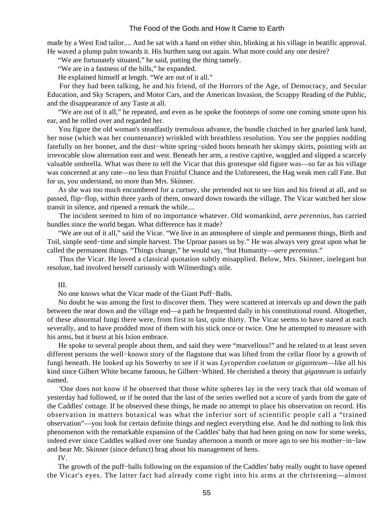made by a West End tailor.... And he sat with a hand on either shin, blinking at his village in beatific approval. He waved a plump palm towards it. His burthen sang out again. What more could any one desire?

"We are fortunately situated," he said, putting the thing tamely.

"We are in a fastness of the hills," he expanded.

He explained himself at length. "We are out of it all."

 For they had been talking, he and his friend, of the Horrors of the Age, of Democracy, and Secular Education, and Sky Scrapers, and Motor Cars, and the American Invasion, the Scrappy Reading of the Public, and the disappearance of any Taste at all.

 "We are out of it all," he repeated, and even as he spoke the footsteps of some one coming smote upon his ear, and he rolled over and regarded her.

 You figure the old woman's steadfastly tremulous advance, the bundle clutched in her gnarled lank hand, her nose (which was her countenance) wrinkled with breathless resolution. You see the poppies nodding fatefully on her bonnet, and the dust−white spring−sided boots beneath her skimpy skirts, pointing with an irrevocable slow alternation east and west. Beneath her arm, a restive captive, waggled and slipped a scarcely valuable umbrella. What was there to tell the Vicar that this grotesque old figure was—so far as his village was concerned at any rate—no less than Fruitful Chance and the Unforeseen, the Hag weak men call Fate. But for us, you understand, no more than Mrs. Skinner.

 As she was too much encumbered for a curtsey, she pretended not to see him and his friend at all, and so passed, flip−flop, within three yards of them, onward down towards the village. The Vicar watched her slow transit in silence, and ripened a remark the while....

 The incident seemed to him of no importance whatever. Old womankind, *aere perennius*, has carried bundles since the world began. What difference has it made?

 "We are out of it all," said the Vicar. "We live in an atmosphere of simple and permanent things, Birth and Toil, simple seed−time and simple harvest. The Uproar passes us by." He was always very great upon what he called the permanent things. "Things change," he would say, "but Humanity—*aere perennius*."

 Thus the Vicar. He loved a classical quotation subtly misapplied. Below, Mrs. Skinner, inelegant but resolute, had involved herself curiously with Wilmerding's stile.

#### III.

No one knows what the Vicar made of the Giant Puff−Balls.

 No doubt he was among the first to discover them. They were scattered at intervals up and down the path between the near down and the village end—a path he frequented daily in his constitutional round. Altogether, of these abnormal fungi there were, from first to last, quite thirty. The Vicar seems to have stared at each severally, and to have prodded most of them with his stick once or twice. One he attempted to measure with his arms, but it burst at his Ixion embrace.

 He spoke to several people about them, and said they were "marvellous!" and he related to at least seven different persons the well−known story of the flagstone that was lifted from the cellar floor by a growth of fungi beneath. He looked up his Sowerby to see if it was *Lycoperdon coelatum* or *giganteum*—like all his kind since Gilbert White became famous, he Gilbert−Whited. He cherished a theory that *giganteum* is unfairly named.

 'One does not know if he observed that those white spheres lay in the very track that old woman of yesterday had followed, or if he noted that the last of the series swelled not a score of yards from the gate of the Caddles' cottage. If he observed these things, he made no attempt to place his observation on record. His observation in matters botanical was what the inferior sort of scientific people call a "trained observation"—you look for certain definite things and neglect everything else. And he did nothing to link this phenomenon with the remarkable expansion of the Caddles' baby that had been going on now for some weeks, indeed ever since Caddles walked over one Sunday afternoon a month or more ago to see his mother−in−law and hear Mr. Skinner (since defunct) brag about his management of hens.

IV.

The growth of the puff–balls following on the expansion of the Caddles' baby really ought to have opened the Vicar's eyes. The latter fact had already come right into his arms at the christening—almost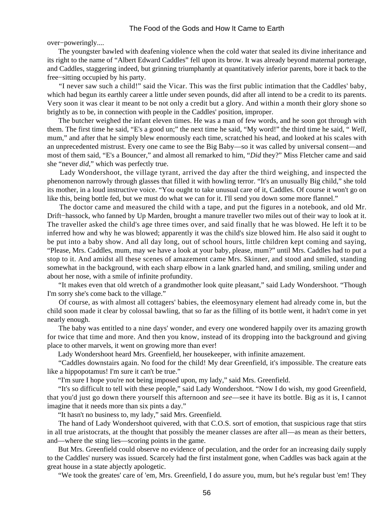over−poweringly....

 The youngster bawled with deafening violence when the cold water that sealed its divine inheritance and its right to the name of "Albert Edward Caddles" fell upon its brow. It was already beyond maternal porterage, and Caddles, staggering indeed, but grinning triumphantly at quantitatively inferior parents, bore it back to the free−sitting occupied by his party.

 "I never saw such a child!" said the Vicar. This was the first public intimation that the Caddles' baby, which had begun its earthly career a little under seven pounds, did after all intend to be a credit to its parents. Very soon it was clear it meant to be not only a credit but a glory. And within a month their glory shone so brightly as to be, in connection with people in the Caddles' position, improper.

 The butcher weighed the infant eleven times. He was a man of few words, and he soon got through with them. The first time he said, "E's a good un;" the next time he said, "My word!" the third time he said, " *Well*, mum," and after that he simply blew enormously each time, scratched his head, and looked at his scales with an unprecedented mistrust. Every one came to see the Big Baby—so it was called by universal consent—and most of them said, "E's a Bouncer," and almost all remarked to him, "*Did* they?" Miss Fletcher came and said she "never *did*," which was perfectly true.

 Lady Wondershoot, the village tyrant, arrived the day after the third weighing, and inspected the phenomenon narrowly through glasses that filled it with howling terror. "It's an unusually Big child," she told its mother, in a loud instructive voice. "You ought to take unusual care of it, Caddles. Of course it won't go on like this, being bottle fed, but we must do what we can for it. I'll send you down some more flannel."

 The doctor came and measured the child with a tape, and put the figures in a notebook, and old Mr. Drift−hassock, who fanned by Up Marden, brought a manure traveller two miles out of their way to look at it. The traveller asked the child's age three times over, and said finally that he was blowed. He left it to be inferred how and why he was blowed; apparently it was the child's size blowed him. He also said it ought to be put into a baby show. And all day long, out of school hours, little children kept coming and saying, "Please, Mrs. Caddles, mum, may we have a look at your baby, please, mum?" until Mrs. Caddles had to put a stop to it. And amidst all these scenes of amazement came Mrs. Skinner, and stood and smiled, standing somewhat in the background, with each sharp elbow in a lank gnarled hand, and smiling, smiling under and about her nose, with a smile of infinite profundity.

 "It makes even that old wretch of a grandmother look quite pleasant," said Lady Wondershoot. "Though I'm sorry she's come back to the village."

 Of course, as with almost all cottagers' babies, the eleemosynary element had already come in, but the child soon made it clear by colossal bawling, that so far as the filling of its bottle went, it hadn't come in yet nearly enough.

 The baby was entitled to a nine days' wonder, and every one wondered happily over its amazing growth for twice that time and more. And then you know, instead of its dropping into the background and giving place to other marvels, it went on growing more than ever!

Lady Wondershoot heard Mrs. Greenfield, her housekeeper, with infinite amazement.

 "Caddles downstairs again. No food for the child! My dear Greenfield, it's impossible. The creature eats like a hippopotamus! I'm sure it can't be true."

"I'm sure I hope you're not being imposed upon, my lady," said Mrs. Greenfield.

 "It's so difficult to tell with these people," said Lady Wondershoot. "Now I do wish, my good Greenfield, that you'd just go down there yourself this afternoon and *see*—see it have its bottle. Big as it is, I cannot imagine that it needs more than six pints a day."

"It hasn't no business to, my lady," said Mrs. Greenfield.

 The hand of Lady Wondershoot quivered, with that C.O.S. sort of emotion, that suspicious rage that stirs in all true aristocrats, at the thought that possibly the meaner classes are after all—as mean as their betters, and—where the sting lies—scoring points in the game.

 But Mrs. Greenfield could observe no evidence of peculation, and the order for an increasing daily supply to the Caddles' nursery was issued. Scarcely had the first instalment gone, when Caddles was back again at the great house in a state abjectly apologetic.

"We took the greates' care of 'em, Mrs. Greenfield, I do assure you, mum, but he's regular bust 'em! They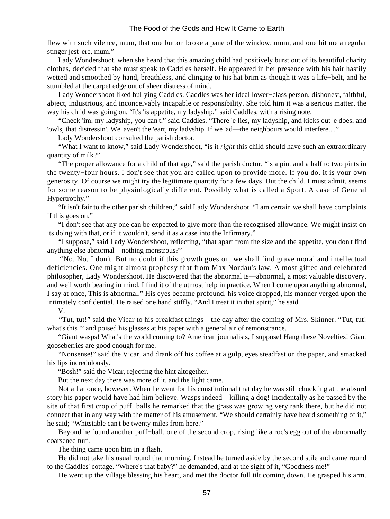flew with such vilence, mum, that one button broke a pane of the window, mum, and one hit me a regular stinger jest 'ere, mum."

 Lady Wondershoot, when she heard that this amazing child had positively burst out of its beautiful charity clothes, decided that she must speak to Caddles herself. He appeared in her presence with his hair hastily wetted and smoothed by hand, breathless, and clinging to his hat brim as though it was a life−belt, and he stumbled at the carpet edge out of sheer distress of mind.

 Lady Wondershoot liked bullying Caddles. Caddles was her ideal lower−class person, dishonest, faithful, abject, industrious, and inconceivably incapable or responsibility. She told him it was a serious matter, the way his child was going on. "It's 'is appetite, my ladyship," said Caddles, with a rising note.

 "Check 'im, my ladyship, you can't," said Caddles. "There 'e lies, my ladyship, and kicks out 'e does, and 'owls, that distressin'. We 'aven't the 'eart, my ladyship. If we 'ad—the neighbours would interfere...."

Lady Wondershoot consulted the parish doctor.

 "What I want to know," said Lady Wondershoot, "is it *right* this child should have such an extraordinary quantity of milk?"

 "The proper allowance for a child of that age," said the parish doctor, "is a pint and a half to two pints in the twenty−four hours. I don't see that you are called upon to provide more. If you do, it is your own generosity. Of course we might try the legitimate quantity for a few days. But the child, I must admit, seems for some reason to be physiologically different. Possibly what is called a Sport. A case of General Hypertrophy."

 "It isn't fair to the other parish children," said Lady Wondershoot. "I am certain we shall have complaints if this goes on."

 "I don't see that any one can be expected to give more than the recognised allowance. We might insist on its doing with that, or if it wouldn't, send it as a case into the Infirmary."

 "I suppose," said Lady Wondershoot, reflecting, "that apart from the size and the appetite, you don't find anything else abnormal—nothing monstrous?"

 "No. No, I don't. But no doubt if this growth goes on, we shall find grave moral and intellectual deficiencies. One might almost prophesy that from Max Nordau's law. A most gifted and celebrated philosopher, Lady Wondershoot. He discovered that the abnormal is—abnormal, a most valuable discovery, and well worth bearing in mind. I find it of the utmost help in practice. When I come upon anything abnormal, I say at once, This is abnormal." His eyes became profound, his voice dropped, his manner verged upon the intimately confidential. He raised one hand stiffly. "And I treat it in that spirit," he said.

V.

 "Tut, tut!" said the Vicar to his breakfast things—the day after the coming of Mrs. Skinner. "Tut, tut! what's this?" and poised his glasses at his paper with a general air of remonstrance.

 "Giant wasps! What's the world coming to? American journalists, I suppose! Hang these Novelties! Giant gooseberries are good enough for me.

 "Nonsense!" said the Vicar, and drank off his coffee at a gulp, eyes steadfast on the paper, and smacked his lips incredulously.

"Bosh!" said the Vicar, rejecting the hint altogether.

But the next day there was more of it, and the light came.

 Not all at once, however. When he went for his constitutional that day he was still chuckling at the absurd story his paper would have had him believe. Wasps indeed—killing a dog! Incidentally as he passed by the site of that first crop of puff−balls he remarked that the grass was growing very rank there, but he did not connect that in any way with the matter of his amusement. "We should certainly have heard something of it," he said; "Whitstable can't be twenty miles from here."

 Beyond he found another puff−ball, one of the second crop, rising like a roc's egg out of the abnormally coarsened turf.

The thing came upon him in a flash.

 He did not take his usual round that morning. Instead he turned aside by the second stile and came round to the Caddles' cottage. "Where's that baby?" he demanded, and at the sight of it, "Goodness me!"

He went up the village blessing his heart, and met the doctor full tilt coming down. He grasped his arm.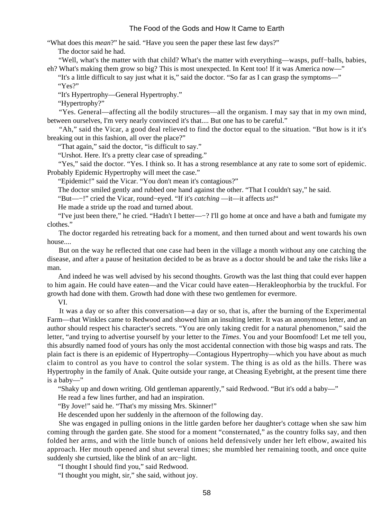"What does this *mean*?" he said. "Have you seen the paper these last few days?"

The doctor said he had.

 "Well, what's the matter with that child? What's the matter with everything—wasps, puff−balls, babies, eh? What's making them grow so big? This is most unexpected. In Kent too! If it was America now—"

 "It's a little difficult to say just what it is," said the doctor. "So far as I can grasp the symptoms—" "Yes?"

"It's Hypertrophy—General Hypertrophy."

"Hypertrophy?"

 "Yes. General—affecting all the bodily structures—all the organism. I may say that in my own mind, between ourselves, I'm very nearly convinced it's that.... But one has to be careful."

 "Ah," said the Vicar, a good deal relieved to find the doctor equal to the situation. "But how is it it's breaking out in this fashion, all over the place?"

"That again," said the doctor, "is difficult to say."

"Urshot. Here. It's a pretty clear case of spreading."

"Yes," said the doctor. "Yes. I think so. It has a strong resemblance at any rate to some sort of epidemic. Probably Epidemic Hypertrophy will meet the case."

"Epidemic!" said the Vicar. "You don't mean it's contagious?"

The doctor smiled gently and rubbed one hand against the other. "That I couldn't say," he said.

"But—−!" cried the Vicar, round−eyed. "If it's *catching* —it—it affects *us!*"

He made a stride up the road and turned about.

 "I've just been there," he cried. "Hadn't I better—−? I'll go home at once and have a bath and fumigate my clothes."

 The doctor regarded his retreating back for a moment, and then turned about and went towards his own house....

 But on the way he reflected that one case had been in the village a month without any one catching the disease, and after a pause of hesitation decided to be as brave as a doctor should be and take the risks like a man.

 And indeed he was well advised by his second thoughts. Growth was the last thing that could ever happen to him again. He could have eaten—and the Vicar could have eaten—Herakleophorbia by the truckful. For growth had done with them. Growth had done with these two gentlemen for evermore.

VI.

 It was a day or so after this conversation—a day or so, that is, after the burning of the Experimental Farm—that Winkles came to Redwood and showed him an insulting letter. It was an anonymous letter, and an author should respect his character's secrets. "You are only taking credit for a natural phenomenon," said the letter, "and trying to advertise yourself by your letter to the *Times*. You and your Boomfood! Let me tell you, this absurdly named food of yours has only the most accidental connection with those big wasps and rats. The plain fact is there is an epidemic of Hypertrophy—Contagious Hypertrophy—which you have about as much claim to control as you have to control the solar system. The thing is as old as the hills. There was Hypertrophy in the family of Anak. Quite outside your range, at Cheasing Eyebright, at the present time there is a baby—"

"Shaky up and down writing. Old gentleman apparently," said Redwood. "But it's odd a baby—"

He read a few lines further, and had an inspiration.

"By Jove!" said he. "That's my missing Mrs. Skinner!"

He descended upon her suddenly in the afternoon of the following day.

 She was engaged in pulling onions in the little garden before her daughter's cottage when she saw him coming through the garden gate. She stood for a moment "consternated," as the country folks say, and then folded her arms, and with the little bunch of onions held defensively under her left elbow, awaited his approach. Her mouth opened and shut several times; she mumbled her remaining tooth, and once quite suddenly she curtsied, like the blink of an arc−light.

"I thought I should find you," said Redwood.

"I thought you might, sir," she said, without joy.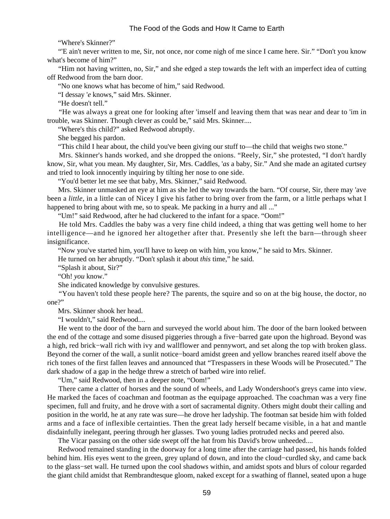"Where's Skinner?"

 "'E ain't never written to me, Sir, not once, nor come nigh of me since I came here. Sir." "Don't you know what's become of him?"

 "Him not having written, no, Sir," and she edged a step towards the left with an imperfect idea of cutting off Redwood from the barn door.

"No one knows what has become of him," said Redwood.

"I dessay '*e* knows," said Mrs. Skinner.

"He doesn't tell."

 "He was always a great one for looking after 'imself and leaving them that was near and dear to 'im in trouble, was Skinner. Though clever as could be," said Mrs. Skinner....

"Where's this child?" asked Redwood abruptly.

She begged his pardon.

"This child I hear about, the child you've been giving our stuff to—the child that weighs two stone."

 Mrs. Skinner's hands worked, and she dropped the onions. "Reely, Sir," she protested, "I don't hardly know, Sir, what you mean. My daughter, Sir, Mrs. Caddles, '*as* a baby, Sir." And she made an agitated curtsey and tried to look innocently inquiring by tilting her nose to one side.

"You'd better let me see that baby, Mrs. Skinner," said Redwood.

 Mrs. Skinner unmasked an eye at him as she led the way towards the barn. "Of course, Sir, there may 'ave been a *little*, in a little can of Nicey I give his father to bring over from the farm, or a little perhaps what I happened to bring about with me, so to speak. Me packing in a hurry and all ..."

"Um!" said Redwood, after he had cluckered to the infant for a space. "Oom!"

 He told Mrs. Caddles the baby was a very fine child indeed, a thing that was getting well home to her intelligence—and he ignored her altogether after that. Presently she left the barn—through sheer insignificance.

"Now you've started him, you'll have to keep on with him, you know," he said to Mrs. Skinner.

He turned on her abruptly. "Don't splash it about *this* time," he said.

"Splash it about, Sir?"

"Oh! *you* know."

She indicated knowledge by convulsive gestures.

 "You haven't told these people here? The parents, the squire and so on at the big house, the doctor, no one?"

Mrs. Skinner shook her head.

"I wouldn't," said Redwood....

 He went to the door of the barn and surveyed the world about him. The door of the barn looked between the end of the cottage and some disused piggeries through a five−barred gate upon the highroad. Beyond was a high, red brick−wall rich with ivy and wallflower and pennywort, and set along the top with broken glass. Beyond the corner of the wall, a sunlit notice−board amidst green and yellow branches reared itself above the rich tones of the first fallen leaves and announced that "Trespassers in these Woods will be Prosecuted." The dark shadow of a gap in the hedge threw a stretch of barbed wire into relief.

"Um," said Redwood, then in a deeper note, "Oom!"

 There came a clatter of horses and the sound of wheels, and Lady Wondershoot's greys came into view. He marked the faces of coachman and footman as the equipage approached. The coachman was a very fine specimen, full and fruity, and he drove with a sort of sacramental dignity. Others might doubt their calling and position in the world, he at any rate was sure—he drove her ladyship. The footman sat beside him with folded arms and a face of inflexible certainties. Then the great lady herself became visible, in a hat and mantle disdainfully inelegant, peering through her glasses. Two young ladies protruded necks and peered also.

The Vicar passing on the other side swept off the hat from his David's brow unheeded....

 Redwood remained standing in the doorway for a long time after the carriage had passed, his hands folded behind him. His eyes went to the green, grey upland of down, and into the cloud−curdled sky, and came back to the glass−set wall. He turned upon the cool shadows within, and amidst spots and blurs of colour regarded the giant child amidst that Rembrandtesque gloom, naked except for a swathing of flannel, seated upon a huge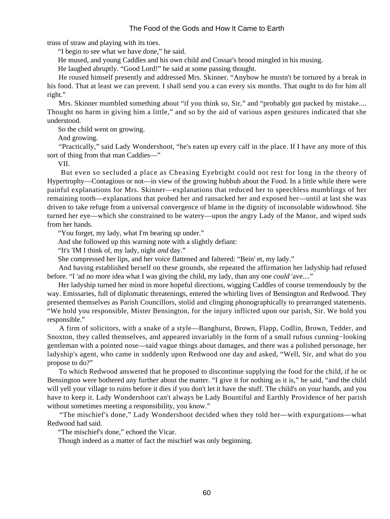truss of straw and playing with its toes.

"I begin to see what we have done," he said.

He mused, and young Caddles and his own child and Cossar's brood mingled in his musing.

He laughed abruptly. "Good Lord!" he said at some passing thought.

 He roused himself presently and addressed Mrs. Skinner. "Anyhow he mustn't be tortured by a break in his food. That at least we can prevent. I shall send you a can every six months. That ought to do for him all right."

 Mrs. Skinner mumbled something about "if you think so, Sir," and "probably got packed by mistake.... Thought no harm in giving him a little," and so by the aid of various aspen gestures indicated that she understood.

So the child went on growing.

And growing.

 "Practically," said Lady Wondershoot, "he's eaten up every calf in the place. If I have any more of this sort of thing from that man Caddies—"

VII.

 But even so secluded a place as Cheasing Eyebright could not rest for long in the theory of Hypertrophy—Contagious or not—in view of the growing hubbub about the Food. In a little while there were painful explanations for Mrs. Skinner—explanations that reduced her to speechless mumblings of her remaining tooth—explanations that probed her and ransacked her and exposed her—until at last she was driven to take refuge from a universal convergence of blame in the dignity of inconsolable widowhood. She turned her eye—which she constrained to be watery—upon the angry Lady of the Manor, and wiped suds from her hands.

"You forget, my lady, what I'm bearing up under."

And she followed up this warning note with a slightly defiant:

"It's 'IM I think of, my lady, night *and* day."

She compressed her lips, and her voice flattened and faltered: "Bein' et, my lady."

 And having established herself on these grounds, she repeated the affirmation her ladyship had refused before. "I 'ad no more idea what I was giving the child, my lady, than any one *could* 'ave...."

 Her ladyship turned her mind in more hopeful directions, wigging Caddles of course tremendously by the way. Emissaries, full of diplomatic threatenings, entered the whirling lives of Bensington and Redwood. They presented themselves as Parish Councillors, stolid and clinging phonographically to prearranged statements. "We hold you responsible, Mister Bensington, for the injury inflicted upon our parish, Sir. We hold you responsible."

 A firm of solicitors, with a snake of a style—Banghurst, Brown, Flapp, Codlin, Brown, Tedder, and Snoxton, they called themselves, and appeared invariably in the form of a small rufous cunning−looking gentleman with a pointed nose—said vague things about damages, and there was a polished personage, her ladyship's agent, who came in suddenly upon Redwood one day and asked, "Well, Sir, and what do you propose to do?"

 To which Redwood answered that he proposed to discontinue supplying the food for the child, if he or Bensington were bothered any further about the matter. "I give it for nothing as it is," he said, "and the child will yell your village to ruins before it dies if you don't let it have the stuff. The child's on your hands, and you have to keep it. Lady Wondershoot can't always be Lady Bountiful and Earthly Providence of her parish without sometimes meeting a responsibility, you know."

 "The mischief's done," Lady Wondershoot decided when they told her—with expurgations—what Redwood had said.

"The mischief's done," echoed the Vicar.

Though indeed as a matter of fact the mischief was only beginning.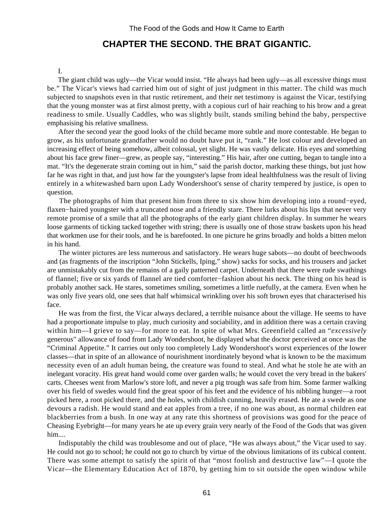# **CHAPTER THE SECOND. THE BRAT GIGANTIC.**

#### I.

 The giant child was ugly—the Vicar would insist. "He always had been ugly—as all excessive things must be." The Vicar's views had carried him out of sight of just judgment in this matter. The child was much subjected to snapshots even in that rustic retirement, and their net testimony is against the Vicar, testifying that the young monster was at first almost pretty, with a copious curl of hair reaching to his brow and a great readiness to smile. Usually Caddles, who was slightly built, stands smiling behind the baby, perspective emphasising his relative smallness.

 After the second year the good looks of the child became more subtle and more contestable. He began to grow, as his unfortunate grandfather would no doubt have put it, "rank." He lost colour and developed an increasing effect of being somehow, albeit colossal, yet slight. He was vastly delicate. His eyes and something about his face grew finer—grew, as people say, "interesting." His hair, after one cutting, began to tangle into a mat. "It's the degenerate strain coming out in him," said the parish doctor, marking these things, but just how far he was right in that, and just how far the youngster's lapse from ideal healthfulness was the result of living entirely in a whitewashed barn upon Lady Wondershoot's sense of charity tempered by justice, is open to question.

 The photographs of him that present him from three to six show him developing into a round−eyed, flaxen−haired youngster with a truncated nose and a friendly stare. There lurks about his lips that never very remote promise of a smile that all the photographs of the early giant children display. In summer he wears loose garments of ticking tacked together with string; there is usually one of those straw baskets upon his head that workmen use for their tools, and he is barefooted. In one picture he grins broadly and holds a bitten melon in his hand.

 The winter pictures are less numerous and satisfactory. He wears huge sabots—no doubt of beechwoods and (as fragments of the inscription "John Stickells, Iping," show) sacks for socks, and his trousers and jacket are unmistakably cut from the remains of a gaily patterned carpet. Underneath that there were rude swathings of flannel; five or six yards of flannel are tied comforter−fashion about his neck. The thing on his head is probably another sack. He stares, sometimes smiling, sometimes a little ruefully, at the camera. Even when he was only five years old, one sees that half whimsical wrinkling over his soft brown eyes that characterised his face.

 He was from the first, the Vicar always declared, a terrible nuisance about the village. He seems to have had a proportionate impulse to play, much curiosity and sociability, and in addition there was a certain craving within him—I grieve to say—for more to eat. In spite of what Mrs. Greenfield called an "*excessively* generous" allowance of food from Lady Wondershoot, he displayed what the doctor perceived at once was the "Criminal Appetite." It carries out only too completely Lady Wondershoot's worst experiences of the lower classes—that in spite of an allowance of nourishment inordinately beyond what is known to be the maximum necessity even of an adult human being, the creature was found to steal. And what he stole he ate with an inelegant voracity. His great hand would come over garden walls; he would covet the very bread in the bakers' carts. Cheeses went from Marlow's store loft, and never a pig trough was safe from him. Some farmer walking over his field of swedes would find the great spoor of his feet and the evidence of his nibbling hunger—a root picked here, a root picked there, and the holes, with childish cunning, heavily erased. He ate a swede as one devours a radish. He would stand and eat apples from a tree, if no one was about, as normal children eat blackberries from a bush. In one way at any rate this shortness of provisions was good for the peace of Cheasing Eyebright—for many years he ate up every grain very nearly of the Food of the Gods that was given him....

 Indisputably the child was troublesome and out of place, "He was always about," the Vicar used to say. He could not go to school; he could not go to church by virtue of the obvious limitations of its cubical content. There was some attempt to satisfy the spirit of that "most foolish and destructive law"—I quote the Vicar—the Elementary Education Act of 1870, by getting him to sit outside the open window while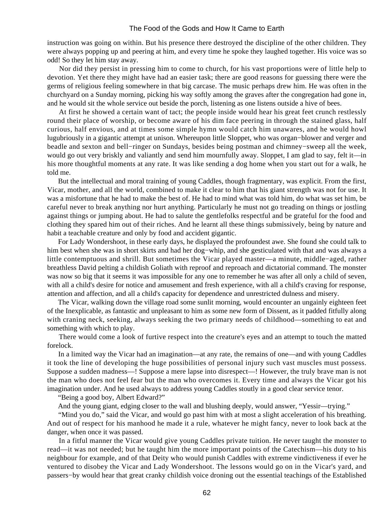instruction was going on within. But his presence there destroyed the discipline of the other children. They were always popping up and peering at him, and every time he spoke they laughed together. His voice was so odd! So they let him stay away.

 Nor did they persist in pressing him to come to church, for his vast proportions were of little help to devotion. Yet there they might have had an easier task; there are good reasons for guessing there were the germs of religious feeling somewhere in that big carcase. The music perhaps drew him. He was often in the churchyard on a Sunday morning, picking his way softly among the graves after the congregation had gone in, and he would sit the whole service out beside the porch, listening as one listens outside a hive of bees.

 At first he showed a certain want of tact; the people inside would hear his great feet crunch restlessly round their place of worship, or become aware of his dim face peering in through the stained glass, half curious, half envious, and at times some simple hymn would catch him unawares, and he would howl lugubriously in a gigantic attempt at unison. Whereupon little Sloppet, who was organ−blower and verger and beadle and sexton and bell−ringer on Sundays, besides being postman and chimney−sweep all the week, would go out very briskly and valiantly and send him mournfully away. Sloppet, I am glad to say, felt it—in his more thoughtful moments at any rate. It was like sending a dog home when you start out for a walk, he told me.

 But the intellectual and moral training of young Caddles, though fragmentary, was explicit. From the first, Vicar, mother, and all the world, combined to make it clear to him that his giant strength was not for use. It was a misfortune that he had to make the best of. He had to mind what was told him, do what was set him, be careful never to break anything nor hurt anything. Particularly he must not go treading on things or jostling against things or jumping about. He had to salute the gentlefolks respectful and be grateful for the food and clothing they spared him out of their riches. And he learnt all these things submissively, being by nature and habit a teachable creature and only by food and accident gigantic.

 For Lady Wondershoot, in these early days, he displayed the profoundest awe. She found she could talk to him best when she was in short skirts and had her dog−whip, and she gesticulated with that and was always a little contemptuous and shrill. But sometimes the Vicar played master—a minute, middle−aged, rather breathless David pelting a childish Goliath with reproof and reproach and dictatorial command. The monster was now so big that it seems it was impossible for any one to remember he was after all only a child of seven, with all a child's desire for notice and amusement and fresh experience, with all a child's craving for response, attention and affection, and all a child's capacity for dependence and unrestricted dulness and misery.

 The Vicar, walking down the village road some sunlit morning, would encounter an ungainly eighteen feet of the Inexplicable, as fantastic and unpleasant to him as some new form of Dissent, as it padded fitfully along with craning neck, seeking, always seeking the two primary needs of childhood—something to eat and something with which to play.

 There would come a look of furtive respect into the creature's eyes and an attempt to touch the matted forelock.

 In a limited way the Vicar had an imagination—at any rate, the remains of one—and with young Caddles it took the line of developing the huge possibilities of personal injury such vast muscles must possess. Suppose a sudden madness—! Suppose a mere lapse into disrespect—! However, the truly brave man is not the man who does not feel fear but the man who overcomes it. Every time and always the Vicar got his imagination under. And he used always to address young Caddles stoutly in a good clear service tenor.

"Being a good boy, Albert Edward?"

And the young giant, edging closer to the wall and blushing deeply, would answer, "Yessir—trying."

 "Mind you do," said the Vicar, and would go past him with at most a slight acceleration of his breathing. And out of respect for his manhood he made it a rule, whatever he might fancy, never to look back at the danger, when once it was passed.

 In a fitful manner the Vicar would give young Caddles private tuition. He never taught the monster to read—it was not needed; but he taught him the more important points of the Catechism—his duty to his neighbour for example, and of that Deity who would punish Caddles with extreme vindictiveness if ever he ventured to disobey the Vicar and Lady Wondershoot. The lessons would go on in the Vicar's yard, and passers−by would hear that great cranky childish voice droning out the essential teachings of the Established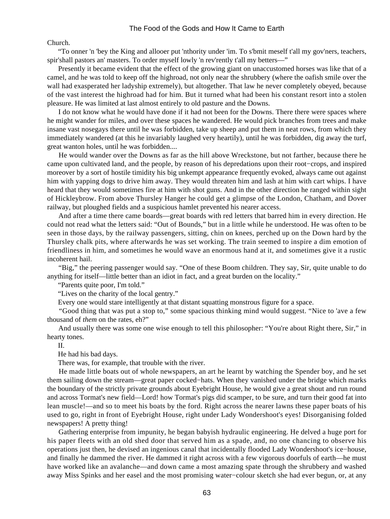#### Church.

 "To onner 'n 'bey the King and allooer put 'nthority under 'im. To s'bmit meself t'all my gov'ners, teachers, spir'shall pastors an' masters. To order myself lowly 'n rev'rently t'all my betters—"

 Presently it became evident that the effect of the growing giant on unaccustomed horses was like that of a camel, and he was told to keep off the highroad, not only near the shrubbery (where the oafish smile over the wall had exasperated her ladyship extremely), but altogether. That law he never completely obeyed, because of the vast interest the highroad had for him. But it turned what had been his constant resort into a stolen pleasure. He was limited at last almost entirely to old pasture and the Downs.

 I do not know what he would have done if it had not been for the Downs. There there were spaces where he might wander for miles, and over these spaces he wandered. He would pick branches from trees and make insane vast nosegays there until he was forbidden, take up sheep and put them in neat rows, from which they immediately wandered (at this he invariably laughed very heartily), until he was forbidden, dig away the turf, great wanton holes, until he was forbidden....

 He would wander over the Downs as far as the hill above Wreckstone, but not farther, because there he came upon cultivated land, and the people, by reason of his depredations upon their root−crops, and inspired moreover by a sort of hostile timidity his big unkempt appearance frequently evoked, always came out against him with yapping dogs to drive him away. They would threaten him and lash at him with cart whips. I have heard that they would sometimes fire at him with shot guns. And in the other direction he ranged within sight of Hickleybrow. From above Thursley Hanger he could get a glimpse of the London, Chatham, and Dover railway, but ploughed fields and a suspicious hamlet prevented his nearer access.

 And after a time there came boards—great boards with red letters that barred him in every direction. He could not read what the letters said: "Out of Bounds," but in a little while he understood. He was often to be seen in those days, by the railway passengers, sitting, chin on knees, perched up on the Down hard by the Thursley chalk pits, where afterwards he was set working. The train seemed to inspire a dim emotion of friendliness in him, and sometimes he would wave an enormous hand at it, and sometimes give it a rustic incoherent hail.

 "Big," the peering passenger would say. "One of these Boom children. They say, Sir, quite unable to do anything for itself—little better than an idiot in fact, and a great burden on the locality."

"Parents quite poor, I'm told."

"Lives on the charity of the local gentry."

Every one would stare intelligently at that distant squatting monstrous figure for a space.

 "Good thing that was put a stop to," some spacious thinking mind would suggest. "Nice to 'ave a few thousand of *them* on the rates, eh?"

 And usually there was some one wise enough to tell this philosopher: "You're about Right there, Sir," in hearty tones.

II.

He had his bad days.

There was, for example, that trouble with the river.

 He made little boats out of whole newspapers, an art he learnt by watching the Spender boy, and he set them sailing down the stream—great paper cocked−hats. When they vanished under the bridge which marks the boundary of the strictly private grounds about Eyebright House, he would give a great shout and run round and across Tormat's new field—Lord! how Tormat's pigs did scamper, to be sure, and turn their good fat into lean muscle!—and so to meet his boats by the ford. Right across the nearer lawns these paper boats of his used to go, right in front of Eyebright House, right under Lady Wondershoot's eyes! Disorganising folded newspapers! A pretty thing!

 Gathering enterprise from impunity, he began babyish hydraulic engineering. He delved a huge port for his paper fleets with an old shed door that served him as a spade, and, no one chancing to observe his operations just then, he devised an ingenious canal that incidentally flooded Lady Wondershoot's ice−house, and finally he dammed the river. He dammed it right across with a few vigorous doorfuls of earth—he must have worked like an avalanche—and down came a most amazing spate through the shrubbery and washed away Miss Spinks and her easel and the most promising water−colour sketch she had ever begun, or, at any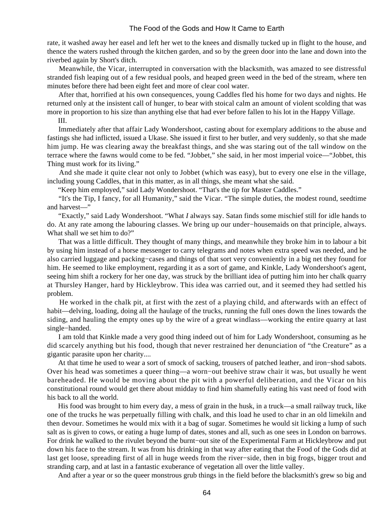rate, it washed away her easel and left her wet to the knees and dismally tucked up in flight to the house, and thence the waters rushed through the kitchen garden, and so by the green door into the lane and down into the riverbed again by Short's ditch.

 Meanwhile, the Vicar, interrupted in conversation with the blacksmith, was amazed to see distressful stranded fish leaping out of a few residual pools, and heaped green weed in the bed of the stream, where ten minutes before there had been eight feet and more of clear cool water.

 After that, horrified at his own consequences, young Caddles fled his home for two days and nights. He returned only at the insistent call of hunger, to bear with stoical calm an amount of violent scolding that was more in proportion to his size than anything else that had ever before fallen to his lot in the Happy Village.

III.

 Immediately after that affair Lady Wondershoot, casting about for exemplary additions to the abuse and fastings she had inflicted, issued a Ukase. She issued it first to her butler, and very suddenly, so that she made him jump. He was clearing away the breakfast things, and she was staring out of the tall window on the terrace where the fawns would come to be fed. "Jobbet," she said, in her most imperial voice—"Jobbet, this Thing must work for its living."

 And she made it quite clear not only to Jobbet (which was easy), but to every one else in the village, including young Caddles, that in this matter, as in all things, she meant what she said.

"Keep him employed," said Lady Wondershoot. "That's the tip for Master Caddles."

 "It's the Tip, I fancy, for all Humanity," said the Vicar. "The simple duties, the modest round, seedtime and harvest—"

 "Exactly," said Lady Wondershoot. "What *I* always say. Satan finds some mischief still for idle hands to do. At any rate among the labouring classes. We bring up our under−housemaids on that principle, always. What shall we set him to do?"

 That was a little difficult. They thought of many things, and meanwhile they broke him in to labour a bit by using him instead of a horse messenger to carry telegrams and notes when extra speed was needed, and he also carried luggage and packing−cases and things of that sort very conveniently in a big net they found for him. He seemed to like employment, regarding it as a sort of game, and Kinkle, Lady Wondershoot's agent, seeing him shift a rockery for her one day, was struck by the brilliant idea of putting him into her chalk quarry at Thursley Hanger, hard by Hickleybrow. This idea was carried out, and it seemed they had settled his problem.

 He worked in the chalk pit, at first with the zest of a playing child, and afterwards with an effect of habit—delving, loading, doing all the haulage of the trucks, running the full ones down the lines towards the siding, and hauling the empty ones up by the wire of a great windlass—working the entire quarry at last single−handed.

 I am told that Kinkle made a very good thing indeed out of him for Lady Wondershoot, consuming as he did scarcely anything but his food, though that never restrained her denunciation of "the Creature" as a gigantic parasite upon her charity....

 At that time he used to wear a sort of smock of sacking, trousers of patched leather, and iron−shod sabots. Over his head was sometimes a queer thing—a worn−out beehive straw chair it was, but usually he went bareheaded. He would be moving about the pit with a powerful deliberation, and the Vicar on his constitutional round would get there about midday to find him shamefully eating his vast need of food with his back to all the world.

 His food was brought to him every day, a mess of grain in the husk, in a truck—a small railway truck, like one of the trucks he was perpetually filling with chalk, and this load he used to char in an old limekiln and then devour. Sometimes he would mix with it a bag of sugar. Sometimes he would sit licking a lump of such salt as is given to cows, or eating a huge lump of dates, stones and all, such as one sees in London on barrows. For drink he walked to the rivulet beyond the burnt−out site of the Experimental Farm at Hickleybrow and put down his face to the stream. It was from his drinking in that way after eating that the Food of the Gods did at last get loose, spreading first of all in huge weeds from the river−side, then in big frogs, bigger trout and stranding carp, and at last in a fantastic exuberance of vegetation all over the little valley.

And after a year or so the queer monstrous grub things in the field before the blacksmith's grew so big and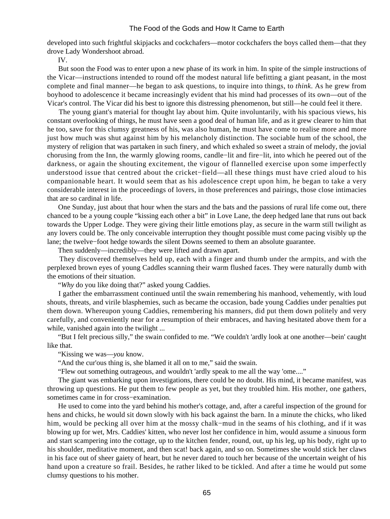developed into such frightful skipjacks and cockchafers—motor cockchafers the boys called them—that they drove Lady Wondershoot abroad.

IV.

 But soon the Food was to enter upon a new phase of its work in him. In spite of the simple instructions of the Vicar—instructions intended to round off the modest natural life befitting a giant peasant, in the most complete and final manner—he began to ask questions, to inquire into things, to *think*. As he grew from boyhood to adolescence it became increasingly evident that his mind had processes of its own—out of the Vicar's control. The Vicar did his best to ignore this distressing phenomenon, but still—he could feel it there.

 The young giant's material for thought lay about him. Quite involuntarily, with his spacious views, his constant overlooking of things, he must have seen a good deal of human life, and as it grew clearer to him that he too, save for this clumsy greatness of his, was also human, he must have come to realise more and more just how much was shut against him by his melancholy distinction. The sociable hum of the school, the mystery of religion that was partaken in such finery, and which exhaled so sweet a strain of melody, the jovial chorusing from the Inn, the warmly glowing rooms, candle−lit and fire−lit, into which he peered out of the darkness, or again the shouting excitement, the vigour of flannelled exercise upon some imperfectly understood issue that centred about the cricket−field—all these things must have cried aloud to his companionable heart. It would seem that as his adolescence crept upon him, he began to take a very considerable interest in the proceedings of lovers, in those preferences and pairings, those close intimacies that are so cardinal in life.

 One Sunday, just about that hour when the stars and the bats and the passions of rural life come out, there chanced to be a young couple "kissing each other a bit" in Love Lane, the deep hedged lane that runs out back towards the Upper Lodge. They were giving their little emotions play, as secure in the warm still twilight as any lovers could be. The only conceivable interruption they thought possible must come pacing visibly up the lane; the twelve−foot hedge towards the silent Downs seemed to them an absolute guarantee.

Then suddenly—incredibly—they were lifted and drawn apart.

 They discovered themselves held up, each with a finger and thumb under the armpits, and with the perplexed brown eyes of young Caddles scanning their warm flushed faces. They were naturally dumb with the emotions of their situation.

"*Why* do you like doing that?" asked young Caddies.

 I gather the embarrassment continued until the swain remembering his manhood, vehemently, with loud shouts, threats, and virile blasphemies, such as became the occasion, bade young Caddies under penalties put them down. Whereupon young Caddies, remembering his manners, did put them down politely and very carefully, and conveniently near for a resumption of their embraces, and having hesitated above them for a while, vanished again into the twilight ...

 "But I felt precious silly," the swain confided to me. "We couldn't 'ardly look at one another—bein' caught like that.

"Kissing we was—*you* know.

"And the cur'ous thing is, she blamed it all on to me," said the swain.

"Flew out something outrageous, and wouldn't 'ardly speak to me all the way 'ome...."

 The giant was embarking upon investigations, there could be no doubt. His mind, it became manifest, was throwing up questions. He put them to few people as yet, but they troubled him. His mother, one gathers, sometimes came in for cross−examination.

 He used to come into the yard behind his mother's cottage, and, after a careful inspection of the ground for hens and chicks, he would sit down slowly with his back against the barn. In a minute the chicks, who liked him, would be pecking all over him at the mossy chalk−mud in the seams of his clothing, and if it was blowing up for wet, Mrs. Caddies' kitten, who never lost her confidence in him, would assume a sinuous form and start scampering into the cottage, up to the kitchen fender, round, out, up his leg, up his body, right up to his shoulder, meditative moment, and then scat! back again, and so on. Sometimes she would stick her claws in his face out of sheer gaiety of heart, but he never dared to touch her because of the uncertain weight of his hand upon a creature so frail. Besides, he rather liked to be tickled. And after a time he would put some clumsy questions to his mother.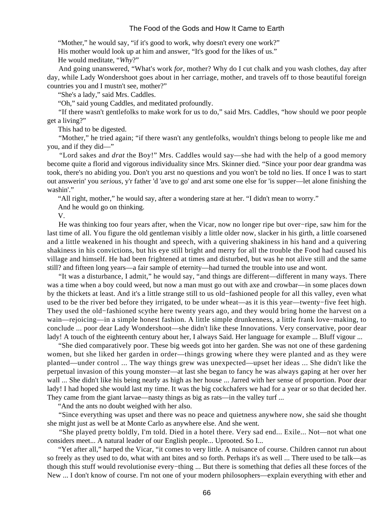"Mother," he would say, "if it's good to work, why doesn't every one work?"

His mother would look up at him and answer, "It's good for the likes of us."

He would meditate, "*Why*?"

 And going unanswered, "What's work *for*, mother? Why do I cut chalk and you wash clothes, day after day, while Lady Wondershoot goes about in her carriage, mother, and travels off to those beautiful foreign countries you and I mustn't see, mother?"

"She's a lady," said Mrs. Caddles.

"Oh," said young Caddles, and meditated profoundly.

 "If there wasn't gentlefolks to make work for us to do," said Mrs. Caddles, "how should we poor people get a living?"

This had to be digested.

 "Mother," he tried again; "if there wasn't any gentlefolks, wouldn't things belong to people like me and you, and if they did—"

 "Lord sakes and *drat* the Boy!" Mrs. Caddles would say—she had with the help of a good memory become quite a florid and vigorous individuality since Mrs. Skinner died. "Since your poor dear grandma was took, there's no abiding you. Don't you arst no questions and you won't be told no lies. If once I was to start out answerin' you *serious*, y'r father 'd 'ave to go' and arst some one else for 'is supper—let alone finishing the washin'."

"All right, mother," he would say, after a wondering stare at her. "I didn't mean to worry."

And he would go on thinking.

V.

 He was thinking too four years after, when the Vicar, now no longer ripe but over−ripe, saw him for the last time of all. You figure the old gentleman visibly a little older now, slacker in his girth, a little coarsened and a little weakened in his thought and speech, with a quivering shakiness in his hand and a quivering shakiness in his convictions, but his eye still bright and merry for all the trouble the Food had caused his village and himself. He had been frightened at times and disturbed, but was he not alive still and the same still? and fifteen long years—a fair sample of eternity—had turned the trouble into use and wont.

 "It was a disturbance, I admit," he would say, "and things are different—different in many ways. There was a time when a boy could weed, but now a man must go out with axe and crowbar—in some places down by the thickets at least. And it's a little strange still to us old−fashioned people for all this valley, even what used to be the river bed before they irrigated, to be under wheat—as it is this year—twenty−five feet high. They used the old−fashioned scythe here twenty years ago, and they would bring home the harvest on a wain—rejoicing—in a simple honest fashion. A little simple drunkenness, a little frank love−making, to conclude ... poor dear Lady Wondershoot—she didn't like these Innovations. Very conservative, poor dear lady! A touch of the eighteenth century about her, I always Said. Her language for example ... Bluff vigour ...

 "She died comparatively poor. These big weeds got into her garden. She was not one of these gardening women, but she liked her garden in order—things growing where they were planted and as they were planted—under control ... The way things grew was unexpected—upset her ideas ... She didn't like the perpetual invasion of this young monster—at last she began to fancy he was always gaping at her over her wall ... She didn't like his being nearly as high as her house ... Jarred with her sense of proportion. Poor dear lady! I had hoped she would last my time. It was the big cockchafers we had for a year or so that decided her. They came from the giant larvae—nasty things as big as rats—in the valley turf ...

"And the ants no doubt weighed with her also.

 "Since everything was upset and there was no peace and quietness anywhere now, she said she thought she might just as well be at Monte Carlo as anywhere else. And she went.

 "She played pretty boldly, I'm told. Died in a hotel there. Very sad end... Exile... Not—not what one considers meet... A natural leader of our English people... Uprooted. So I...

 "Yet after all," harped the Vicar, "it comes to very little. A nuisance of course. Children cannot run about so freely as they used to do, what with ant bites and so forth. Perhaps it's as well ... There used to be talk—as though this stuff would revolutionise every−thing ... But there is something that defies all these forces of the New ... I don't know of course. I'm not one of your modern philosophers—explain everything with ether and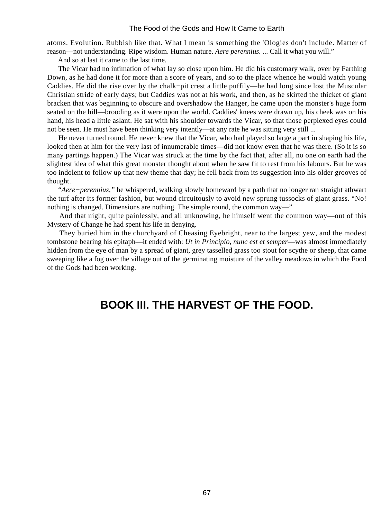atoms. Evolution. Rubbish like that. What I mean is something the 'Ologies don't include. Matter of reason—not understanding. Ripe wisdom. Human nature. *Aere perennius.* ... Call it what you will."

And so at last it came to the last time.

 The Vicar had no intimation of what lay so close upon him. He did his customary walk, over by Farthing Down, as he had done it for more than a score of years, and so to the place whence he would watch young Caddies. He did the rise over by the chalk−pit crest a little puffily—he had long since lost the Muscular Christian stride of early days; but Caddies was not at his work, and then, as he skirted the thicket of giant bracken that was beginning to obscure and overshadow the Hanger, he came upon the monster's huge form seated on the hill—brooding as it were upon the world. Caddies' knees were drawn up, his cheek was on his hand, his head a little aslant. He sat with his shoulder towards the Vicar, so that those perplexed eyes could not be seen. He must have been thinking very intently—at any rate he was sitting very still ...

 He never turned round. He never knew that the Vicar, who had played so large a part in shaping his life, looked then at him for the very last of innumerable times—did not know even that he was there. (So it is so many partings happen.) The Vicar was struck at the time by the fact that, after all, no one on earth had the slightest idea of what this great monster thought about when he saw fit to rest from his labours. But he was too indolent to follow up that new theme that day; he fell back from its suggestion into his older grooves of thought.

 "*Aere−perennius,"* he whispered, walking slowly homeward by a path that no longer ran straight athwart the turf after its former fashion, but wound circuitously to avoid new sprung tussocks of giant grass. "No! nothing is changed. Dimensions are nothing. The simple round, the common way—"

 And that night, quite painlessly, and all unknowing, he himself went the common way—out of this Mystery of Change he had spent his life in denying.

 They buried him in the churchyard of Cheasing Eyebright, near to the largest yew, and the modest tombstone bearing his epitaph—it ended with: *Ut in Principio, nunc est et semper*—was almost immediately hidden from the eye of man by a spread of giant, grey tasselled grass too stout for scythe or sheep, that came sweeping like a fog over the village out of the germinating moisture of the valley meadows in which the Food of the Gods had been working.

# **BOOK III. THE HARVEST OF THE FOOD.**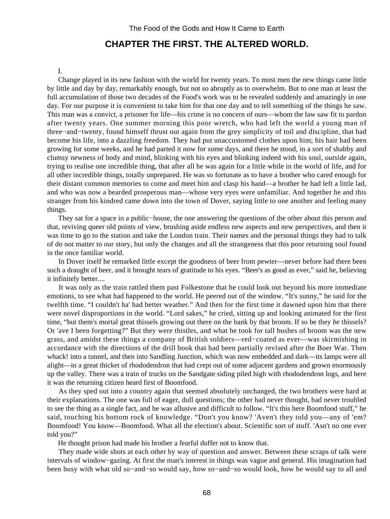# **CHAPTER THE FIRST. THE ALTERED WORLD.**

#### I.

 Change played in its new fashion with the world for twenty years. To most men the new things came little by little and day by day, remarkably enough, but not so abruptly as to overwhelm. But to one man at least the full accumulation of those two decades of the Food's work was to be revealed suddenly and amazingly in one day. For our purpose it is convenient to take him for that one day and to tell something of the things he saw. This man was a convict, a prisoner for life—his crime is no concern of ours—whom the law saw fit to pardon after twenty years. One summer morning this poor wretch, who had left the world a young man of three−and−twenty, found himself thrust out again from the grey simplicity of toil and discipline, that had become his life, into a dazzling freedom. They had put unaccustomed clothes upon him; his hair had been growing for some weeks, and he had parted it now for some days, and there he stood, in a sort of shabby and clumsy newness of body and mind, blinking with his eyes and blinking indeed with his soul, *outside* again, trying to realise one incredible thing, that after all he was again for a little while in the world of life, and for all other incredible things, totally unprepared. He was so fortunate as to have a brother who cared enough for their distant common memories to come and meet him and clasp his hand—a brother he had left a little lad, and who was now a bearded prosperous man—whose very eyes were unfamiliar. And together he and this stranger from his kindred came down into the town of Dover, saying little to one another and feeling many things.

 They sat for a space in a public−house, the one answering the questions of the other about this person and that, reviving queer old points of view, brushing aside endless new aspects and new perspectives, and then it was time to go to the station and take the London train. Their names and the personal things they had to talk of do not matter to our story, but only the changes and all the strangeness that this poor returning soul found in the once familiar world.

 In Dover itself he remarked little except the goodness of beer from pewter—never before had there been such a draught of beer, and it brought tears of gratitude to his eyes. "Beer's as good as ever," said he, believing it infinitely better....

 It was only as the train rattled them past Folkestone that he could look out beyond his more immediate emotions, to see what had happened to the world. He peered out of the window. "It's sunny," he said for the twelfth time. "I couldn't ha' had better weather." And then for the first time it dawned upon him that there were novel disproportions in the world. "Lord sakes," he cried, sitting up and looking animated for the first time, "but them's mortal great thissels growing out there on the bank by that broom. If so be they *be* thissels? Or 'ave I been forgetting?" But they were thistles, and what he took for tall bushes of broom was the new grass, and amidst these things a company of British soldiers—red−coated as ever—was skirmishing in accordance with the directions of the drill book that had been partially revised after the Boer War. Then whack! into a tunnel, and then into Sandling Junction, which was now embedded and dark—its lamps were all alight—in a great thicket of rhododendron that had crept out of some adjacent gardens and grown enormously up the valley. There was a train of trucks on the Sandgate siding piled high with rhododendron logs, and here it was the returning citizen heard first of Boomfood.

 As they sped out into a country again that seemed absolutely unchanged, the two brothers were hard at their explanations. The one was full of eager, dull questions; the other had never thought, had never troubled to see the thing as a single fact, and he was allusive and difficult to follow. "It's this here Boomfood stuff," he said, touching his bottom rock of knowledge. "Don't you know? 'Aven't they told you—any of 'em? Boomfood! You know—Boomfood. What all the election's about. Scientific sort of stuff. 'Asn't no one ever told you?"

He thought prison had made his brother a fearful duffer not to know that.

 They made wide shots at each other by way of question and answer. Between these scraps of talk were intervals of window−gazing. At first the man's interest in things was vague and general. His imagination had been busy with what old so−and−so would say, how so−and−so would look, how he would say to all and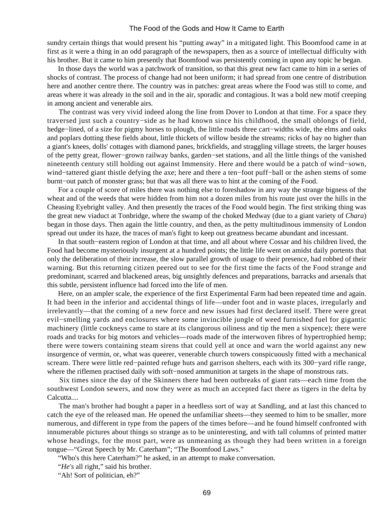sundry certain things that would present his "putting away" in a mitigated light. This Boomfood came in at first as it were a thing in an odd paragraph of the newspapers, then as a source of intellectual difficulty with his brother. But it came to him presently that Boomfood was persistently coming in upon any topic he began.

 In those days the world was a patchwork of transition, so that this great new fact came to him in a series of shocks of contrast. The process of change had not been uniform; it had spread from one centre of distribution here and another centre there. The country was in patches: great areas where the Food was still to come, and areas where it was already in the soil and in the air, sporadic and contagious. It was a bold new motif creeping in among ancient and venerable airs.

 The contrast was very vivid indeed along the line from Dover to London at that time. For a space they traversed just such a country−side as he had known since his childhood, the small oblongs of field, hedge−lined, of a size for pigmy horses to plough, the little roads three cart−widths wide, the elms and oaks and poplars dotting these fields about, little thickets of willow beside the streams; ricks of hay no higher than a giant's knees, dolls' cottages with diamond panes, brickfields, and straggling village streets, the larger houses of the petty great, flower−grown railway banks, garden−set stations, and all the little things of the vanished nineteenth century still holding out against Immensity. Here and there would be a patch of wind−sown, wind−tattered giant thistle defying the axe; here and there a ten−foot puff−ball or the ashen stems of some burnt−out patch of monster grass; but that was all there was to hint at the coming of the Food.

 For a couple of score of miles there was nothing else to foreshadow in any way the strange bigness of the wheat and of the weeds that were hidden from him not a dozen miles from his route just over the hills in the Cheasing Eyebright valley. And then presently the traces of the Food would begin. The first striking thing was the great new viaduct at Tonbridge, where the swamp of the choked Medway (due to a giant variety of *Chara*) began in those days. Then again the little country, and then, as the petty multitudinous immensity of London spread out under its haze, the traces of man's fight to keep out greatness became abundant and incessant.

 In that south−eastern region of London at that time, and all about where Cossar and his children lived, the Food had become mysteriously insurgent at a hundred points; the little life went on amidst daily portents that only the deliberation of their increase, the slow parallel growth of usage to their presence, had robbed of their warning. But this returning citizen peered out to see for the first time the facts of the Food strange and predominant, scarred and blackened areas, big unsightly defences and preparations, barracks and arsenals that this subtle, persistent influence had forced into the life of men.

 Here, on an ampler scale, the experience of the first Experimental Farm had been repeated time and again. It had been in the inferior and accidental things of life—under foot and in waste places, irregularly and irrelevantly—that the coming of a new force and new issues had first declared itself. There were great evil−smelling yards and enclosures where some invincible jungle of weed furnished fuel for gigantic machinery (little cockneys came to stare at its clangorous oiliness and tip the men a sixpence); there were roads and tracks for big motors and vehicles—roads made of the interwoven fibres of hypertrophied hemp; there were towers containing steam sirens that could yell at once and warn the world against any new insurgence of vermin, or, what was queerer, venerable church towers conspicuously fitted with a mechanical scream. There were little red−painted refuge huts and garrison shelters, each with its 300−yard rifle range, where the riflemen practised daily with soft−nosed ammunition at targets in the shape of monstrous rats.

 Six times since the day of the Skinners there had been outbreaks of giant rats—each time from the southwest London sewers, and now they were as much an accepted fact there as tigers in the delta by Calcutta....

 The man's brother had bought a paper in a heedless sort of way at Sandling, and at last this chanced to catch the eye of the released man. He opened the unfamiliar sheets—they seemed to him to be smaller, more numerous, and different in type from the papers of the times before—and he found himself confronted with innumerable pictures about things so strange as to be uninteresting, and with tall columns of printed matter whose headings, for the most part, were as unmeaning as though they had been written in a foreign tongue—"Great Speech by Mr. Caterham"; "The Boomfood Laws."

"Who's this here Caterham?" he asked, in an attempt to make conversation.

"*He's* all right," said his brother.

"Ah! Sort of politician, eh?"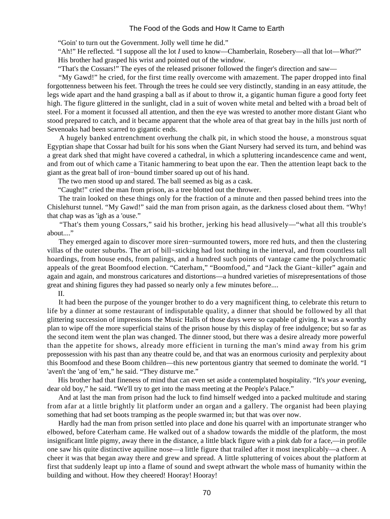"Goin' to turn out the Government. Jolly well time he did."

 "Ah!" He reflected. "I suppose all the lot *I* used to know—Chamberlain, Rosebery—all that lot—*What*?" His brother had grasped his wrist and pointed out of the window.

"That's the Cossars!" The eyes of the released prisoner followed the finger's direction and saw—

 "My Gawd!" he cried, for the first time really overcome with amazement. The paper dropped into final forgottenness between his feet. Through the trees he could see very distinctly, standing in an easy attitude, the legs wide apart and the hand grasping a ball as if about to throw it, a gigantic human figure a good forty feet high. The figure glittered in the sunlight, clad in a suit of woven white metal and belted with a broad belt of steel. For a moment it focussed all attention, and then the eye was wrested to another more distant Giant who stood prepared to catch, and it became apparent that the whole area of that great bay in the hills just north of Sevenoaks had been scarred to gigantic ends.

 A hugely banked entrenchment overhung the chalk pit, in which stood the house, a monstrous squat Egyptian shape that Cossar had built for his sons when the Giant Nursery had served its turn, and behind was a great dark shed that might have covered a cathedral, in which a spluttering incandescence came and went, and from out of which came a Titanic hammering to beat upon the ear. Then the attention leapt back to the giant as the great ball of iron−bound timber soared up out of his hand.

The two men stood up and stared. The ball seemed as big as a cask.

"Caught!" cried the man from prison, as a tree blotted out the thrower.

 The train looked on these things only for the fraction of a minute and then passed behind trees into the Chislehurst tunnel. "My Gawd!" said the man from prison again, as the darkness closed about them. "Why! that chap was as 'igh as a 'ouse."

 "That's them young Cossars," said his brother, jerking his head allusively—"what all this trouble's about...."

 They emerged again to discover more siren−surmounted towers, more red huts, and then the clustering villas of the outer suburbs. The art of bill−sticking had lost nothing in the interval, and from countless tall hoardings, from house ends, from palings, and a hundred such points of vantage came the polychromatic appeals of the great Boomfood election. "Caterham," "Boomfood," and "Jack the Giant−killer" again and again and again, and monstrous caricatures and distortions—a hundred varieties of misrepresentations of those great and shining figures they had passed so nearly only a few minutes before....

II.

 It had been the purpose of the younger brother to do a very magnificent thing, to celebrate this return to life by a dinner at some restaurant of indisputable quality, a dinner that should be followed by all that glittering succession of impressions the Music Halls of those days were so capable of giving. It was a worthy plan to wipe off the more superficial stains of the prison house by this display of free indulgence; but so far as the second item went the plan was changed. The dinner stood, but there was a desire already more powerful than the appetite for shows, already more efficient in turning the man's mind away from his grim prepossession with his past than any theatre could be, and that was an enormous curiosity and perplexity about this Boomfood and these Boom children—this new portentous giantry that seemed to dominate the world. "I 'aven't the 'ang of 'em," he said. "They disturve me."

 His brother had that fineness of mind that can even set aside a contemplated hospitality. "It's *your* evening, dear old boy," he said. "We'll try to get into the mass meeting at the People's Palace."

 And at last the man from prison had the luck to find himself wedged into a packed multitude and staring from afar at a little brightly lit platform under an organ and a gallery. The organist had been playing something that had set boots tramping as the people swarmed in; but that was over now.

 Hardly had the man from prison settled into place and done his quarrel with an importunate stranger who elbowed, before Caterham came. He walked out of a shadow towards the middle of the platform, the most insignificant little pigmy, away there in the distance, a little black figure with a pink dab for a face,—in profile one saw his quite distinctive aquiline nose—a little figure that trailed after it most inexplicably—a cheer. A cheer it was that began away there and grew and spread. A little spluttering of voices about the platform at first that suddenly leapt up into a flame of sound and swept athwart the whole mass of humanity within the building and without. How they cheered! Hooray! Hooray!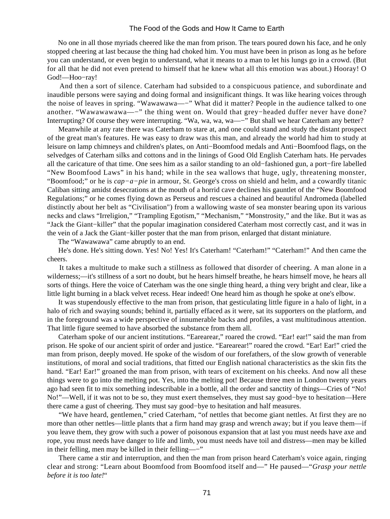No one in all those myriads cheered like the man from prison. The tears poured down his face, and he only stopped cheering at last because the thing had choked him. You must have been in prison as long as he before you can understand, or even begin to understand, what it means to a man to let his lungs go in a crowd. (But for all that he did not even pretend to himself that he knew what all this emotion was about.) Hooray! O God!—Hoo−ray!

 And then a sort of silence. Caterham had subsided to a conspicuous patience, and subordinate and inaudible persons were saying and doing formal and insignificant things. It was like hearing voices through the noise of leaves in spring. "Wawawawa—−" What did it matter? People in the audience talked to one another. "Wawawawawa—−" the thing went on. Would that grey−headed duffer never have done? Interrupting? Of course they were interrupting. "Wa, wa, wa, wa—−" But shall we hear Caterham any better?

 Meanwhile at any rate there was Caterham to stare at, and one could stand and study the distant prospect of the great man's features. He was easy to draw was this man, and already the world had him to study at leisure on lamp chimneys and children's plates, on Anti−Boomfood medals and Anti−Boomfood flags, on the selvedges of Caterham silks and cottons and in the linings of Good Old English Caterham hats. He pervades all the caricature of that time. One sees him as a sailor standing to an old−fashioned gun, a port−fire labelled "New Boomfood Laws" in his hand; while in the sea wallows that huge, ugly, threatening monster, "Boomfood;" or he is *cap−a−pie* in armour, St. George's cross on shield and helm, and a cowardly titanic Caliban sitting amidst desecrations at the mouth of a horrid cave declines his gauntlet of the "New Boomfood Regulations;" or he comes flying down as Perseus and rescues a chained and beautiful Andromeda (labelled distinctly about her belt as "Civilisation") from a wallowing waste of sea monster bearing upon its various necks and claws "Irreligion," "Trampling Egotism," "Mechanism," "Monstrosity," and the like. But it was as "Jack the Giant−killer" that the popular imagination considered Caterham most correctly cast, and it was in the vein of a Jack the Giant−killer poster that the man from prison, enlarged that distant miniature.

The "Wawawawa" came abruptly to an end.

He's done. He's sitting down. Yes! No! Yes! It's Caterham! "Caterham!" "Caterham!" And then came the cheers.

 It takes a multitude to make such a stillness as followed that disorder of cheering. A man alone in a wilderness;—it's stillness of a sort no doubt, but he hears himself breathe, he hears himself move, he hears all sorts of things. Here the voice of Caterham was the one single thing heard, a thing very bright and clear, like a little light burning in a black velvet recess. Hear indeed! One heard him as though he spoke at one's elbow.

 It was stupendously effective to the man from prison, that gesticulating little figure in a halo of light, in a halo of rich and swaying sounds; behind it, partially effaced as it were, sat its supporters on the platform, and in the foreground was a wide perspective of innumerable backs and profiles, a vast multitudinous attention. That little figure seemed to have absorbed the substance from them all.

 Caterham spoke of our ancient institutions. "Earearear," roared the crowd. "Ear! ear!" said the man from prison. He spoke of our ancient spirit of order and justice. "Earearear!" roared the crowd. "Ear! Ear!" cried the man from prison, deeply moved. He spoke of the wisdom of our forefathers, of the slow growth of venerable institutions, of moral and social traditions, that fitted our English national characteristics as the skin fits the hand. "Ear! Ear!" groaned the man from prison, with tears of excitement on his cheeks. And now all these things were to go into the melting pot. Yes, into the melting pot! Because three men in London twenty years ago had seen fit to mix something indescribable in a bottle, all the order and sanctity of things—Cries of "No! No!"—Well, if it was not to be so, they must exert themselves, they must say good−bye to hesitation—Here there came a gust of cheering. They must say good−bye to hesitation and half measures.

 "We have heard, gentlemen," cried Caterham, "of nettles that become giant nettles. At first they are no more than other nettles—little plants that a firm hand may grasp and wrench away; but if you leave them—if you leave them, they grow with such a power of poisonous expansion that at last you must needs have axe and rope, you must needs have danger to life and limb, you must needs have toil and distress—men may be killed in their felling, men may be killed in their felling—−"

 There came a stir and interruption, and then the man from prison heard Caterham's voice again, ringing clear and strong: "Learn about Boomfood from Boomfood itself and—" He paused—"*Grasp your nettle before it is too late!*"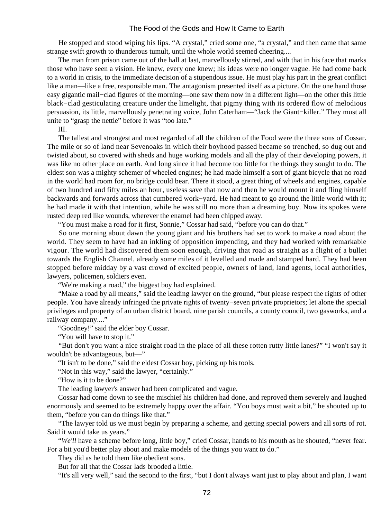He stopped and stood wiping his lips. "A crystal," cried some one, "a crystal," and then came that same strange swift growth to thunderous tumult, until the whole world seemed cheering....

 The man from prison came out of the hall at last, marvellously stirred, and with that in his face that marks those who have seen a vision. He knew, every one knew; his ideas were no longer vague. He had come back to a world in crisis, to the immediate decision of a stupendous issue. He must play his part in the great conflict like a man—like a free, responsible man. The antagonism presented itself as a picture. On the one hand those easy gigantic mail−clad figures of the morning—one saw them now in a different light—on the other this little black−clad gesticulating creature under the limelight, that pigmy thing with its ordered flow of melodious persuasion, its little, marvellously penetrating voice, John Caterham—"Jack the Giant−killer." They must all unite to "grasp the nettle" before it was "too late."

III.

 The tallest and strongest and most regarded of all the children of the Food were the three sons of Cossar. The mile or so of land near Sevenoaks in which their boyhood passed became so trenched, so dug out and twisted about, so covered with sheds and huge working models and all the play of their developing powers, it was like no other place on earth. And long since it had become too little for the things they sought to do. The eldest son was a mighty schemer of wheeled engines; he had made himself a sort of giant bicycle that no road in the world had room for, no bridge could bear. There it stood, a great thing of wheels and engines, capable of two hundred and fifty miles an hour, useless save that now and then he would mount it and fling himself backwards and forwards across that cumbered work−yard. He had meant to go around the little world with it; he had made it with that intention, while he was still no more than a dreaming boy. Now its spokes were rusted deep red like wounds, wherever the enamel had been chipped away.

"You must make a road for it first, Sonnie," Cossar had said, "before you can do that."

 So one morning about dawn the young giant and his brothers had set to work to make a road about the world. They seem to have had an inkling of opposition impending, and they had worked with remarkable vigour. The world had discovered them soon enough, driving that road as straight as a flight of a bullet towards the English Channel, already some miles of it levelled and made and stamped hard. They had been stopped before midday by a vast crowd of excited people, owners of land, land agents, local authorities, lawyers, policemen, soldiers even.

"We're making a road," the biggest boy had explained.

 "Make a road by all means," said the leading lawyer on the ground, "but please respect the rights of other people. You have already infringed the private rights of twenty−seven private proprietors; let alone the special privileges and property of an urban district board, nine parish councils, a county council, two gasworks, and a railway company...."

"Goodney!" said the elder boy Cossar.

"You will have to stop it."

 "But don't you want a nice straight road in the place of all these rotten rutty little lanes?" "I won't say it wouldn't be advantageous, but—"

"It isn't to be done," said the eldest Cossar boy, picking up his tools.

"Not in this way," said the lawyer, "certainly."

"How is it to be done?"

The leading lawyer's answer had been complicated and vague.

 Cossar had come down to see the mischief his children had done, and reproved them severely and laughed enormously and seemed to be extremely happy over the affair. "You boys must wait a bit," he shouted up to them, "before you can do things like that."

 "The lawyer told us we must begin by preparing a scheme, and getting special powers and all sorts of rot. Said it would take us years."

 "*We'll* have a scheme before long, little boy," cried Cossar, hands to his mouth as he shouted, "never fear. For a bit you'd better play about and make models of the things you want to do."

They did as he told them like obedient sons.

But for all that the Cossar lads brooded a little.

"It's all very well," said the second to the first, "but I don't always want just to play about and plan, I want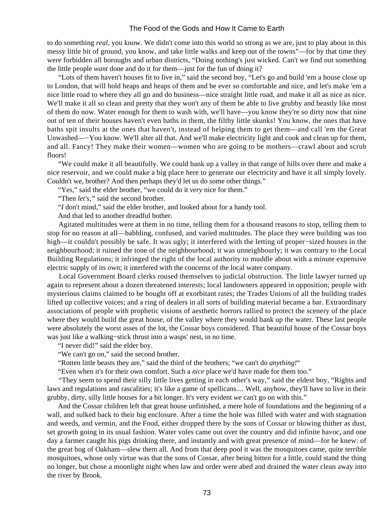to do something *real*, you know. We didn't come into this world so strong as we are, just to play about in this messy little bit of ground, you know, and take little walks and keep out of the towns"—for by that time they were forbidden all boroughs and urban districts, "Doing nothing's just wicked. Can't we find out something the little people *want* done and do it for them—just for the fun of doing it?

 "Lots of them haven't houses fit to live in," said the second boy, "Let's go and build 'em a house close up to London, that will hold heaps and heaps of them and be ever so comfortable and nice, and let's make 'em a nice little road to where they all go and do business—nice straight little road, and make it all as nice as nice. We'll make it all so clean and pretty that they won't any of them be able to live grubby and beastly like most of them do now. Water enough for them to wash with, we'll have—you know they're so dirty now that nine out of ten of their houses haven't even baths in them, the filthy little skunks! You know, the ones that have baths spit insults at the ones that haven't, instead of helping them to get them—and call 'em the Great Unwashed—−You know. We'll alter all that. And we'll make electricity light and cook and clean up for them, and all. Fancy! They make their women—women who are going to be mothers—crawl about and scrub floors!

 "We could make it all beautifully. We could bank up a valley in that range of hills over there and make a nice reservoir, and we could make a big place here to generate our electricity and have it all simply lovely. Couldn't we, brother? And then perhaps they'd let us do some other things."

"Yes," said the elder brother, "we could do it *very* nice for them."

"Then *let's,"* said the second brother.

"*I* don't mind," said the elder brother, and looked about for a handy tool.

And that led to another dreadful bother.

 Agitated multitudes were at them in no time, telling them for a thousand reasons to stop, telling them to stop for no reason at all—babbling, confused, and varied multitudes. The place they were building was too high—it couldn't possibly be safe. It was ugly; it interfered with the letting of proper−sized houses in the neighbourhood; it ruined the tone of the neighbourhood; it was unneighbourly; it was contrary to the Local Building Regulations; it infringed the right of the local authority to muddle about with a minute expensive electric supply of its own; it interfered with the concerns of the local water company.

 Local Government Board clerks roused themselves to judicial obstruction. The little lawyer turned up again to represent about a dozen threatened interests; local landowners appeared in opposition; people with mysterious claims claimed to be bought off at exorbitant rates; the Trades Unions of all the building trades lifted up collective voices; and a ring of dealers in all sorts of building material became a bar. Extraordinary associations of people with prophetic visions of aesthetic horrors rallied to protect the scenery of the place where they would build the great house, of the valley where they would bank up the water. These last people were absolutely the worst asses of the lot, the Cossar boys considered. That beautiful house of the Cossar boys was just like a walking−stick thrust into a wasps' nest, in no time.

"I never did!" said the elder boy.

"We can't go on," said the second brother.

"Rotten little beasts they are," said the third of the brothers; "we can't do *anything!*"

"Even when it's for their own comfort. Such a *nice* place we'd have made for them too."

 "They seem to spend their silly little lives getting in each other's way," said the eldest boy, "Rights and laws and regulations and rascalities; it's like a game of spellicans.... Well, anyhow, they'll have to live in their grubby, dirty, silly little houses for a bit longer. It's very evident *we* can't go on with this."

 And the Cossar children left that great house unfinished, a mere hole of foundations and the beginning of a wall, and sulked back to their big enclosure. After a time the hole was filled with water and with stagnation and weeds, and vermin, and the Food, either dropped there by the sons of Cossar or blowing thither as dust, set growth going in its usual fashion. Water voles came out over the country and did infinite havoc, and one day a farmer caught his pigs drinking there, and instantly and with great presence of mind—for he knew: of the great hog of Oakham—slew them all. And from that deep pool it was the mosquitoes came, quite terrible mosquitoes, whose only virtue was that the sons of Cossar, after being bitten for a little, could stand the thing no longer, but chose a moonlight night when law and order were abed and drained the water clean away into the river by Brook.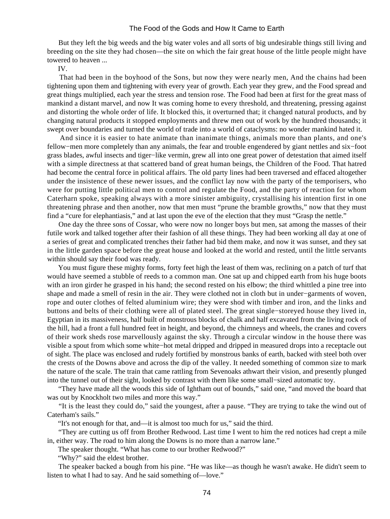But they left the big weeds and the big water voles and all sorts of big undesirable things still living and breeding on the site they had chosen—the site on which the fair great house of the little people might have towered to heaven ...

IV.

 That had been in the boyhood of the Sons, but now they were nearly men, And the chains had been tightening upon them and tightening with every year of growth. Each year they grew, and the Food spread and great things multiplied, each year the stress and tension rose. The Food had been at first for the great mass of mankind a distant marvel, and now It was coming home to every threshold, and threatening, pressing against and distorting the whole order of life. It blocked this, it overturned that; it changed natural products, and by changing natural products it stopped employments and threw men out of work by the hundred thousands; it swept over boundaries and turned the world of trade into a world of cataclysms: no wonder mankind hated it.

 And since it is easier to hate animate than inanimate things, animals more than plants, and one's fellow−men more completely than any animals, the fear and trouble engendered by giant nettles and six−foot grass blades, awful insects and tiger−like vermin, grew all into one great power of detestation that aimed itself with a simple directness at that scattered band of great human beings, the Children of the Food. That hatred had become the central force in political affairs. The old party lines had been traversed and effaced altogether under the insistence of these newer issues, and the conflict lay now with the party of the temporisers, who were for putting little political men to control and regulate the Food, and the party of reaction for whom Caterharn spoke, speaking always with a more sinister ambiguity, crystallising his intention first in one threatening phrase and then another, now that men must "prune the bramble growths," now that they must find a "cure for elephantiasis," and at last upon the eve of the election that they must "Grasp the nettle."

 One day the three sons of Cossar, who were now no longer boys but men, sat among the masses of their futile work and talked together after their fashion of all these things. They had been working all day at one of a series of great and complicated trenches their father had bid them make, and now it was sunset, and they sat in the little garden space before the great house and looked at the world and rested, until the little servants within should say their food was ready.

 You must figure these mighty forms, forty feet high the least of them was, reclining on a patch of turf that would have seemed a stubble of reeds to a common man. One sat up and chipped earth from his huge boots with an iron girder he grasped in his hand; the second rested on his elbow; the third whittled a pine tree into shape and made a smell of resin in the air. They were clothed not in cloth but in under−garments of woven, rope and outer clothes of felted aluminium wire; they were shod with timber and iron, and the links and buttons and belts of their clothing were all of plated steel. The great single−storeyed house they lived in, Egyptian in its massiveness, half built of monstrous blocks of chalk and half excavated from the living rock of the hill, had a front a full hundred feet in height, and beyond, the chimneys and wheels, the cranes and covers of their work sheds rose marvellously against the sky. Through a circular window in the house there was visible a spout from which some white−hot metal dripped and dripped in measured drops into a receptacle out of sight. The place was enclosed and rudely fortified by monstrous banks of earth, backed with steel both over the crests of the Downs above and across the dip of the valley. It needed something of common size to mark the nature of the scale. The train that came rattling from Sevenoaks athwart their vision, and presently plunged into the tunnel out of their sight, looked by contrast with them like some small−sized automatic toy.

 "They have made all the woods this side of Ightham out of bounds," said one, "and moved the board that was out by Knockholt two miles and more this way."

 "It is the least they could do," said the youngest, after a pause. "They are trying to take the wind out of Caterham's sails."

"It's not enough for that, and—it is almost too much for us," said the third.

 "They are cutting us off from Brother Redwood. Last time I went to him the red notices had crept a mile in, either way. The road to him along the Downs is no more than a narrow lane."

The speaker thought. "What has come to our brother Redwood?"

"Why?" said the eldest brother.

 The speaker backed a bough from his pine. "He was like—as though he wasn't awake. He didn't seem to listen to what I had to say. And he said something of—love."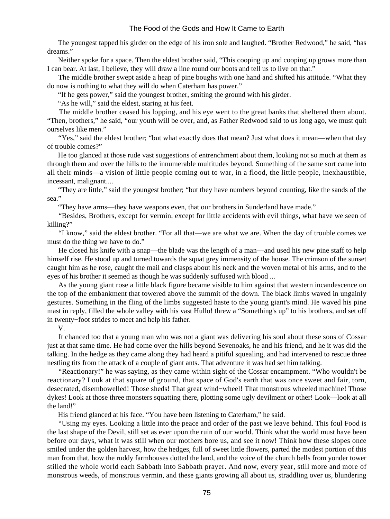The youngest tapped his girder on the edge of his iron sole and laughed. "Brother Redwood," he said, "has dreams."

 Neither spoke for a space. Then the eldest brother said, "This cooping up and cooping up grows more than I can bear. At last, I believe, they will draw a line round our boots and tell us to live on that."

 The middle brother swept aside a heap of pine boughs with one hand and shifted his attitude. "What they do now is nothing to what they will do when Caterham has power."

"If he gets power," said the youngest brother, smiting the ground with his girder.

"As he will," said the eldest, staring at his feet.

 The middle brother ceased his lopping, and his eye went to the great banks that sheltered them about. "Then, brothers," he said, "our youth will be over, and, as Father Redwood said to us long ago, we must quit ourselves like men."

 "Yes," said the eldest brother; "but what exactly does that mean? Just what does it mean—when that day of trouble comes?"

 He too glanced at those rude vast suggestions of entrenchment about them, looking not so much at them as through them and over the hills to the innumerable multitudes beyond. Something of the same sort came into all their minds—a vision of little people coming out to war, in a flood, the little people, inexhaustible, incessant, malignant....

 "They are little," said the youngest brother; "but they have numbers beyond counting, like the sands of the sea."

"They have arms—they have weapons even, that our brothers in Sunderland have made."

 "Besides, Brothers, except for vermin, except for little accidents with evil things, what have we seen of killing?"

 "I know," said the eldest brother. "For all that—we are what we are. When the day of trouble comes we must do the thing we have to do."

 He closed his knife with a snap—the blade was the length of a man—and used his new pine staff to help himself rise. He stood up and turned towards the squat grey immensity of the house. The crimson of the sunset caught him as he rose, caught the mail and clasps about his neck and the woven metal of his arms, and to the eyes of his brother it seemed as though he was suddenly suffused with blood ...

 As the young giant rose a little black figure became visible to him against that western incandescence on the top of the embankment that towered above the summit of the down. The black limbs waved in ungainly gestures. Something in the fling of the limbs suggested haste to the young giant's mind. He waved his pine mast in reply, filled the whole valley with his vast Hullo! threw a "Something's up" to his brothers, and set off in twenty−foot strides to meet and help his father.

V.

 It chanced too that a young man who was not a giant was delivering his soul about these sons of Cossar just at that same time. He had come over the hills beyond Sevenoaks, he and his friend, and he it was did the talking. In the hedge as they came along they had heard a pitiful squealing, and had intervened to rescue three nestling tits from the attack of a couple of giant ants. That adventure it was had set him talking.

 "Reactionary!" he was saying, as they came within sight of the Cossar encampment. "Who wouldn't be reactionary? Look at that square of ground, that space of God's earth that was once sweet and fair, torn, desecrated, disembowelled! Those sheds! That great wind−wheel! That monstrous wheeled machine! Those dykes! Look at those three monsters squatting there, plotting some ugly devilment or other! Look—look at all the land!"

His friend glanced at his face. "You have been listening to Caterham," he said.

 "Using my eyes. Looking a little into the peace and order of the past we leave behind. This foul Food is the last shape of the Devil, still set as ever upon the ruin of our world. Think what the world must have been before our days, what it was still when our mothers bore us, and see it now! Think how these slopes once smiled under the golden harvest, how the hedges, full of sweet little flowers, parted the modest portion of this man from that, how the ruddy farmhouses dotted the land, and the voice of the church bells from yonder tower stilled the whole world each Sabbath into Sabbath prayer. And now, every year, still more and more of monstrous weeds, of monstrous vermin, and these giants growing all about us, straddling over us, blundering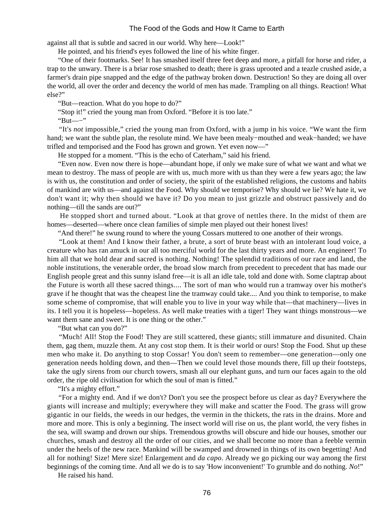against all that is subtle and sacred in our world. Why here—Look!"

He pointed, and his friend's eyes followed the line of his white finger.

 "One of their footmarks. See! It has smashed itself three feet deep and more, a pitfall for horse and rider, a trap to the unwary. There is a briar rose smashed to death; there is grass uprooted and a teazle crushed aside, a farmer's drain pipe snapped and the edge of the pathway broken down. Destruction! So they are doing all over the world, all over the order and decency the world of men has made. Trampling on all things. Reaction! What else?"

"But—reaction. What do you hope to do?"

"Stop it!" cried the young man from Oxford. "Before it is too late."

"But—−"

 "It's *not* impossible," cried the young man from Oxford, with a jump in his voice. "We want the firm hand; we want the subtle plan, the resolute mind. We have been mealy−mouthed and weak−handed; we have trifled and temporised and the Food has grown and grown. Yet even now—"

He stopped for a moment. "This is the echo of Caterham," said his friend.

 "Even now. Even now there is hope—abundant hope, if only we make sure of what we want and what we mean to destroy. The mass of people are with us, much more with us than they were a few years ago; the law is with us, the constitution and order of society, the spirit of the established religions, the customs and habits of mankind are with us—and against the Food. Why should we temporise? Why should we lie? We hate it, we don't want it; why then should we have it? Do you mean to just grizzle and obstruct passively and do nothing—till the sands are out?"

 He stopped short and turned about. "Look at that grove of nettles there. In the midst of them are homes—deserted—where once clean families of simple men played out their honest lives!

"And there!" he swung round to where the young Cossars muttered to one another of their wrongs.

 "Look at them! And I know their father, a brute, a sort of brute beast with an intolerant loud voice, a creature who has ran amuck in our all too merciful world for the last thirty years and more. An engineer! To him all that we hold dear and sacred is nothing. Nothing! The splendid traditions of our race and land, the noble institutions, the venerable order, the broad slow march from precedent to precedent that has made our English people great and this sunny island free—it is all an idle tale, told and done with. Some claptrap about the Future is worth all these sacred things.... The sort of man who would run a tramway over his mother's grave if he thought that was the cheapest line the tramway could take.... And you think to temporise, to make some scheme of compromise, that will enable you to live in your way while that—that machinery—lives in its. I tell you it is hopeless—hopeless. As well make treaties with a tiger! They want things monstrous—we want them sane and sweet. It is one thing or the other."

"But what can you do?"

 "Much! All! Stop the Food! They are still scattered, these giants; still immature and disunited. Chain them, gag them, muzzle them. At any cost stop them. It is their world or ours! Stop the Food. Shut up these men who make it. Do anything to stop Cossar! You don't seem to remember—one generation—only one generation needs holding down, and then—Then we could level those mounds there, fill up their footsteps, take the ugly sirens from our church towers, smash all our elephant guns, and turn our faces again to the old order, the ripe old civilisation for which the soul of man is fitted."

"It's a mighty effort."

 "For a mighty end. And if we don't? Don't you see the prospect before us clear as day? Everywhere the giants will increase and multiply; everywhere they will make and scatter the Food. The grass will grow gigantic in our fields, the weeds in our hedges, the vermin in the thickets, the rats in the drains. More and more and more. This is only a beginning. The insect world will rise on us, the plant world, the very fishes in the sea, will swamp and drown our ships. Tremendous growths will obscure and hide our houses, smother our churches, smash and destroy all the order of our cities, and we shall become no more than a feeble vermin under the heels of the new race. Mankind will be swamped and drowned in things of its own begetting! And all for nothing! Size! Mere size! Enlargement and *da capo*. Already we go picking our way among the first beginnings of the coming time. And all we do is to say 'How inconvenient!' To grumble and do nothing. *No*!"

He raised his hand.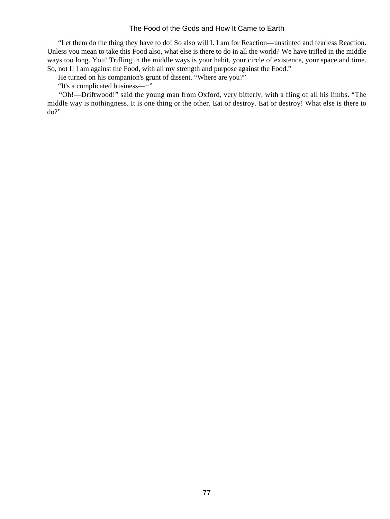"Let them do the thing they have to do! So also will I. I am for Reaction—unstinted and fearless Reaction. Unless you mean to take this Food also, what else is there to do in all the world? We have trifled in the middle ways too long. You! Trifling in the middle ways is your habit, your circle of existence, your space and time. So, not I! I am against the Food, with all my strength and purpose against the Food."

He turned on his companion's grunt of dissent. "Where are you?"

"It's a complicated business—−"

 "Oh!—Driftwood!" said the young man from Oxford, very bitterly, with a fling of all his limbs. "The middle way is nothingness. It is one thing or the other. Eat or destroy. Eat or destroy! What else is there to do?"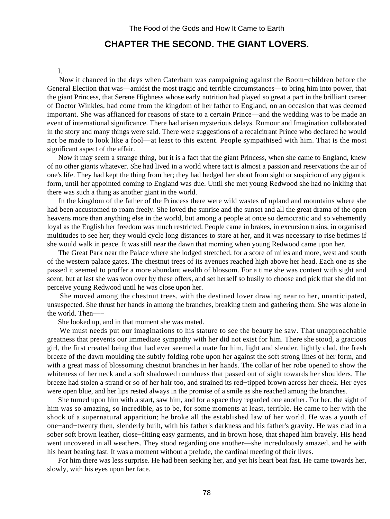# **CHAPTER THE SECOND. THE GIANT LOVERS.**

#### I.

 Now it chanced in the days when Caterham was campaigning against the Boom−children before the General Election that was—amidst the most tragic and terrible circumstances—to bring him into power, that the giant Princess, that Serene Highness whose early nutrition had played so great a part in the brilliant career of Doctor Winkles, had come from the kingdom of her father to England, on an occasion that was deemed important. She was affianced for reasons of state to a certain Prince—and the wedding was to be made an event of international significance. There had arisen mysterious delays. Rumour and Imagination collaborated in the story and many things were said. There were suggestions of a recalcitrant Prince who declared he would not be made to look like a fool—at least to this extent. People sympathised with him. That is the most significant aspect of the affair.

 Now it may seem a strange thing, but it is a fact that the giant Princess, when she came to England, knew of no other giants whatever. She had lived in a world where tact is almost a passion and reservations the air of one's life. They had kept the thing from her; they had hedged her about from sight or suspicion of any gigantic form, until her appointed coming to England was due. Until she met young Redwood she had no inkling that there was such a thing as another giant in the world.

 In the kingdom of the father of the Princess there were wild wastes of upland and mountains where she had been accustomed to roam freely. She loved the sunrise and the sunset and all the great drama of the open heavens more than anything else in the world, but among a people at once so democratic and so vehemently loyal as the English her freedom was much restricted. People came in brakes, in excursion trains, in organised multitudes to see her; they would cycle long distances to stare at her, and it was necessary to rise betimes if she would walk in peace. It was still near the dawn that morning when young Redwood came upon her.

 The Great Park near the Palace where she lodged stretched, for a score of miles and more, west and south of the western palace gates. The chestnut trees of its avenues reached high above her head. Each one as she passed it seemed to proffer a more abundant wealth of blossom. For a time she was content with sight and scent, but at last she was won over by these offers, and set herself so busily to choose and pick that she did not perceive young Redwood until he was close upon her.

 She moved among the chestnut trees, with the destined lover drawing near to her, unanticipated, unsuspected. She thrust her hands in among the branches, breaking them and gathering them. She was alone in the world. Then—−

She looked up, and in that moment she was mated.

We must needs put our imaginations to his stature to see the beauty he saw. That unapproachable greatness that prevents our immediate sympathy with her did not exist for him. There she stood, a gracious girl, the first created being that had ever seemed a mate for him, light and slender, lightly clad, the fresh breeze of the dawn moulding the subtly folding robe upon her against the soft strong lines of her form, and with a great mass of blossoming chestnut branches in her hands. The collar of her robe opened to show the whiteness of her neck and a soft shadowed roundness that passed out of sight towards her shoulders. The breeze had stolen a strand or so of her hair too, and strained its red−tipped brown across her cheek. Her eyes were open blue, and her lips rested always in the promise of a smile as she reached among the branches.

 She turned upon him with a start, saw him, and for a space they regarded one another. For her, the sight of him was so amazing, so incredible, as to be, for some moments at least, terrible. He came to her with the shock of a supernatural apparition; he broke all the established law of her world. He was a youth of one−and−twenty then, slenderly built, with his father's darkness and his father's gravity. He was clad in a sober soft brown leather, close−fitting easy garments, and in brown hose, that shaped him bravely. His head went uncovered in all weathers. They stood regarding one another—she incredulously amazed, and he with his heart beating fast. It was a moment without a prelude, the cardinal meeting of their lives.

 For him there was less surprise. He had been seeking her, and yet his heart beat fast. He came towards her, slowly, with his eyes upon her face.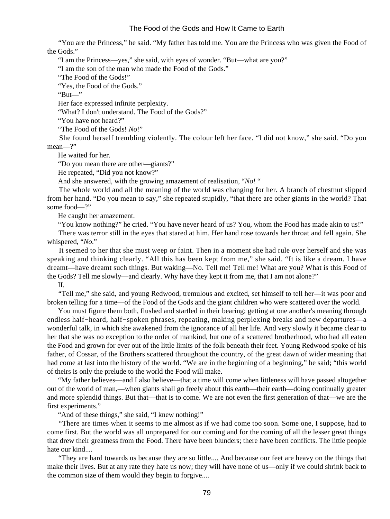"You are the Princess," he said. "My father has told me. You are the Princess who was given the Food of the Gods."

"I am the Princess—yes," she said, with eyes of wonder. "But—what are you?"

"I am the son of the man who made the Food of the Gods."

"The Food of the Gods!"

"Yes, the Food of the Gods."

"But—"

Her face expressed infinite perplexity.

"What? I don't understand. The Food of the Gods?"

"You have not heard?"

"The Food of the Gods! *No*!"

 She found herself trembling violently. The colour left her face. "I did not know," she said. "Do you mean—?"

He waited for her.

"Do you mean there are other—giants?"

He repeated, "Did you not know?"

And she answered, with the growing amazement of realisation, "*No!* "

 The whole world and all the meaning of the world was changing for her. A branch of chestnut slipped from her hand. "Do you mean to say," she repeated stupidly, "that there are other giants in the world? That some food—?"

He caught her amazement.

"You know nothing?" he cried. "You have never heard of us? You, whom the Food has made akin to us!"

 There was terror still in the eyes that stared at him. Her hand rose towards her throat and fell again. She whispered, "*No*."

 It seemed to her that she must weep or faint. Then in a moment she had rule over herself and she was speaking and thinking clearly. "All this has been kept from me," she said. "It is like a dream. I have dreamt—have dreamt such things. But waking—No. Tell me! Tell me! What are you? What is this Food of the Gods? Tell me slowly—and clearly. Why have they kept it from me, that I am not alone?"

II.

 "Tell me," she said, and young Redwood, tremulous and excited, set himself to tell her—it was poor and broken telling for a time—of the Food of the Gods and the giant children who were scattered over the world.

 You must figure them both, flushed and startled in their bearing; getting at one another's meaning through endless half−heard, half−spoken phrases, repeating, making perplexing breaks and new departures—a wonderful talk, in which she awakened from the ignorance of all her life. And very slowly it became clear to her that she was no exception to the order of mankind, but one of a scattered brotherhood, who had all eaten the Food and grown for ever out of the little limits of the folk beneath their feet. Young Redwood spoke of his father, of Cossar, of the Brothers scattered throughout the country, of the great dawn of wider meaning that had come at last into the history of the world. "We are in the beginning of a beginning," he said; "this world of theirs is only the prelude to the world the Food will make.

 "My father believes—and I also believe—that a time will come when littleness will have passed altogether out of the world of man,—when giants shall go freely about this earth—their earth—doing continually greater and more splendid things. But that—that is to come. We are not even the first generation of that—we are the first experiments."

"And of these things," she said, "I knew nothing!"

 "There are times when it seems to me almost as if we had come too soon. Some one, I suppose, had to come first. But the world was all unprepared for our coming and for the coming of all the lesser great things that drew their greatness from the Food. There have been blunders; there have been conflicts. The little people hate our kind....

 "They are hard towards us because they are so little.... And because our feet are heavy on the things that make their lives. But at any rate they hate us now; they will have none of us—only if we could shrink back to the common size of them would they begin to forgive....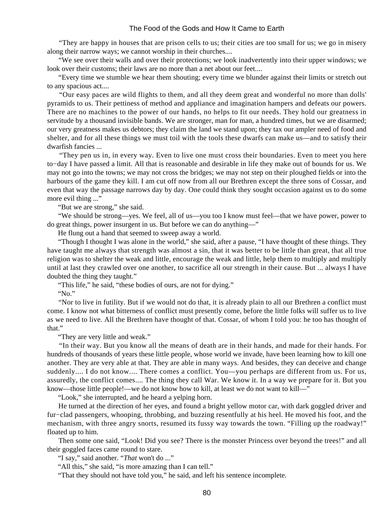"They are happy in houses that are prison cells to us; their cities are too small for us; we go in misery along their narrow ways; we cannot worship in their churches....

 "We see over their walls and over their protections; we look inadvertently into their upper windows; we look over their customs; their laws are no more than a net about our feet....

 "Every time we stumble we hear them shouting; every time we blunder against their limits or stretch out to any spacious act....

 "Our easy paces are wild flights to them, and all they deem great and wonderful no more than dolls' pyramids to us. Their pettiness of method and appliance and imagination hampers and defeats our powers. There are no machines to the power of our hands, no helps to fit our needs. They hold our greatness in servitude by a thousand invisible bands. We are stronger, man for man, a hundred times, but we are disarmed; our very greatness makes us debtors; they claim the land we stand upon; they tax our ampler need of food and shelter, and for all these things we must toil with the tools these dwarfs can make us—and to satisfy their dwarfish fancies ...

 "They pen us in, in every way. Even to live one must cross their boundaries. Even to meet you here to−day I have passed a limit. All that is reasonable and desirable in life they make out of bounds for us. We may not go into the towns; we may not cross the bridges; we may not step on their ploughed fields or into the harbours of the game they kill. I am cut off now from all our Brethren except the three sons of Cossar, and even that way the passage narrows day by day. One could think they sought occasion against us to do some more evil thing ..."

"But we are strong," she said.

 "We should be strong—yes. We feel, all of us—you too I know must feel—that we have power, power to do great things, power insurgent in us. But before we can do anything—"

He flung out a hand that seemed to sweep away a world.

 "Though I thought I was alone in the world," she said, after a pause, "I have thought of these things. They have taught me always that strength was almost a sin, that it was better to be little than great, that all true religion was to shelter the weak and little, encourage the weak and little, help them to multiply and multiply until at last they crawled over one another, to sacrifice all our strength in their cause. But ... always I have doubted the thing they taught."

"This life," he said, "these bodies of ours, are not for dying."

"No."

 "Nor to live in futility. But if we would not do that, it is already plain to all our Brethren a conflict must come. I know not what bitterness of conflict must presently come, before the little folks will suffer us to live as we need to live. All the Brethren have thought of that. Cossar, of whom I told you: he too has thought of that."

"They are very little and weak."

 "In their way. But you know all the means of death are in their hands, and made for their hands. For hundreds of thousands of years these little people, whose world we invade, have been learning how to kill one another. They are very able at that. They are able in many ways. And besides, they can deceive and change suddenly.... I do not know.... There comes a conflict. You—you perhaps are different from us. For us, assuredly, the conflict comes.... The thing they call War. We know it. In a way we prepare for it. But you know—those little people!—we do not know how to kill, at least we do not want to kill—"

"Look," she interrupted, and he heard a yelping horn.

 He turned at the direction of her eyes, and found a bright yellow motor car, with dark goggled driver and fur−clad passengers, whooping, throbbing, and buzzing resentfully at his heel. He moved his foot, and the mechanism, with three angry snorts, resumed its fussy way towards the town. "Filling up the roadway!" floated up to him.

 Then some one said, "Look! Did you see? There is the monster Princess over beyond the trees!" and all their goggled faces came round to stare.

"I say," said another. "*That* won't do ..."

"All this," she said, "is more amazing than I can tell."

"That they should not have told you," he said, and left his sentence incomplete.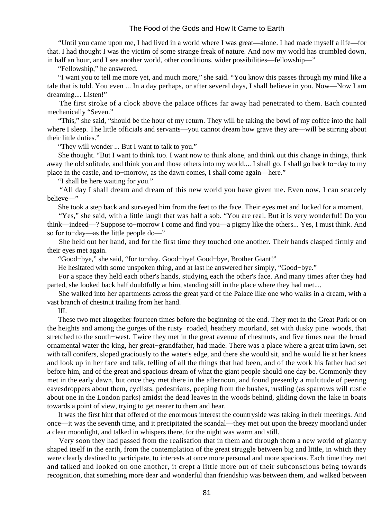"Until you came upon me, I had lived in a world where I was great—alone. I had made myself a life—for that. I had thought I was the victim of some strange freak of nature. And now my world has crumbled down, in half an hour, and I see another world, other conditions, wider possibilities—fellowship—"

"Fellowship," he answered.

 "I want you to tell me more yet, and much more," she said. "You know this passes through my mind like a tale that is told. You even ... In a day perhaps, or after several days, I shall believe in you. Now—Now I am dreaming.... Listen!"

 The first stroke of a clock above the palace offices far away had penetrated to them. Each counted mechanically "Seven."

 "This," she said, "should be the hour of my return. They will be taking the bowl of my coffee into the hall where I sleep. The little officials and servants—you cannot dream how grave they are—will be stirring about their little duties."

"They will wonder ... But I want to talk to you."

 She thought. "But I want to think too. I want now to think alone, and think out this change in things, think away the old solitude, and think you and those others into my world.... I shall go. I shall go back to−day to my place in the castle, and to−morrow, as the dawn comes, I shall come again—here."

"I shall be here waiting for you."

 "All day I shall dream and dream of this new world you have given me. Even now, I can scarcely believe—"

She took a step back and surveyed him from the feet to the face. Their eyes met and locked for a moment.

 "Yes," she said, with a little laugh that was half a sob. "You are real. But it is very wonderful! Do you think—indeed—? Suppose to−morrow I come and find you—a pigmy like the others... Yes, I must think. And so for to−day—as the little people do—"

 She held out her hand, and for the first time they touched one another. Their hands clasped firmly and their eyes met again.

"Good−bye," she said, "for to−day. Good−bye! Good−bye, Brother Giant!"

He hesitated with some unspoken thing, and at last he answered her simply, "Good−bye."

 For a space they held each other's hands, studying each the other's face. And many times after they had parted, she looked back half doubtfully at him, standing still in the place where they had met....

 She walked into her apartments across the great yard of the Palace like one who walks in a dream, with a vast branch of chestnut trailing from her hand.

III.

 These two met altogether fourteen times before the beginning of the end. They met in the Great Park or on the heights and among the gorges of the rusty−roaded, heathery moorland, set with dusky pine−woods, that stretched to the south−west. Twice they met in the great avenue of chestnuts, and five times near the broad ornamental water the king, her great−grandfather, had made. There was a place where a great trim lawn, set with tall conifers, sloped graciously to the water's edge, and there she would sit, and he would lie at her knees and look up in her face and talk, telling of all the things that had been, and of the work his father had set before him, and of the great and spacious dream of what the giant people should one day be. Commonly they met in the early dawn, but once they met there in the afternoon, and found presently a multitude of peering eavesdroppers about them, cyclists, pedestrians, peeping from the bushes, rustling (as sparrows will rustle about one in the London parks) amidst the dead leaves in the woods behind, gliding down the lake in boats towards a point of view, trying to get nearer to them and hear.

 It was the first hint that offered of the enormous interest the countryside was taking in their meetings. And once—it was the seventh time, and it precipitated the scandal—they met out upon the breezy moorland under a clear moonlight, and talked in whispers there, for the night was warm and still.

 Very soon they had passed from the realisation that in them and through them a new world of giantry shaped itself in the earth, from the contemplation of the great struggle between big and little, in which they were clearly destined to participate, to interests at once more personal and more spacious. Each time they met and talked and looked on one another, it crept a little more out of their subconscious being towards recognition, that something more dear and wonderful than friendship was between them, and walked between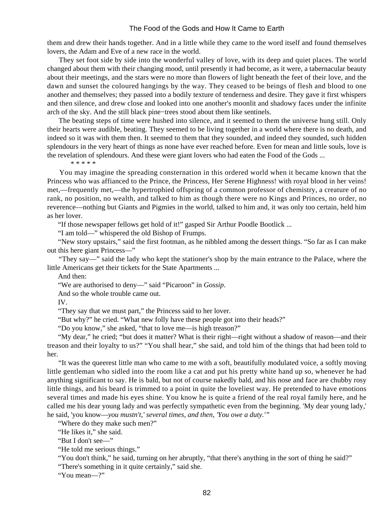them and drew their hands together. And in a little while they came to the word itself and found themselves lovers, the Adam and Eve of a new race in the world.

 They set foot side by side into the wonderful valley of love, with its deep and quiet places. The world changed about them with their changing mood, until presently it had become, as it were, a tabernacular beauty about their meetings, and the stars were no more than flowers of light beneath the feet of their love, and the dawn and sunset the coloured hangings by the way. They ceased to be beings of flesh and blood to one another and themselves; they passed into a bodily texture of tenderness and desire. They gave it first whispers and then silence, and drew close and looked into one another's moonlit and shadowy faces under the infinite arch of the sky. And the still black pine−trees stood about them like sentinels.

 The beating steps of time were hushed into silence, and it seemed to them the universe hung still. Only their hearts were audible, beating. They seemed to be living together in a world where there is no death, and indeed so it was with them then. It seemed to them that they sounded, and indeed they sounded, such hidden splendours in the very heart of things as none have ever reached before. Even for mean and little souls, love is the revelation of splendours. And these were giant lovers who had eaten the Food of the Gods ...

\* \* \* \* \*

 You may imagine the spreading consternation in this ordered world when it became known that the Princess who was affianced to the Prince, the Princess, Her Serene Highness! with royal blood in her veins! met,—frequently met,—the hypertrophied offspring of a common professor of chemistry, a creature of no rank, no position, no wealth, and talked to him as though there were no Kings and Princes, no order, no reverence—nothing but Giants and Pigmies in the world, talked to him and, it was only too certain, held him as her lover.

"If those newspaper fellows get hold of it!" gasped Sir Arthur Poodle Bootlick ...

"I am told—" whispered the old Bishop of Frumps.

 "New story upstairs," said the first footman, as he nibbled among the dessert things. "So far as I can make out this here giant Princess—"

 "They say—" said the lady who kept the stationer's shop by the main entrance to the Palace, where the little Americans get their tickets for the State Apartments ...

And then:

"We are authorised to deny—" said "Picaroon" in *Gossip*.

And so the whole trouble came out.

IV.

"They say that we must part," the Princess said to her lover.

"But why?" he cried. "What new folly have these people got into their heads?"

"Do you know," she asked, "that to love me—is high treason?"

 "My dear," he cried; "but does it matter? What is their right—right without a shadow of reason—and their treason and their loyalty to us?" "You shall hear," she said, and told him of the things that had been told to her.

 "It was the queerest little man who came to me with a soft, beautifully modulated voice, a softly moving little gentleman who sidled into the room like a cat and put his pretty white hand up so, whenever he had anything significant to say. He is bald, but not of course nakedly bald, and his nose and face are chubby rosy little things, and his beard is trimmed to a point in quite the loveliest way. He pretended to have emotions several times and made his eyes shine. You know he is quite a friend of the real royal family here, and he called me his dear young lady and was perfectly sympathetic even from the beginning. 'My dear young lady,' he said, 'you know—*you mustn't,' several times, and then, 'You owe a duty.'"*

"Where do they make such men?"

"He likes it," she said.

"But I don't see—"

"He told me serious things."

"You don't think," he said, turning on her abruptly, "that there's anything in the sort of thing he said?"

"There's something in it quite certainly," said she.

"You mean—?"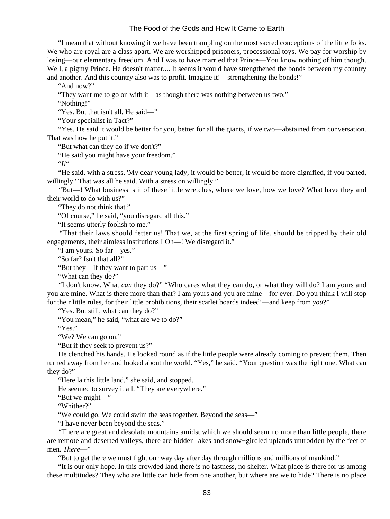"I mean that without knowing it we have been trampling on the most sacred conceptions of the little folks. We who are royal are a class apart. We are worshipped prisoners, processional toys. We pay for worship by losing—our elementary freedom. And I was to have married that Prince—You know nothing of him though. Well, a pigmy Prince. He doesn't matter.... It seems it would have strengthened the bonds between my country and another. And this country also was to profit. Imagine it!—strengthening the bonds!"

"And now?"

"They want me to go on with it—as though there was nothing between us two."

"Nothing!"

"Yes. But that isn't all. He said—"

"Your specialist in Tact?"

 "Yes. He said it would be better for you, better for all the giants, if we two—abstained from conversation. That was how he put it."

"But what can they do if we don't?"

"He said you might have your freedom."

"*I!*"

 "He said, with a stress, 'My dear young lady, it would be better, it would be more dignified, if you parted, willingly.' That was all he said. With a stress on willingly."

 "But—! What business is it of these little wretches, where we love, how we love? What have they and their world to do with us?"

"They do not think that."

"Of course," he said, "you disregard all this."

"It seems utterly foolish to me."

 "That their laws should fetter us! That we, at the first spring of life, should be tripped by their old engagements, their aimless institutions I Oh—! We disregard it."

"I am yours. So far—yes."

"So far? Isn't that all?"

"But they—If they want to part us—"

"What can they do?"

 "I don't know. What *can* they do?" "Who cares what they can do, or what they will do? I am yours and you are mine. What is there more than that? I am yours and you are mine—for ever. Do you think I will stop for their little rules, for their little prohibitions, their scarlet boards indeed!—and keep from *you*?"

"Yes. But still, what can they do?"

"You mean," he said, "what are we to do?"

"Yes."

"We? We can go on."

"But if they seek to prevent us?"

 He clenched his hands. He looked round as if the little people were already coming to prevent them. Then turned away from her and looked about the world. "Yes," he said. "Your question was the right one. What can they do?"

"Here la this little land," she said, and stopped.

He seemed to survey it all. "They are everywhere."

"But we might—"

"Whither?"

"We could go. We could swim the seas together. Beyond the seas—"

"I have never been beyond the seas."

 "There are great and desolate mountains amidst which we should seem no more than little people, there are remote and deserted valleys, there are hidden lakes and snow−girdled uplands untrodden by the feet of men. *There*—"

"But to get there we must fight our way day after day through millions and millions of mankind."

 "It is our only hope. In this crowded land there is no fastness, no shelter. What place is there for us among these multitudes? They who are little can hide from one another, but where are we to hide? There is no place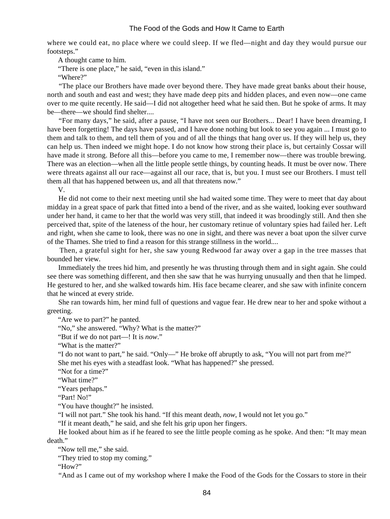where we could eat, no place where we could sleep. If we fled—night and day they would pursue our footsteps."

A thought came to him.

"There is one place," he said, "even in this island."

"Where?"

 "The place our Brothers have made over beyond there. They have made great banks about their house, north and south and east and west; they have made deep pits and hidden places, and even now—one came over to me quite recently. He said—I did not altogether heed what he said then. But he spoke of arms. It may be—there—we should find shelter....

 "For many days," he said, after a pause, "I have not seen our Brothers... Dear! I have been dreaming, I have been forgetting! The days have passed, and I have done nothing but look to see you again ... I must go to them and talk to them, and tell them of you and of all the things that hang over us. If they will help us, they can help us. Then indeed we might hope. I do not know how strong their place is, but certainly Cossar will have made it strong. Before all this—before you came to me, I remember now—there was trouble brewing. There was an election—when all the little people settle things, by counting heads. It must be over now. There were threats against all our race—against all our race, that is, but you. I must see our Brothers. I must tell them all that has happened between us, and all that threatens now."

V.

 He did not come to their next meeting until she had waited some time. They were to meet that day about midday in a great space of park that fitted into a bend of the river, and as she waited, looking ever southward under her hand, it came to her that the world was very still, that indeed it was broodingly still. And then she perceived that, spite of the lateness of the hour, her customary retinue of voluntary spies had failed her. Left and right, when she came to look, there was no one in sight, and there was never a boat upon the silver curve of the Thames. She tried to find a reason for this strange stillness in the world....

 Then, a grateful sight for her, she saw young Redwood far away over a gap in the tree masses that bounded her view.

 Immediately the trees hid him, and presently he was thrusting through them and in sight again. She could see there was something different, and then she saw that he was hurrying unusually and then that he limped. He gestured to her, and she walked towards him. His face became clearer, and she saw with infinite concern that he winced at every stride.

 She ran towards him, her mind full of questions and vague fear. He drew near to her and spoke without a greeting.

"Are we to part?" he panted.

"No," she answered. "Why? What is the matter?"

"But if we do not part—! It is *now*."

"What is the matter?"

 "I do not want to part," he said. "Only—" He broke off abruptly to ask, "You will not part from me?" She met his eyes with a steadfast look. "What has happened?" she pressed.

"Not for a time?"

"What time?"

"Years perhaps."

"Part! No!"

"You have thought?" he insisted.

"I will not part." She took his hand. "If this meant death, *now*, I would not let you go."

"If it meant death," he said, and she felt his grip upon her fingers.

 He looked about him as if he feared to see the little people coming as he spoke. And then: "It may mean death."

"Now tell me," she said.

"They tried to stop my coming."

"How"

"And as I came out of my workshop where I make the Food of the Gods for the Cossars to store in their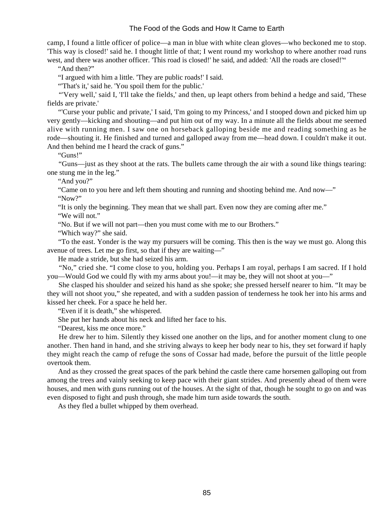camp, I found a little officer of police—a man in blue with white clean gloves—who beckoned me to stop. 'This way is closed!' said he. I thought little of that; I went round my workshop to where another road runs west, and there was another officer. 'This road is closed!' he said, and added: 'All the roads are closed!'"

"And then?"

"I argued with him a little. 'They are public roads!' I said.

"'That's it,' said he. 'You spoil them for the public.'

 "'Very well,' said I, 'I'll take the fields,' and then, up leapt others from behind a hedge and said, 'These fields are private.'

 "'Curse your public and private,' I said, 'I'm going to my Princess,' and I stooped down and picked him up very gently—kicking and shouting—and put him out of my way. In a minute all the fields about me seemed alive with running men. I saw one on horseback galloping beside me and reading something as he rode—shouting it. He finished and turned and galloped away from me—head down. I couldn't make it out. And then behind me I heard the crack of guns."

"Guns!"

 "Guns—just as they shoot at the rats. The bullets came through the air with a sound like things tearing: one stung me in the leg."

"And you?"

 "Came on to you here and left them shouting and running and shooting behind me. And now—" "Now?"

"It is only the beginning. They mean that we shall part. Even now they are coming after me."

"We will not."

"No. But if we will not part—then you must come with me to our Brothers."

"Which way?" she said.

 "To the east. Yonder is the way my pursuers will be coming. This then is the way we must go. Along this avenue of trees. Let me go first, so that if they are waiting—"

He made a stride, but she had seized his arm.

 "No," cried she. "I come close to you, holding you. Perhaps I am royal, perhaps I am sacred. If I hold you—Would God we could fly with my arms about you!—it may be, they will not shoot at you—"

 She clasped his shoulder and seized his hand as she spoke; she pressed herself nearer to him. "It may be they will not shoot you," she repeated, and with a sudden passion of tenderness he took her into his arms and kissed her cheek. For a space he held her.

"Even if it is death," she whispered.

She put her hands about his neck and lifted her face to his.

"Dearest, kiss me once more."

 He drew her to him. Silently they kissed one another on the lips, and for another moment clung to one another. Then hand in hand, and she striving always to keep her body near to his, they set forward if haply they might reach the camp of refuge the sons of Cossar had made, before the pursuit of the little people overtook them.

 And as they crossed the great spaces of the park behind the castle there came horsemen galloping out from among the trees and vainly seeking to keep pace with their giant strides. And presently ahead of them were houses, and men with guns running out of the houses. At the sight of that, though he sought to go on and was even disposed to fight and push through, she made him turn aside towards the south.

As they fled a bullet whipped by them overhead.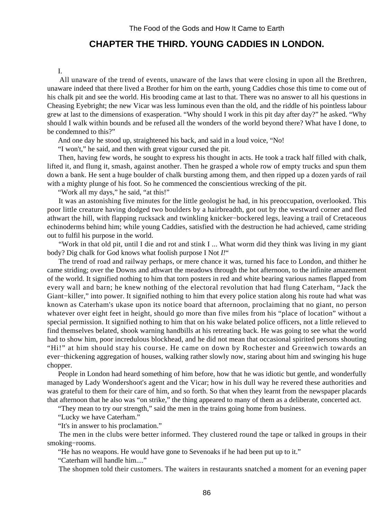# **CHAPTER THE THIRD. YOUNG CADDIES IN LONDON.**

#### I.

 All unaware of the trend of events, unaware of the laws that were closing in upon all the Brethren, unaware indeed that there lived a Brother for him on the earth, young Caddies chose this time to come out of his chalk pit and see the world. His brooding came at last to that. There was no answer to all his questions in Cheasing Eyebright; the new Vicar was less luminous even than the old, and the riddle of his pointless labour grew at last to the dimensions of exasperation. "Why should I work in this pit day after day?" he asked. "Why should I walk within bounds and be refused all the wonders of the world beyond there? What have I done, to be condemned to this?"

And one day he stood up, straightened his back, and said in a loud voice, "No!

"I won't," he said, and then with great vigour cursed the pit.

 Then, having few words, he sought to express his thought in acts. He took a track half filled with chalk, lifted it, and flung it, smash, against another. Then he grasped a whole row of empty trucks and spun them down a bank. He sent a huge boulder of chalk bursting among them, and then ripped up a dozen yards of rail with a mighty plunge of his foot. So he commenced the conscientious wrecking of the pit.

"Work all my days," he said, "at this!"

 It was an astonishing five minutes for the little geologist he had, in his preoccupation, overlooked. This poor little creature having dodged two boulders by a hairbreadth, got out by the westward corner and fled athwart the hill, with flapping rucksack and twinkling knicker−bockered legs, leaving a trail of Cretaceous echinoderms behind him; while young Caddies, satisfied with the destruction he had achieved, came striding out to fulfil his purpose in the world.

 "Work in that old pit, until I die and rot and stink I ... What worm did they think was living in my giant body? Dig chalk for God knows what foolish purpose I Not *I!*"

 The trend of road and railway perhaps, or mere chance it was, turned his face to London, and thither he came striding; over the Downs and athwart the meadows through the hot afternoon, to the infinite amazement of the world. It signified nothing to him that torn posters in red and white bearing various names flapped from every wall and barn; he knew nothing of the electoral revolution that had flung Caterham, "Jack the Giant−killer," into power. It signified nothing to him that every police station along his route had what was known as Caterham's ukase upon its notice board that afternoon, proclaiming that no giant, no person whatever over eight feet in height, should go more than five miles from his "place of location" without a special permission. It signified nothing to him that on his wake belated police officers, not a little relieved to find themselves belated, shook warning handbills at his retreating back. He was going to see what the world had to show him, poor incredulous blockhead, and he did not mean that occasional spirited persons shouting "Hi!" at him should stay his course. He came on down by Rochester and Greenwich towards an ever−thickening aggregation of houses, walking rather slowly now, staring about him and swinging his huge chopper.

 People in London had heard something of him before, how that he was idiotic but gentle, and wonderfully managed by Lady Wondershoot's agent and the Vicar; how in his dull way he revered these authorities and was grateful to them for their care of him, and so forth. So that when they learnt from the newspaper placards that afternoon that he also was "on strike," the thing appeared to many of them as a deliberate, concerted act.

"They mean to try our strength," said the men in the trains going home from business.

"Lucky we have Caterham."

"It's in answer to his proclamation."

 The men in the clubs were better informed. They clustered round the tape or talked in groups in their smoking−rooms.

"He has no weapons. He would have gone to Sevenoaks if he had been put up to it."

"Caterham will handle him...."

The shopmen told their customers. The waiters in restaurants snatched a moment for an evening paper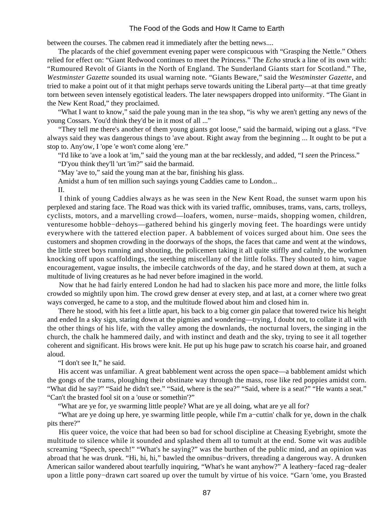between the courses. The cabmen read it immediately after the betting news....

 The placards of the chief government evening paper were conspicuous with "Grasping the Nettle." Others relied for effect on: "Giant Redwood continues to meet the Princess." The *Echo* struck a line of its own with: "Rumoured Revolt of Giants in the North of England. The Sunderland Giants start for Scotland." The, *Westminster Gazette* sounded its usual warning note. "Giants Beware," said the *Westminster Gazette*, and tried to make a point out of it that might perhaps serve towards uniting the Liberal party—at that time greatly torn between seven intensely egotistical leaders. The later newspapers dropped into uniformity. "The Giant in the New Kent Road," they proclaimed.

 "What I want to know," said the pale young man in the tea shop, "is why we aren't getting any news of the young Cossars. You'd think they'd be in it most of all ..."

 "They tell me there's another of them young giants got loose," said the barmaid, wiping out a glass. "I've always said they was dangerous things to 'ave about. Right away from the beginning ... It ought to be put a stop to. Any'ow, I 'ope 'e won't come along 'ere."

"I'd like to 'ave a look at 'im," said the young man at the bar recklessly, and added, "I *seen* the Princess."

"D'you think they'll 'urt 'im?" said the barmaid.

"May 'ave to," said the young man at the bar, finishing his glass.

Amidst a hum of ten million such sayings young Caddies came to London...

II.

 I think of young Caddies always as he was seen in the New Kent Road, the sunset warm upon his perplexed and staring face. The Road was thick with its varied traffic, omnibuses, trams, vans, carts, trolleys, cyclists, motors, and a marvelling crowd—loafers, women, nurse−maids, shopping women, children, venturesome hobble−dehoys—gathered behind his gingerly moving feet. The hoardings were untidy everywhere with the tattered election paper. A babblement of voices surged about him. One sees the customers and shopmen crowding in the doorways of the shops, the faces that came and went at the windows, the little street boys running and shouting, the policemen taking it all quite stiffly and calmly, the workmen knocking off upon scaffoldings, the seething miscellany of the little folks. They shouted to him, vague encouragement, vague insults, the imbecile catchwords of the day, and he stared down at them, at such a multitude of living creatures as he had never before imagined in the world.

 Now that he had fairly entered London he had had to slacken his pace more and more, the little folks crowded so mightily upon him. The crowd grew denser at every step, and at last, at a corner where two great ways converged, he came to a stop, and the multitude flowed about him and closed him in.

 There he stood, with his feet a little apart, his back to a big corner gin palace that towered twice his height and ended In a sky sign, staring down at the pigmies and wondering—trying, I doubt not, to collate it all with the other things of his life, with the valley among the downlands, the nocturnal lovers, the singing in the church, the chalk he hammered daily, and with instinct and death and the sky, trying to see it all together coherent and significant. His brows were knit. He put up his huge paw to scratch his coarse hair, and groaned aloud.

"I don't see It," he said.

 His accent was unfamiliar. A great babblement went across the open space—a babblement amidst which the gongs of the trams, ploughing their obstinate way through the mass, rose like red poppies amidst corn. "What did he say?" "Said he didn't see." "Said, where is the sea?" "Said, where is a seat?" "He wants a seat." "Can't the brasted fool sit on a 'ouse or somethin'?"

"What are ye for, ye swarming little people? What are ye all doing, what are ye all for?

 "What are ye doing up here, ye swarming little people, while I'm a−cuttin' chalk for ye, down in the chalk pits there?"

 His queer voice, the voice that had been so bad for school discipline at Cheasing Eyebright, smote the multitude to silence while it sounded and splashed them all to tumult at the end. Some wit was audible screaming "Speech, speech!" "What's he saying?" was the burthen of the public mind, and an opinion was abroad that he was drunk. "Hi, hi, hi," bawled the omnibus−drivers, threading a dangerous way. A drunken American sailor wandered about tearfully inquiring, "What's he want anyhow?" A leathery−faced rag−dealer upon a little pony−drawn cart soared up over the tumult by virtue of his voice. "Garn 'ome, you Brasted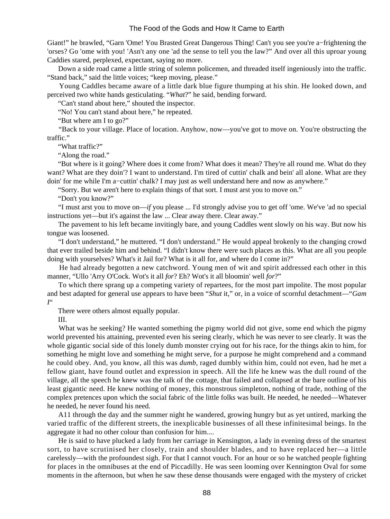Giant!" he brawled, "Garn 'Ome! You Brasted Great Dangerous Thing! Can't you see you're a−frightening the 'orses? Go 'ome with you! 'Asn't any one 'ad the sense to tell you the law?" And over all this uproar young Caddies stared, perplexed, expectant, saying no more.

 Down a side road came a little string of solemn policemen, and threaded itself ingeniously into the traffic. "Stand back," said the little voices; "keep moving, please."

 Young Caddles became aware of a little dark blue figure thumping at his shin. He looked down, and perceived two white hands gesticulating. "*What*?" he said, bending forward.

"Can't stand about here," shouted the inspector.

"No! You can't stand about here," he repeated.

"But where am I to go?"

 "Back to your village. Place of location. Anyhow, now—you've got to move on. You're obstructing the traffic."

"What traffic?"

"Along the road."

 "But where is it going? Where does it come from? What does it mean? They're all round me. What do they want? What are they doin'? I want to understand. I'm tired of cuttin' chalk and bein' all alone. What are they doin' for me while I'm a−cuttin' chalk? I may just as well understand here and now as anywhere."

"Sorry. But we aren't here to explain things of that sort. I must arst you to move on."

"Don't you know?"

 "I must arst you to move on—*if* you please ... I'd strongly advise you to get off 'ome. We've 'ad no special instructions yet—but it's against the law ... Clear away there. Clear away."

 The pavement to his left became invitingly bare, and young Caddles went slowly on his way. But now his tongue was loosened.

 "I don't understand," he muttered. "I don't understand." He would appeal brokenly to the changing crowd that ever trailed beside him and behind. "I didn't know there were such places as this. What are all you people doing with yourselves? What's it Jail for? What is it all for, and where do I come in?"

 He had already begotten a new catchword. Young men of wit and spirit addressed each other in this manner, "Ullo 'Arry O'Cock. Wot's it all *for*? Eh? Wot's it all bloomin' well *for*?"

 To which there sprang up a competing variety of repartees, for the most part impolite. The most popular and best adapted for general use appears to have been "*Shut* it," or, in a voice of scornful detachment—"*Gam I*"

There were others almost equally popular.

III.

What was he seeking? He wanted something the pigmy world did not give, some end which the pigmy world prevented his attaining, prevented even his seeing clearly, which he was never to see clearly. It was the whole gigantic social side of this lonely dumb monster crying out for his race, for the things akin to him, for something he might love and something he might serve, for a purpose he might comprehend and a command he could obey. And, you know, all this was *dumb*, raged dumbly within him, could not even, had he met a fellow giant, have found outlet and expression in speech. All the life he knew was the dull round of the village, all the speech he knew was the talk of the cottage, that failed and collapsed at the bare outline of his least gigantic need. He knew nothing of money, this monstrous simpleton, nothing of trade, nothing of the complex pretences upon which the social fabric of the little folks was built. He needed, he needed—Whatever he needed, he never found his need.

 A11 through the day and the summer night he wandered, growing hungry but as yet untired, marking the varied traffic of the different streets, the inexplicable businesses of all these infinitesimal beings. In the aggregate it had no other colour than confusion for him....

 He is said to have plucked a lady from her carriage in Kensington, a lady in evening dress of the smartest sort, to have scrutinised her closely, train and shoulder blades, and to have replaced her—a little carelessly—with the profoundest sigh. For that I cannot vouch. For an hour or so he watched people fighting for places in the omnibuses at the end of Piccadilly. He was seen looming over Kennington Oval for some moments in the afternoon, but when he saw these dense thousands were engaged with the mystery of cricket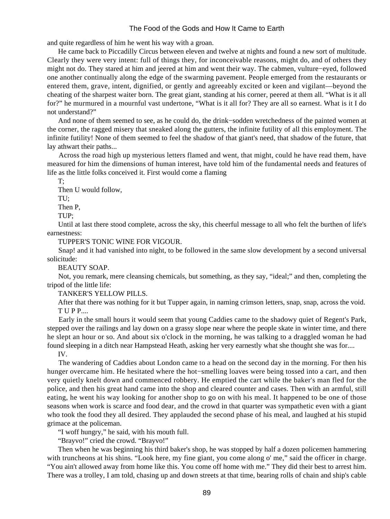and quite regardless of him he went his way with a groan.

 He came back to Piccadilly Circus between eleven and twelve at nights and found a new sort of multitude. Clearly they were very intent: full of things they, for inconceivable reasons, might do, and of others they might not do. They stared at him and jeered at him and went their way. The cabmen, vulture−eyed, followed one another continually along the edge of the swarming pavement. People emerged from the restaurants or entered them, grave, intent, dignified, or gently and agreeably excited or keen and vigilant—beyond the cheating of the sharpest waiter born. The great giant, standing at his corner, peered at them all. "What is it all for?" he murmured in a mournful vast undertone, "What is it all for? They are all so earnest. What is it I do not understand?"

 And none of them seemed to see, as he could do, the drink−sodden wretchedness of the painted women at the corner, the ragged misery that sneaked along the gutters, the infinite futility of all this employment. The infinite futility! None of them seemed to feel the shadow of that giant's need, that shadow of the future, that lay athwart their paths...

 Across the road high up mysterious letters flamed and went, that might, could he have read them, have measured for him the dimensions of human interest, have told him of the fundamental needs and features of life as the little folks conceived it. First would come a flaming

T;

 Then U would follow, TU;

Then P,

TUP;

 Until at last there stood complete, across the sky, this cheerful message to all who felt the burthen of life's earnestness:

TUPPER'S TONIC WINE FOR VIGOUR.

 Snap! and it had vanished into night, to be followed in the same slow development by a second universal solicitude:

BEAUTY SOAP.

 Not, you remark, mere cleansing chemicals, but something, as they say, "ideal;" and then, completing the tripod of the little life:

TANKER'S YELLOW PILLS.

 After that there was nothing for it but Tupper again, in naming crimson letters, snap, snap, across the void. T U P P....

 Early in the small hours it would seem that young Caddies came to the shadowy quiet of Regent's Park, stepped over the railings and lay down on a grassy slope near where the people skate in winter time, and there he slept an hour or so. And about six o'clock in the morning, he was talking to a draggled woman he had found sleeping in a ditch near Hampstead Heath, asking her very earnestly what she thought she was for....

IV.

 The wandering of Caddies about London came to a head on the second day in the morning. For then his hunger overcame him. He hesitated where the hot−smelling loaves were being tossed into a cart, and then very quietly knelt down and commenced robbery. He emptied the cart while the baker's man fled for the police, and then his great hand came into the shop and cleared counter and cases. Then with an armful, still eating, he went his way looking for another shop to go on with his meal. It happened to be one of those seasons when work is scarce and food dear, and the crowd in that quarter was sympathetic even with a giant who took the food they all desired. They applauded the second phase of his meal, and laughed at his stupid grimace at the policeman.

"I woff hungry," he said, with his mouth full.

"Brayvo!" cried the crowd. "Brayvo!"

 Then when he was beginning his third baker's shop, he was stopped by half a dozen policemen hammering with truncheons at his shins. "Look here, my fine giant, you come along o' me," said the officer in charge. "You ain't allowed away from home like this. You come off home with me." They did their best to arrest him. There was a trolley, I am told, chasing up and down streets at that time, bearing rolls of chain and ship's cable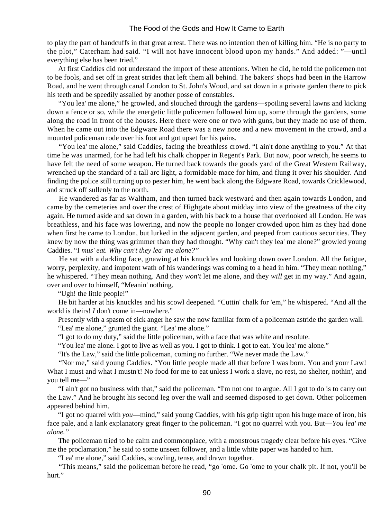to play the part of handcuffs in that great arrest. There was no intention then of killing him. "He is no party to the plot," Caterham had said. "I will not have innocent blood upon my hands." And added: "—until everything else has been tried."

 At first Caddies did not understand the import of these attentions. When he did, he told the policemen not to be fools, and set off in great strides that left them all behind. The bakers' shops had been in the Harrow Road, and he went through canal London to St. John's Wood, and sat down in a private garden there to pick his teeth and be speedily assailed by another posse of constables.

 "You lea' me alone," he growled, and slouched through the gardens—spoiling several lawns and kicking down a fence or so, while the energetic little policemen followed him up, some through the gardens, some along the road in front of the houses. Here there were one or two with guns, but they made no use of them. When he came out into the Edgware Road there was a new note and a new movement in the crowd, and a mounted policeman rode over his foot and got upset for his pains.

 "You lea' me alone," said Caddies, facing the breathless crowd. "I ain't done anything to you." At that time he was unarmed, for he had left his chalk chopper in Regent's Park. But now, poor wretch, he seems to have felt the need of some weapon. He turned back towards the goods yard of the Great Western Railway, wrenched up the standard of a tall arc light, a formidable mace for him, and flung it over his shoulder. And finding the police still turning up to pester him, he went back along the Edgware Road, towards Cricklewood, and struck off sullenly to the north.

 He wandered as far as Waltham, and then turned back westward and then again towards London, and came by the cemeteries and over the crest of Highgate about midday into view of the greatness of the city again. He turned aside and sat down in a garden, with his back to a house that overlooked all London. He was breathless, and his face was lowering, and now the people no longer crowded upon him as they had done when first he came to London, but lurked in the adjacent garden, and peeped from cautious securities. They knew by now the thing was grimmer than they had thought. "Why can't they lea' me alone?" growled young Caddies. "I *mus' eat. Why can't they lea' me alone?"*

 He sat with a darkling face, gnawing at his knuckles and looking down over London. All the fatigue, worry, perplexity, and impotent wath of his wanderings was coming to a head in him. "They mean nothing," he whispered. "They mean nothing. And they *won't* let me alone, and they *will* get in my way." And again, over and over to himself, "Meanin' nothing.

"Ugh! the little people!"

 He bit harder at his knuckles and his scowl deepened. "Cuttin' chalk for 'em," he whispered. "And all the world is theirs! *I* don't come in—nowhere."

 Presently with a spasm of sick anger he saw the now familiar form of a policeman astride the garden wall. "Lea' me alone," grunted the giant. "Lea' me alone."

"I got to do my duty," said the little policeman, with a face that was white and resolute.

"You lea' me alone. I got to live as well as you. I got to think. I got to eat. You lea' me alone."

"It's the Law," said the little policeman, coming no further. "We never made the Law."

 "Nor me," said young Caddies. "You little people made all that before I was born. You and your Law! What I must and what I mustn't! No food for me to eat unless I work a slave, no rest, no shelter, nothin', and you tell me—"

 "I ain't got no business with that," said the policeman. "I'm not one to argue. All I got to do is to carry out the Law." And he brought his second leg over the wall and seemed disposed to get down. Other policemen appeared behind him.

 "I got no quarrel with *you*—mind," said young Caddies, with his grip tight upon his huge mace of iron, his face pale, and a lank explanatory great finger to the policeman. "I got no quarrel with you. But—*You lea' me alone."*

 The policeman tried to be calm and commonplace, with a monstrous tragedy clear before his eyes. "Give me the proclamation," he said to some unseen follower, and a little white paper was handed to him.

"Lea' me alone," said Caddies, scowling, tense, and drawn together.

 "This means," said the policeman before he read, "go 'ome. Go 'ome to your chalk pit. If not, you'll be hurt."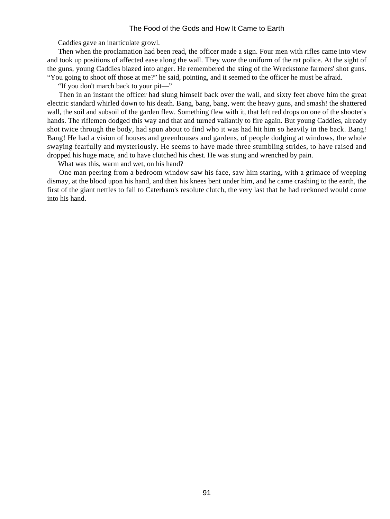Caddies gave an inarticulate growl.

 Then when the proclamation had been read, the officer made a sign. Four men with rifles came into view and took up positions of affected ease along the wall. They wore the uniform of the rat police. At the sight of the guns, young Caddies blazed into anger. He remembered the sting of the Wreckstone farmers' shot guns. "You going to shoot off those at me?" he said, pointing, and it seemed to the officer he must be afraid.

"If you don't march back to your pit—"

 Then in an instant the officer had slung himself back over the wall, and sixty feet above him the great electric standard whirled down to his death. Bang, bang, bang, went the heavy guns, and smash! the shattered wall, the soil and subsoil of the garden flew. Something flew with it, that left red drops on one of the shooter's hands. The riflemen dodged this way and that and turned valiantly to fire again. But young Caddies, already shot twice through the body, had spun about to find who it was had hit him so heavily in the back. Bang! Bang! He had a vision of houses and greenhouses and gardens, of people dodging at windows, the whole swaying fearfully and mysteriously. He seems to have made three stumbling strides, to have raised and dropped his huge mace, and to have clutched his chest. He was stung and wrenched by pain.

What was this, warm and wet, on his hand?

 One man peering from a bedroom window saw his face, saw him staring, with a grimace of weeping dismay, at the blood upon his hand, and then his knees bent under him, and he came crashing to the earth, the first of the giant nettles to fall to Caterham's resolute clutch, the very last that he had reckoned would come into his hand.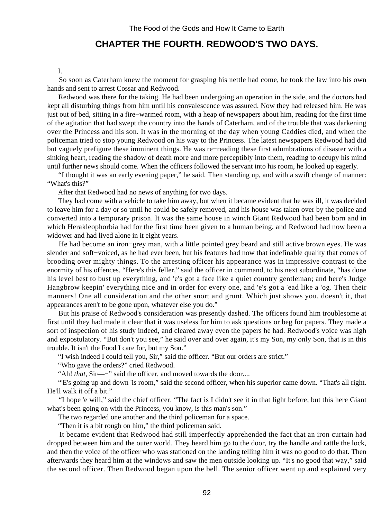# **CHAPTER THE FOURTH. REDWOOD'S TWO DAYS.**

#### I.

 So soon as Caterham knew the moment for grasping his nettle had come, he took the law into his own hands and sent to arrest Cossar and Redwood.

 Redwood was there for the taking. He had been undergoing an operation in the side, and the doctors had kept all disturbing things from him until his convalescence was assured. Now they had released him. He was just out of bed, sitting in a fire−warmed room, with a heap of newspapers about him, reading for the first time of the agitation that had swept the country into the hands of Caterham, and of the trouble that was darkening over the Princess and his son. It was in the morning of the day when young Caddies died, and when the policeman tried to stop young Redwood on his way to the Princess. The latest newspapers Redwood had did but vaguely prefigure these imminent things. He was re−reading these first adumbrations of disaster with a sinking heart, reading the shadow of death more and more perceptibly into them, reading to occupy his mind until further news should come. When the officers followed the servant into his room, he looked up eagerly.

 "I thought it was an early evening paper," he said. Then standing up, and with a swift change of manner: "What's this?"

After that Redwood had no news of anything for two days.

 They had come with a vehicle to take him away, but when it became evident that he was ill, it was decided to leave him for a day or so until he could be safely removed, and his house was taken over by the police and converted into a temporary prison. It was the same house in winch Giant Redwood had been born and in which Herakleophorbia had for the first time been given to a human being, and Redwood had now been a widower and had lived alone in it eight years.

He had become an iron-grey man, with a little pointed grey beard and still active brown eyes. He was slender and soft−voiced, as he had ever been, but his features had now that indefinable quality that comes of brooding over mighty things. To the arresting officer his appearance was in impressive contrast to the enormity of his offences. "Here's this feller," said the officer in command, to his next subordinate, "has done his level best to bust up everything, and 'e's got a face like a quiet country gentleman; and here's Judge Hangbrow keepin' everything nice and in order for every one, and 'e's got a 'ead like a 'og. Then their manners! One all consideration and the other snort and grunt. Which just shows you, doesn't it, that appearances aren't to be gone upon, whatever else you do."

 But his praise of Redwood's consideration was presently dashed. The officers found him troublesome at first until they had made it clear that it was useless for him to ask questions or beg for papers. They made a sort of inspection of his study indeed, and cleared away even the papers he had. Redwood's voice was high and expostulatory. "But don't you see," he said over and over again, it's my Son, my only Son, that is in this trouble. It isn't the Food I care for, but my Son."

"I wish indeed I could tell you, Sir," said the officer. "But our orders are strict."

"Who gave the orders?" cried Redwood.

"Ah! *that*, Sir—−" said the officer, and moved towards the door....

 "'E's going up and down 'is room," said the second officer, when his superior came down. "That's all right. He'll walk it off a bit."

 "I hope 'e will," said the chief officer. "The fact is I didn't see it in that light before, but this here Giant what's been going on with the Princess, you know, is this man's son."

The two regarded one another and the third policeman for a space.

"Then it is a bit rough on him," the third policeman said.

 It became evident that Redwood had still imperfectly apprehended the fact that an iron curtain had dropped between him and the outer world. They heard him go to the door, try the handle and rattle the lock, and then the voice of the officer who was stationed on the landing telling him it was no good to do that. Then afterwards they heard him at the windows and saw the men outside looking up. "It's no good that way," said the second officer. Then Redwood began upon the bell. The senior officer went up and explained very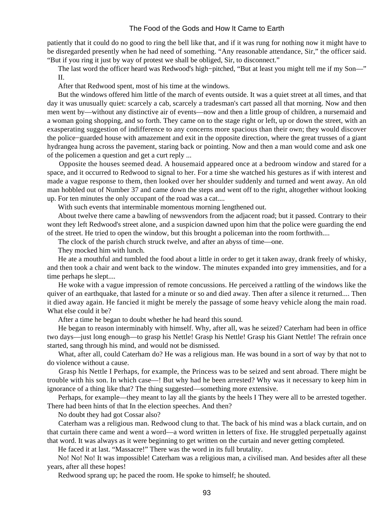patiently that it could do no good to ring the bell like that, and if it was rung for nothing now it might have to be disregarded presently when he had need of something. "Any reasonable attendance, Sir," the officer said. "But if you ring it just by way of protest we shall be obliged, Sir, to disconnect."

The last word the officer heard was Redwood's high–pitched, "But at least you might tell me if my Son—" II.

After that Redwood spent, most of his time at the windows.

 But the windows offered him little of the march of events outside. It was a quiet street at all times, and that day it was unusually quiet: scarcely a cab, scarcely a tradesman's cart passed all that morning. Now and then men went by—without any distinctive air of events—now and then a little group of children, a nursemaid and a woman going shopping, and so forth. They came on to the stage right or left, up or down the street, with an exasperating suggestion of indifference to any concerns more spacious than their own; they would discover the police−guarded house with amazement and exit in the opposite direction, where the great trusses of a giant hydrangea hung across the pavement, staring back or pointing. Now and then a man would come and ask one of the policemen a question and get a curt reply ...

 Opposite the houses seemed dead. A housemaid appeared once at a bedroom window and stared for a space, and it occurred to Redwood to signal to her. For a time she watched his gestures as if with interest and made a vague response to them, then looked over her shoulder suddenly and turned and went away. An old man hobbled out of Number 37 and came down the steps and went off to the right, altogether without looking up. For ten minutes the only occupant of the road was a cat....

With such events that interminable momentous morning lengthened out.

 About twelve there came a bawling of newsvendors from the adjacent road; but it passed. Contrary to their wont they left Redwood's street alone, and a suspicion dawned upon him that the police were guarding the end of the street. He tried to open the window, but this brought a policeman into the room forthwith....

The clock of the parish church struck twelve, and after an abyss of time—one.

They mocked him with lunch.

 He ate a mouthful and tumbled the food about a little in order to get it taken away, drank freely of whisky, and then took a chair and went back to the window. The minutes expanded into grey immensities, and for a time perhaps he slept....

 He woke with a vague impression of remote concussions. He perceived a rattling of the windows like the quiver of an earthquake, that lasted for a minute or so and died away. Then after a silence it returned.... Then it died away again. He fancied it might be merely the passage of some heavy vehicle along the main road. What else could it be?

After a time he began to doubt whether he had heard this sound.

 He began to reason interminably with himself. Why, after all, was he seized? Caterham had been in office two days—just long enough—to grasp his Nettle! Grasp his Nettle! Grasp his Giant Nettle! The refrain once started, sang through his mind, and would not be dismissed.

 What, after all, could Caterham do? He was a religious man. He was bound in a sort of way by that not to do violence without a cause.

 Grasp his Nettle I Perhaps, for example, the Princess was to be seized and sent abroad. There might be trouble with his son. In which case—! But why had he been arrested? Why was it necessary to keep him in ignorance of a thing like that? The thing suggested—something more extensive.

 Perhaps, for example—they meant to lay all the giants by the heels I They were all to be arrested together. There had been hints of that In the election speeches. And then?

No doubt they had got Cossar also?

 Caterham was a religious man. Redwood clung to that. The back of his mind was a black curtain, and on that curtain there came and went a word—a word written in letters of fixe. He struggled perpetually against that word. It was always as it were beginning to get written on the curtain and never getting completed.

He faced it at last. "Massacre!" There was the word in its full brutality.

 No! No! No! It was impossible! Caterham was a religious man, a civilised man. And besides after all these years, after all these hopes!

Redwood sprang up; he paced the room. He spoke to himself; he shouted.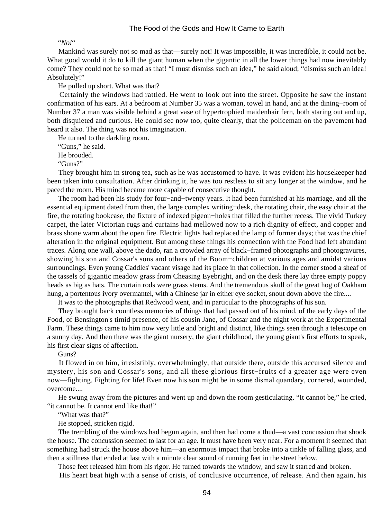#### "*No!*"

 Mankind was surely not so mad as that—surely not! It was impossible, it was incredible, it could not be. What good would it do to kill the giant human when the gigantic in all the lower things had now inevitably come? They could not be so mad as that! "I must dismiss such an idea," he said aloud; "dismiss such an idea! Absolutely!"

He pulled up short. What was that?

 Certainly the windows had rattled. He went to look out into the street. Opposite he saw the instant confirmation of his ears. At a bedroom at Number 35 was a woman, towel in hand, and at the dining−room of Number 37 a man was visible behind a great vase of hypertrophied maidenhair fern, both staring out and up, both disquieted and curious. He could see now too, quite clearly, that the policeman on the pavement had heard it also. The thing was not his imagination.

He turned to the darkling room.

"Guns," he said.

He brooded.

"Guns?"

 They brought him in strong tea, such as he was accustomed to have. It was evident his housekeeper had been taken into consultation. After drinking it, he was too restless to sit any longer at the window, and he paced the room. His mind became more capable of consecutive thought.

 The room had been his study for four−and−twenty years. It had been furnished at his marriage, and all the essential equipment dated from then, the large complex writing−desk, the rotating chair, the easy chair at the fire, the rotating bookcase, the fixture of indexed pigeon−holes that filled the further recess. The vivid Turkey carpet, the later Victorian rugs and curtains had mellowed now to a rich dignity of effect, and copper and brass shone warm about the open fire. Electric lights had replaced the lamp of former days; that was the chief alteration in the original equipment. But among these things his connection with the Food had left abundant traces. Along one wall, above the dado, ran a crowded array of black−framed photographs and photogravures, showing his son and Cossar's sons and others of the Boom−children at various ages and amidst various surroundings. Even young Caddles' vacant visage had its place in that collection. In the corner stood a sheaf of the tassels of gigantic meadow grass from Cheasing Eyebright, and on the desk there lay three empty poppy heads as big as hats. The curtain rods were grass stems. And the tremendous skull of the great hog of Oakham hung, a portentous ivory overmantel, with a Chinese jar in either eye socket, snout down above the fire....

It was to the photographs that Redwood went, and in particular to the photographs of his son.

 They brought back countless memories of things that had passed out of his mind, of the early days of the Food, of Bensington's timid presence, of his cousin Jane, of Cossar and the night work at the Experimental Farm. These things came to him now very little and bright and distinct, like things seen through a telescope on a sunny day. And then there was the giant nursery, the giant childhood, the young giant's first efforts to speak, his first clear signs of affection.

#### Guns?

 It flowed in on him, irresistibly, overwhelmingly, that outside there, outside this accursed silence and mystery, his son and Cossar's sons, and all these glorious first−fruits of a greater age were even now—fighting. Fighting for life! Even now his son might be in some dismal quandary, cornered, wounded, overcome....

 He swung away from the pictures and went up and down the room gesticulating. "It cannot be," he cried, "it cannot be. It cannot end like that!"

"What was that?"

He stopped, stricken rigid.

 The trembling of the windows had begun again, and then had come a thud—a vast concussion that shook the house. The concussion seemed to last for an age. It must have been very near. For a moment it seemed that something had struck the house above him—an enormous impact that broke into a tinkle of falling glass, and then a stillness that ended at last with a minute clear sound of running feet in the street below.

Those feet released him from his rigor. He turned towards the window, and saw it starred and broken.

His heart beat high with a sense of crisis, of conclusive occurrence, of release. And then again, his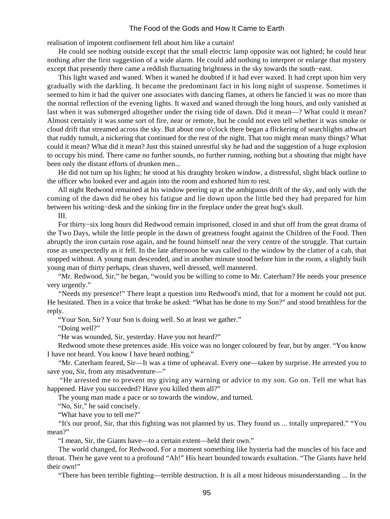realisation of impotent confinement fell about him like a curtain!

 He could see nothing outside except that the small electric lamp opposite was not lighted; he could hear nothing after the first suggestion of a wide alarm. He could add nothing to interpret or enlarge that mystery except that presently there came a reddish fluctuating brightness in the sky towards the south−east.

 This light waxed and waned. When it waned he doubted if it had ever waxed. It had crept upon him very gradually with the darkling. It became the predominant fact in his long night of suspense. Sometimes it seemed to him it had the quiver one associates with dancing flames, at others he fancied it was no more than the normal reflection of the evening lights. It waxed and waned through the long hours, and only vanished at last when it was submerged altogether under the rising tide of dawn. Did it mean—? What could it mean? Almost certainly it was some sort of fire, near or remote, but he could not even tell whether it was smoke or cloud drift that streamed across the sky. But about one o'clock there began a flickering of searchlights athwart that ruddy tumult, a nickering that continued for the rest of the night. That too might mean many things? What could it mean? What did it mean? Just this stained unrestful sky he had and the suggestion of a huge explosion to occupy his mind. There came no further sounds, no further running, nothing but a shouting that might have been only the distant efforts of drunken men...

 He did not turn up his lights; he stood at his draughty broken window, a distressful, slight black outline to the officer who looked ever and again into the room and exhorted him to rest.

 All night Redwood remained at his window peering up at the ambiguous drift of the sky, and only with the coming of the dawn did he obey his fatigue and lie down upon the little bed they had prepared for him between his writing−desk and the sinking fire in the fireplace under the great hog's skull.

III.

 For thirty−six long hours did Redwood remain imprisoned, closed in and shut off from the great drama of the Two Days, while the little people in the dawn of greatness fought against the Children of the Food. Then abruptly the iron curtain rose again, and he found himself near the very centre of the struggle. That curtain rose as unexpectedly as it fell. In the late afternoon he was called to the window by the clatter of a cab, that stopped without. A young man descended, and in another minute stood before him in the room, a slightly built young man of thirty perhaps, clean shaven, well dressed, well mannered.

 "Mr. Redwood, Sir," he began, "would you be willing to come to Mr. Caterham? He needs your presence very urgently."

 "Needs my presence!" There leapt a question into Redwood's mind, that for a moment he could not put. He hesitated. Then in a voice that broke he asked: "What has he done to my Son?" and stood breathless for the reply.

"Your Son, Sir? Your Son is doing well. So at least we gather."

"Doing well?"

"He was wounded, Sir, yesterday. Have you not heard?"

 Redwood smote these pretences aside. His voice was no longer coloured by fear, but by anger. "You know I have not heard. You know I have heard nothing."

 "Mr. Caterham feared, Sir—It was a time of upheaval. Every one—taken by surprise. He arrested you to save you, Sir, from any misadventure—"

 "He arrested me to prevent my giving any warning or advice to my son. Go on. Tell me what has happened. Have you succeeded? Have you killed them all?"

The young man made a pace or so towards the window, and turned.

"No, Sir," he said concisely.

"What have you to tell me?"

 "It's our proof, Sir, that this fighting was not planned by us. They found us ... totally unprepared." "You mean?"

"I mean, Sir, the Giants have—to a certain extent—held their own."

 The world changed, for Redwood. For a moment something like hysteria had the muscles of his face and throat. Then he gave vent to a profound "Ah!" His heart bounded towards exultation. "The Giants have held their own!"

"There has been terrible fighting—terrible destruction. It is all a most hideous misunderstanding ... In the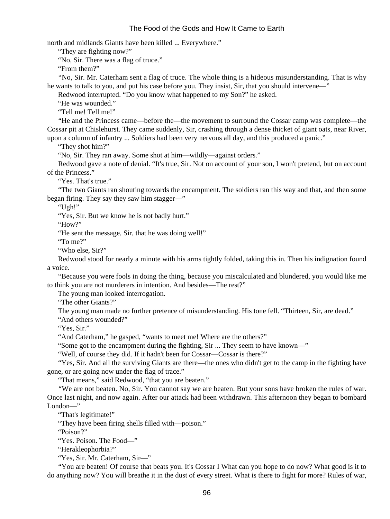north and midlands Giants have been killed ... Everywhere."

"They are fighting now?"

"No, Sir. There was a flag of truce."

"From them?"

 "No, Sir. Mr. Caterham sent a flag of truce. The whole thing is a hideous misunderstanding. That is why he wants to talk to you, and put his case before you. They insist, Sir, that you should intervene—"

Redwood interrupted. "Do you know what happened to my Son?" he asked.

"He was wounded."

"Tell me! Tell me!"

 "He and the Princess came—before the—the movement to surround the Cossar camp was complete—the Cossar pit at Chislehurst. They came suddenly, Sir, crashing through a dense thicket of giant oats, near River, upon a column of infantry ... Soldiers had been very nervous all day, and this produced a panic."

"They shot him?"

"No, Sir. They ran away. Some shot at him—wildly—against orders."

 Redwood gave a note of denial. "It's true, Sir. Not on account of your son, I won't pretend, but on account of the Princess."

"Yes. That's true."

 "The two Giants ran shouting towards the encampment. The soldiers ran this way and that, and then some began firing. They say they saw him stagger—"

"Ugh!"

"Yes, Sir. But we know he is not badly hurt."

"How?"

"He sent the message, Sir, that he was doing well!"

"To me?"

"Who else, Sir?"

 Redwood stood for nearly a minute with his arms tightly folded, taking this in. Then his indignation found a voice.

 "Because you were fools in doing the thing, because you miscalculated and blundered, you would like me to think you are not murderers in intention. And besides—The rest?"

The young man looked interrogation.

"The other Giants?"

 The young man made no further pretence of misunderstanding. His tone fell. "Thirteen, Sir, are dead." "And others wounded?"

"Yes, Sir."

"And Caterham," he gasped, "wants to meet me! Where are the others?"

"Some got to the encampment during the fighting, Sir ... They seem to have known—"

"Well, of course they did. If it hadn't been for Cossar—Cossar is there?"

 "Yes, Sir. And all the surviving Giants are there—the ones who didn't get to the camp in the fighting have gone, or are going now under the flag of trace."

"That means," said Redwood, "that you are beaten."

 "We are not beaten. No, Sir. You cannot say we are beaten. But your sons have broken the rules of war. Once last night, and now again. After our attack had been withdrawn. This afternoon they began to bombard London—"

"That's legitimate!"

"They have been firing shells filled with—poison."

"Poison?"

"Yes. Poison. The Food—"

"Herakleophorbia?"

"Yes, Sir. Mr. Caterham, Sir—"

 "You are beaten! Of course that beats you. It's Cossar I What can you hope to do now? What good is it to do anything now? You will breathe it in the dust of every street. What is there to fight for more? Rules of war,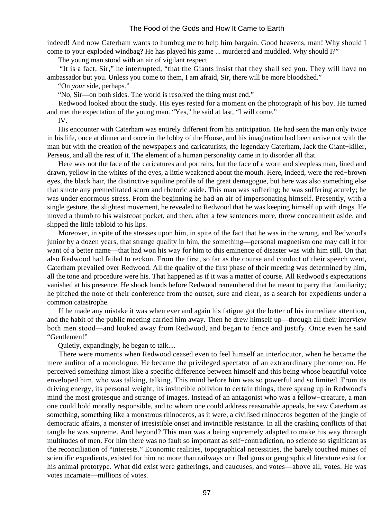indeed! And now Caterham wants to humbug me to help him bargain. Good heavens, man! Why should I come to your exploded windbag? He has played his game ... murdered and muddled. Why should I?"

The young man stood with an air of vigilant respect.

 "It is a fact, Sir," he interrupted, "that the Giants insist that they shall see you. They will have no ambassador but you. Unless you come to them, I am afraid, Sir, there will be more bloodshed."

"On *your* side, perhaps."

"No, Sir—on both sides. The world is resolved the thing must end."

 Redwood looked about the study. His eyes rested for a moment on the photograph of his boy. He turned and met the expectation of the young man. "Yes," he said at last, "I will come."

IV.

 His encounter with Caterham was entirely different from his anticipation. He had seen the man only twice in his life, once at dinner and once in the lobby of the House, and his imagination had been active not with the man but with the creation of the newspapers and caricaturists, the legendary Caterham, Jack the Giant−killer, Perseus, and all the rest of it. The element of a human personality came in to disorder all that.

 Here was not the face of the caricatures and portraits, but the face of a worn and sleepless man, lined and drawn, yellow in the whites of the eyes, a little weakened about the mouth. Here, indeed, were the red−brown eyes, the black hair, the distinctive aquiline profile of the great demagogue, but here was also something else that smote any premeditated scorn and rhetoric aside. This man was suffering; he was suffering acutely; he was under enormous stress. From the beginning he had an air of impersonating himself. Presently, with a single gesture, the slightest movement, he revealed to Redwood that he was keeping himself up with drags. He moved a thumb to his waistcoat pocket, and then, after a few sentences more, threw concealment aside, and slipped the little tabloid to his lips.

 Moreover, in spite of the stresses upon him, in spite of the fact that he was in the wrong, and Redwood's junior by a dozen years, that strange quality in him, the something—personal magnetism one may call it for want of a better name—that had won his way for him to this eminence of disaster was with him still. On that also Redwood had failed to reckon. From the first, so far as the course and conduct of their speech went, Caterham prevailed over Redwood. All the quality of the first phase of their meeting was determined by him, all the tone and procedure were his. That happened as if it was a matter of course. All Redwood's expectations vanished at his presence. He shook hands before Redwood remembered that he meant to parry that familiarity; he pitched the note of their conference from the outset, sure and clear, as a search for expedients under a common catastrophe.

 If he made any mistake it was when ever and again his fatigue got the better of his immediate attention, and the habit of the public meeting carried him away. Then he drew himself up—through all their interview both men stood—and looked away from Redwood, and began to fence and justify. Once even he said "Gentlemen!"

Quietly, expandingly, he began to talk....

 There were moments when Redwood ceased even to feel himself an interlocutor, when he became the mere auditor of a monologue. He became the privileged spectator of an extraordinary phenomenon. He perceived something almost like a specific difference between himself and this being whose beautiful voice enveloped him, who was talking, talking. This mind before him was so powerful and so limited. From its driving energy, its personal weight, its invincible oblivion to certain things, there sprang up in Redwood's mind the most grotesque and strange of images. Instead of an antagonist who was a fellow−creature, a man one could hold morally responsible, and to whom one could address reasonable appeals, he saw Caterham as something, something like a monstrous rhinoceros, as it were, a civilised rhinoceros begotten of the jungle of democratic affairs, a monster of irresistible onset and invincible resistance. In all the crashing conflicts of that tangle he was supreme. And beyond? This man was a being supremely adapted to make his way through multitudes of men. For him there was no fault so important as self−contradiction, no science so significant as the reconciliation of "interests." Economic realities, topographical necessities, the barely touched mines of scientific expedients, existed for him no more than railways or rifled guns or geographical literature exist for his animal prototype. What did exist were gatherings, and caucuses, and votes—above all, votes. He was votes incarnate—millions of votes.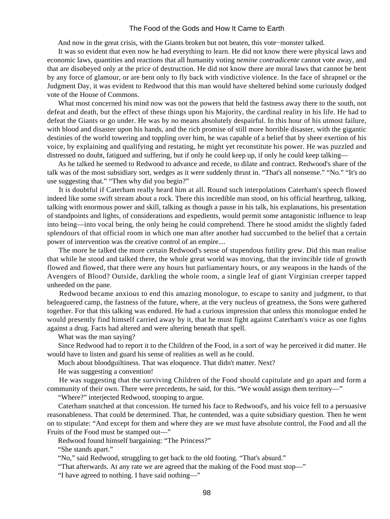And now in the great crisis, with the Giants broken but not beaten, this vote−monster talked.

 It was so evident that even now he had everything to learn. He did not know there were physical laws and economic laws, quantities and reactions that all humanity voting *nemine contradicente* cannot vote away, and that are disobeyed only at the price of destruction. He did not know there are moral laws that cannot be bent by any force of glamour, or are bent only to fly back with vindictive violence. In the face of shrapnel or the Judgment Day, it was evident to Redwood that this man would have sheltered behind some curiously dodged vote of the House of Commons.

 What most concerned his mind now was not the powers that held the fastness away there to the south, not defeat and death, but the effect of these things upon his Majority, the cardinal reality in his life. He had to defeat the Giants or go under. He was by no means absolutely despairful. In this hour of his utmost failure, with blood and disaster upon his hands, and the rich promise of still more horrible disaster, with the gigantic destinies of the world towering and toppling over him, he was capable of a belief that by sheer exertion of his voice, by explaining and qualifying and restating, he might yet reconstitute his power. He was puzzled and distressed no doubt, fatigued and suffering, but if only he could keep up, if only he could keep talking—

 As he talked he seemed to Redwood to advance and recede, to dilate and contract. Redwood's share of the talk was of the most subsidiary sort, wedges as it were suddenly thrust in. "That's all nonsense." "No." "It's no use suggesting that." "Then why did you begin?"

 It is doubtful if Caterham really heard him at all. Round such interpolations Caterham's speech flowed indeed like some swift stream about a rock. There this incredible man stood, on his official hearthrug, talking, talking with enormous power and skill, talking as though a pause in his talk, his explanations, his presentation of standpoints and lights, of considerations and expedients, would permit some antagonistic influence to leap into being—into vocal being, the only being he could comprehend. There he stood amidst the slightly faded splendours of that official room in which one man after another had succumbed to the belief that a certain power of intervention was the creative control of an empire....

 The more he talked the more certain Redwood's sense of stupendous futility grew. Did this man realise that while he stood and talked there, the whole great world was moving, that the invincible tide of growth flowed and flowed, that there were any hours but parliamentary hours, or any weapons in the hands of the Avengers of Blood? Outside, darkling the whole room, a single leaf of giant Virginian creeper tapped unheeded on the pane.

 Redwood became anxious to end this amazing monologue, to escape to sanity and judgment, to that beleaguered camp, the fastness of the future, where, at the very nucleus of greatness, the Sons were gathered together. For that this talking was endured. He had a curious impression that unless this monologue ended he would presently find himself carried away by it, that he must fight against Caterham's voice as one fights against a drug. Facts had altered and were altering beneath that spell.

What was the man saying?

 Since Redwood had to report it to the Children of the Food, in a sort of way he perceived it did matter. He would have to listen and guard his sense of realities as well as he could.

Much about bloodguiltiness. That was eloquence. That didn't matter. Next?

He was suggesting a convention!

 He was suggesting that the surviving Children of the Food should capitulate and go apart and form a community of their own. There were precedents, he said, for this. "We would assign them territory—"

"Where?" interjected Redwood, stooping to argue.

 Caterham snatched at that concession. He turned his face to Redwood's, and his voice fell to a persuasive reasonableness. That could be determined. That, he contended, was a quite subsidiary question. Then he went on to stipulate: "And except for them and where they are we must have absolute control, the Food and all the Fruits of the Food must be stamped out—"

Redwood found himself bargaining: "The Princess?"

"She stands apart."

"No," said Redwood, struggling to get back to the old footing. "That's absurd."

"That afterwards. At any rate we are agreed that the making of the Food must stop—"

"I have agreed to nothing. I have said nothing—"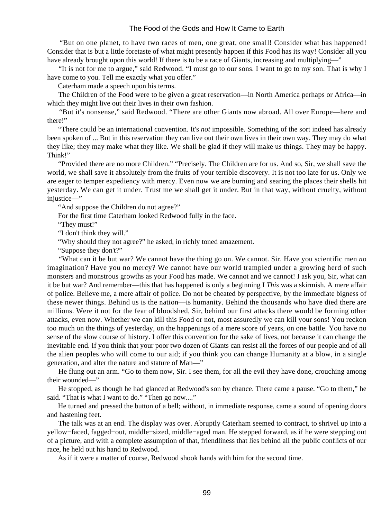"But on one planet, to have two races of men, one great, one small! Consider what has happened! Consider that is but a little foretaste of what might presently happen if this Food has its way! Consider all you have already brought upon this world! If there is to be a race of Giants, increasing and multiplying—"

 "It is not for me to argue," said Redwood. "I must go to our sons. I want to go to my son. That is why I have come to you. Tell me exactly what you offer."

Caterham made a speech upon his terms.

 The Children of the Food were to be given a great reservation—in North America perhaps or Africa—in which they might live out their lives in their own fashion.

 "But it's nonsense," said Redwood. "There are other Giants now abroad. All over Europe—here and there!"

 "There could be an international convention. It's *not* impossible. Something of the sort indeed has already been spoken of ... But in this reservation they can live out their own lives in their own way. They may do what they like; they may make what they like. We shall be glad if they will make us things. They may be happy. Think!"

 "Provided there are no more Children." "Precisely. The Children are for us. And so, Sir, we shall save the world, we shall save it absolutely from the fruits of your terrible discovery. It is not too late for us. Only we are eager to temper expediency with mercy. Even now we are burning and searing the places their shells hit yesterday. We can get it under. Trust me we shall get it under. But in that way, without cruelty, without injustice—"

"And suppose the Children do not agree?"

For the first time Caterham looked Redwood fully in the face.

"They must!"

"I don't think they will."

"Why should they not agree?" he asked, in richly toned amazement.

"Suppose they don't?"

 "What can it be but war? We cannot have the thing go on. We cannot. Sir. Have you scientific men *no* imagination? Have you no mercy? We cannot have our world trampled under a growing herd of such monsters and monstrous growths as your Food has made. We cannot and we cannot! I ask you, Sir, what can it be but war? And remember—this that has happened is only a beginning I *This* was a skirmish. A mere affair of police. Believe me, a mere affair of police. Do not be cheated by perspective, by the immediate bigness of these newer things. Behind us is the nation—is humanity. Behind the thousands who have died there are millions. Were it not for the fear of bloodshed, Sir, behind our first attacks there would be forming other attacks, even now. Whether we can kill this Food or not, most assuredly we can kill your sons! You reckon too much on the things of yesterday, on the happenings of a mere score of years, on one battle. You have no sense of the slow course of history. I offer this convention for the sake of lives, not because it can change the inevitable end. If you think that your poor two dozen of Giants can resist all the forces of our people and of all the alien peoples who will come to our aid; if you think you can change Humanity at a blow, in a single generation, and alter the nature and stature of Man—"

 He flung out an arm. "Go to them now, Sir. I see them, for all the evil they have done, crouching among their wounded—"

 He stopped, as though he had glanced at Redwood's son by chance. There came a pause. "Go to them," he said. "That is what I want to do." "Then go now...."

 He turned and pressed the button of a bell; without, in immediate response, came a sound of opening doors and hastening feet.

 The talk was at an end. The display was over. Abruptly Caterham seemed to contract, to shrivel up into a yellow−faced, fagged−out, middle−sized, middle−aged man. He stepped forward, as if he were stepping out of a picture, and with a complete assumption of that, friendliness that lies behind all the public conflicts of our race, he held out his hand to Redwood.

As if it were a matter of course, Redwood shook hands with him for the second time.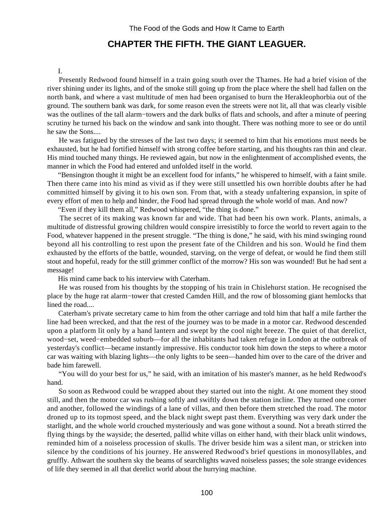# **CHAPTER THE FIFTH. THE GIANT LEAGUER.**

#### I.

 Presently Redwood found himself in a train going south over the Thames. He had a brief vision of the river shining under its lights, and of the smoke still going up from the place where the shell had fallen on the north bank, and where a vast multitude of men had been organised to burn the Herakleophorbia out of the ground. The southern bank was dark, for some reason even the streets were not lit, all that was clearly visible was the outlines of the tall alarm−towers and the dark bulks of flats and schools, and after a minute of peering scrutiny he turned his back on the window and sank into thought. There was nothing more to see or do until he saw the Sons....

 He was fatigued by the stresses of the last two days; it seemed to him that his emotions must needs be exhausted, but he had fortified himself with strong coffee before starting, and his thoughts ran thin and clear. His mind touched many things. He reviewed again, but now in the enlightenment of accomplished events, the manner in which the Food had entered and unfolded itself in the world.

 "Bensington thought it might be an excellent food for infants," he whispered to himself, with a faint smile. Then there came into his mind as vivid as if they were still unsettled his own horrible doubts after he had committed himself by giving it to his own son. From that, with a steady unfaltering expansion, in spite of every effort of men to help and hinder, the Food had spread through the whole world of man. And now?

"Even if they kill them all," Redwood whispered, "the thing is done."

 The secret of its making was known far and wide. That had been his own work. Plants, animals, a multitude of distressful growing children would conspire irresistibly to force the world to revert again to the Food, whatever happened in the present struggle. "The thing is done," he said, with his mind swinging round beyond all his controlling to rest upon the present fate of the Children and his son. Would he find them exhausted by the efforts of the battle, wounded, starving, on the verge of defeat, or would he find them still stout and hopeful, ready for the still grimmer conflict of the morrow? His son was wounded! But he had sent a message!

His mind came back to his interview with Caterham.

 He was roused from his thoughts by the stopping of his train in Chislehurst station. He recognised the place by the huge rat alarm−tower that crested Camden Hill, and the row of blossoming giant hemlocks that lined the road....

 Caterham's private secretary came to him from the other carriage and told him that half a mile farther the line had been wrecked, and that the rest of the journey was to be made in a motor car. Redwood descended upon a platform lit only by a hand lantern and swept by the cool night breeze. The quiet of that derelict, wood−set, weed−embedded suburb—for all the inhabitants had taken refuge in London at the outbreak of yesterday's conflict—became instantly impressive. His conductor took him down the steps to where a motor car was waiting with blazing lights—the only lights to be seen—handed him over to the care of the driver and bade him farewell.

 "You will do your best for us," he said, with an imitation of his master's manner, as he held Redwood's hand.

 So soon as Redwood could be wrapped about they started out into the night. At one moment they stood still, and then the motor car was rushing softly and swiftly down the station incline. They turned one corner and another, followed the windings of a lane of villas, and then before them stretched the road. The motor droned up to its topmost speed, and the black night swept past them. Everything was very dark under the starlight, and the whole world crouched mysteriously and was gone without a sound. Not a breath stirred the flying things by the wayside; the deserted, pallid white villas on either hand, with their black unlit windows, reminded him of a noiseless procession of skulls. The driver beside him was a silent man, or stricken into silence by the conditions of his journey. He answered Redwood's brief questions in monosyllables, and gruffly. Athwart the southern sky the beams of searchlights waved noiseless passes; the sole strange evidences of life they seemed in all that derelict world about the hurrying machine.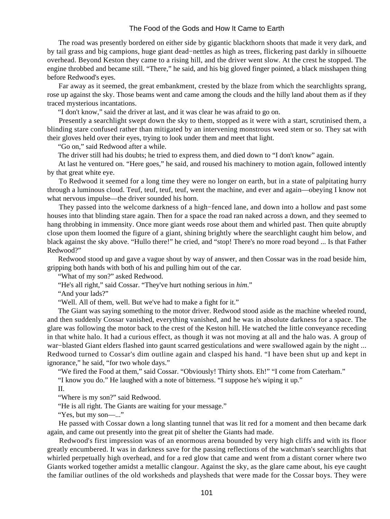The road was presently bordered on either side by gigantic blackthorn shoots that made it very dark, and by tail grass and big campions, huge giant dead−nettles as high as trees, flickering past darkly in silhouette overhead. Beyond Keston they came to a rising hill, and the driver went slow. At the crest he stopped. The engine throbbed and became still. "There," he said, and his big gloved finger pointed, a black misshapen thing before Redwood's eyes.

 Far away as it seemed, the great embankment, crested by the blaze from which the searchlights sprang, rose up against the sky. Those beams went and came among the clouds and the hilly land about them as if they traced mysterious incantations.

"I don't know," said the driver at last, and it was clear he was afraid to go on.

 Presently a searchlight swept down the sky to them, stopped as it were with a start, scrutinised them, a blinding stare confused rather than mitigated by an intervening monstrous weed stem or so. They sat with their gloves held over their eyes, trying to look under them and meet that light.

"Go on," said Redwood after a while.

The driver still had his doubts; he tried to express them, and died down to "I don't know" again.

 At last he ventured on. "Here goes," he said, and roused his machinery to motion again, followed intently by that great white eye.

 To Redwood it seemed for a long time they were no longer on earth, but in a state of palpitating hurry through a luminous cloud. Teuf, teuf, teuf, teuf, went the machine, and ever and again—obeying I know not what nervous impulse—the driver sounded his horn.

 They passed into the welcome darkness of a high−fenced lane, and down into a hollow and past some houses into that blinding stare again. Then for a space the road ran naked across a down, and they seemed to hang throbbing in immensity. Once more giant weeds rose about them and whirled past. Then quite abruptly close upon them loomed the figure of a giant, shining brightly where the searchlight caught him below, and black against the sky above. "Hullo there!" he cried, and "stop! There's no more road beyond ... Is that Father Redwood?"

 Redwood stood up and gave a vague shout by way of answer, and then Cossar was in the road beside him, gripping both hands with both of his and pulling him out of the car.

"What of my son?" asked Redwood.

"He's all right," said Cossar. "They've hurt nothing serious in *him*."

"And your lads?"

"Well. All of them, well. But we've had to make a fight for it."

 The Giant was saying something to the motor driver. Redwood stood aside as the machine wheeled round, and then suddenly Cossar vanished, everything vanished, and he was in absolute darkness for a space. The glare was following the motor back to the crest of the Keston hill. He watched the little conveyance receding in that white halo. It had a curious effect, as though it was not moving at all and the halo was. A group of war−blasted Giant elders flashed into gaunt scarred gesticulations and were swallowed again by the night ... Redwood turned to Cossar's dim outline again and clasped his hand. "I have been shut up and kept in ignorance," he said, "for two whole days."

"We fired the Food at them," said Cossar. "Obviously! Thirty shots. Eh!" "I come from Caterham."

"I know you do." He laughed with a note of bitterness. "I suppose he's wiping it up."

II.

"Where is my son?" said Redwood.

"He is all right. The Giants are waiting for your message."

"Yes, but my son—..."

 He passed with Cossar down a long slanting tunnel that was lit red for a moment and then became dark again, and came out presently into the great pit of shelter the Giants had made.

 Redwood's first impression was of an enormous arena bounded by very high cliffs and with its floor greatly encumbered. It was in darkness save for the passing reflections of the watchman's searchlights that whirled perpetually high overhead, and for a red glow that came and went from a distant corner where two Giants worked together amidst a metallic clangour. Against the sky, as the glare came about, his eye caught the familiar outlines of the old worksheds and playsheds that were made for the Cossar boys. They were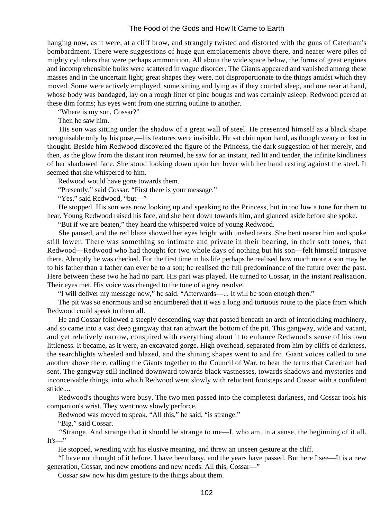hanging now, as it were, at a cliff brow, and strangely twisted and distorted with the guns of Caterham's bombardment. There were suggestions of huge gun emplacements above there, and nearer were piles of mighty cylinders that were perhaps ammunition. All about the wide space below, the forms of great engines and incomprehensible bulks were scattered in vague disorder. The Giants appeared and vanished among these masses and in the uncertain light; great shapes they were, not disproportionate to the things amidst which they moved. Some were actively employed, some sitting and lying as if they courted sleep, and one near at hand, whose body was bandaged, lay on a rough litter of pine boughs and was certainly asleep. Redwood peered at these dim forms; his eyes went from one stirring outline to another.

"Where is my son, Cossar?"

Then he saw him.

His son was sitting under the shadow of a great wall of steel. He presented himself as a black shape recognisable only by his pose,—his features were invisible. He sat chin upon hand, as though weary or lost in thought. Beside him Redwood discovered the figure of the Princess, the dark suggestion of her merely, and then, as the glow from the distant iron returned, he saw for an instant, red lit and tender, the infinite kindliness of her shadowed face. She stood looking down upon her lover with her hand resting against the steel. It seemed that she whispered to him.

Redwood would have gone towards them.

"Presently," said Cossar. "First there is your message."

"Yes," said Redwood, "but—"

 He stopped. His son was now looking up and speaking to the Princess, but in too low a tone for them to hear. Young Redwood raised his face, and she bent down towards him, and glanced aside before she spoke.

"But if we are beaten," they heard the whispered voice of young Redwood.

 She paused, and the red blaze showed her eyes bright with unshed tears. She bent nearer him and spoke still lower. There was something so intimate and private in their bearing, in their soft tones, that Redwood—Redwood who had thought for two whole days of nothing but his son—felt himself intrusive there. Abruptly he was checked. For the first time in his life perhaps he realised how much more a son may be to his father than a father can ever be to a son; he realised the full predominance of the future over the past. Here between these two he had no part. His part was played. He turned to Cossar, in the instant realisation. Their eyes met. His voice was changed to the tone of a grey resolve.

"I will deliver my message now," he said. "Afterwards—... It will be soon enough then."

 The pit was so enormous and so encumbered that it was a long and tortuous route to the place from which Redwood could speak to them all.

 He and Cossar followed a steeply descending way that passed beneath an arch of interlocking machinery, and so came into a vast deep gangway that ran athwart the bottom of the pit. This gangway, wide and vacant, and yet relatively narrow, conspired with everything about it to enhance Redwood's sense of his own littleness. It became, as it were, an excavated gorge. High overhead, separated from him by cliffs of darkness, the searchlights wheeled and blazed, and the shining shapes went to and fro. Giant voices called to one another above there, calling the Giants together to the Council of War, to hear the terms that Caterham had sent. The gangway still inclined downward towards black vastnesses, towards shadows and mysteries and inconceivable things, into which Redwood went slowly with reluctant footsteps and Cossar with a confident stride....

 Redwood's thoughts were busy. The two men passed into the completest darkness, and Cossar took his companion's wrist. They went now slowly perforce.

Redwood was moved to speak. "All this," he said, "is strange."

"Big," said Cossar.

 "Strange. And strange that it should be strange to me—I, who am, in a sense, the beginning of it all.  $It's—"$ 

He stopped, wrestling with his elusive meaning, and threw an unseen gesture at the cliff.

 "I have not thought of it before. I have been busy, and the years have passed. But here I see—It is a new generation, Cossar, and new emotions and new needs. All this, Cossar—"

Cossar saw now his dim gesture to the things about them.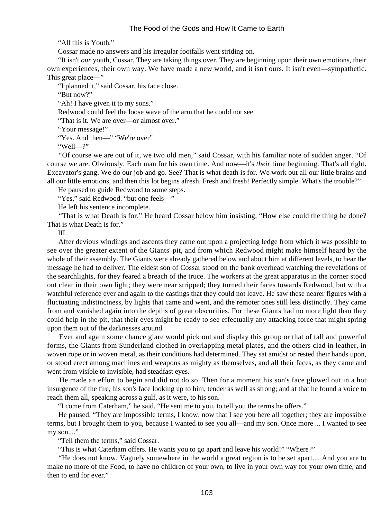"All this is Youth."

Cossar made no answers and his irregular footfalls went striding on.

 "It isn't *our* youth, Cossar. They are taking things over. They are beginning upon their own emotions, their own experiences, their own way. We have made a new world, and it isn't ours. It isn't even—sympathetic. This great place—"

"I planned it," said Cossar, his face close.

"But now?"

"Ah! I have given it to my sons."

Redwood could feel the loose wave of the arm that he could not see.

"That is it. We are over—or almost over."

"Your message!"

"Yes. And then—" "We're over"

"Well—?"

 "Of course we are out of it, we two old men," said Cossar, with his familiar note of sudden anger. "Of course we are. Obviously. Each man for his own time. And now—it's *their* time beginning. That's all right. Excavator's gang. We do our job and go. See? That is what death is for. We work out all our little brains and all our little emotions, and then this lot begins afresh. Fresh and fresh! Perfectly simple. What's the trouble?"

He paused to guide Redwood to some steps.

"Yes," said Redwood. "but one feels—"

He left his sentence incomplete.

 "That is what Death is for." He heard Cossar below him insisting, "How else could the thing be done? That is what Death is for."

III.

 After devious windings and ascents they came out upon a projecting ledge from which it was possible to see over the greater extent of the Giants' pit, and from which Redwood might make himself heard by the whole of their assembly. The Giants were already gathered below and about him at different levels, to hear the message he had to deliver. The eldest son of Cossar stood on the bank overhead watching the revelations of the searchlights, for they feared a breach of the truce. The workers at the great apparatus in the corner stood out clear in their own light; they were near stripped; they turned their faces towards Redwood, but with a watchful reference ever and again to the castings that they could not leave. He saw these nearer figures with a fluctuating indistinctness, by lights that came and went, and the remoter ones still less distinctly. They came from and vanished again into the depths of great obscurities. For these Giants had no more light than they could help in the pit, that their eyes might be ready to see effectually any attacking force that might spring upon them out of the darknesses around.

 Ever and again some chance glare would pick out and display this group or that of tall and powerful forms, the Giants from Sunderland clothed in overlapping metal plates, and the others clad in leather, in woven rope or in woven metal, as their conditions had determined. They sat amidst or rested their hands upon, or stood erect among machines and weapons as mighty as themselves, and all their faces, as they came and went from visible to invisible, had steadfast eyes.

 He made an effort to begin and did not do so. Then for a moment his son's face glowed out in a hot insurgence of the fire, his son's face looking up to him, tender as well as strong; and at that he found a voice to reach them all, speaking across a gulf, as it were, to his son.

"I come from Caterham," he said. "He sent me to you, to tell you the terms he offers."

 He paused. "They are impossible terms, I know, now that I see you here all together; they are impossible terms, but I brought them to you, because I wanted to see you all—and my son. Once more ... I wanted to see my son...."

"Tell them the terms," said Cossar.

"This is what Caterham offers. He wants you to go apart and leave his world!" "Where?"

 "He does not know. Vaguely somewhere in the world a great region is to be set apart.... And you are to make no more of the Food, to have no children of your own, to live in your own way for your own time, and then to end for ever."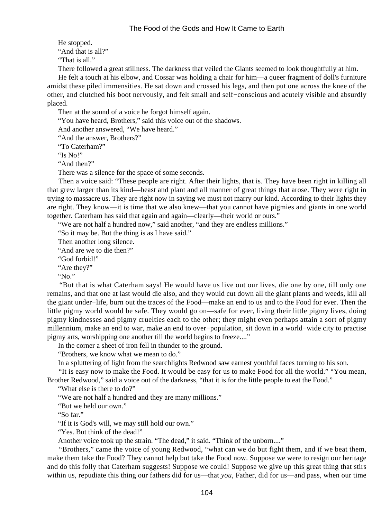He stopped. "And that is all?" "That is all."

There followed a great stillness. The darkness that veiled the Giants seemed to look thoughtfully at him.

 He felt a touch at his elbow, and Cossar was holding a chair for him—a queer fragment of doll's furniture amidst these piled immensities. He sat down and crossed his legs, and then put one across the knee of the other, and clutched his boot nervously, and felt small and self−conscious and acutely visible and absurdly placed.

Then at the sound of a voice he forgot himself again.

"You have heard, Brothers," said this voice out of the shadows.

And another answered, "We have heard."

"And the answer, Brothers?"

"To Caterham?"

"Is No!"

"And then?"

There was a silence for the space of some seconds.

 Then a voice said: "These people are right. After their lights, that is. They have been right in killing all that grew larger than its kind—beast and plant and all manner of great things that arose. They were right in trying to massacre us. They are right now in saying we must not marry our kind. According to their lights they are right. They know—it is time that we also knew—that you cannot have pigmies and giants in one world together. Caterham has said that again and again—clearly—their world or ours."

"We are not half a hundred now," said another, "and they are endless millions."

"So it may be. But the thing is as I have said."

Then another long silence.

"And are we to die then?"

"God forbid!"

"Are they?"

"No."

 "But that is what Caterham says! He would have us live out our lives, die one by one, till only one remains, and that one at last would die also, and they would cut down all the giant plants and weeds, kill all the giant under−life, burn out the traces of the Food—make an end to us and to the Food for ever. Then the little pigmy world would be safe. They would go on—safe for ever, living their little pigmy lives, doing pigmy kindnesses and pigmy cruelties each to the other; they might even perhaps attain a sort of pigmy millennium, make an end to war, make an end to over−population, sit down in a world−wide city to practise pigmy arts, worshipping one another till the world begins to freeze...."

In the corner a sheet of iron fell in thunder to the ground.

"Brothers, we know what we mean to do."

In a spluttering of light from the searchlights Redwood saw earnest youthful faces turning to his son.

 "It is easy now to make the Food. It would be easy for us to make Food for all the world." "You mean, Brother Redwood," said a voice out of the darkness, "that it is for the little people to eat the Food."

"What else is there to do?"

"We are not half a hundred and they are many millions."

"But we held our own."

"So far."

"If it is God's will, we may still hold our own."

"Yes. But think of the dead!"

Another voice took up the strain. "The dead," it said. "Think of the unborn...."

 "Brothers," came the voice of young Redwood, "what can we do but fight them, and if we beat them, make them take the Food? They cannot help but take the Food now. Suppose we were to resign our heritage and do this folly that Caterham suggests! Suppose we could! Suppose we give up this great thing that stirs within us, repudiate this thing our fathers did for us—that *you*, Father, did for us—and pass, when our time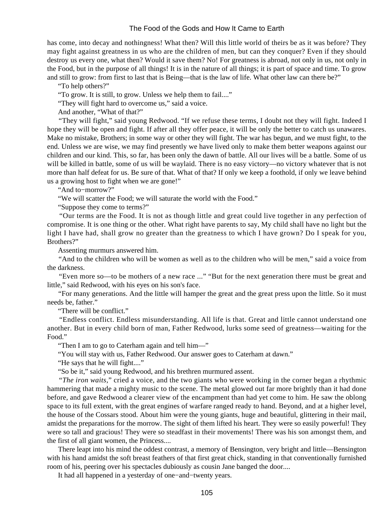has come, into decay and nothingness! What then? Will this little world of theirs be as it was before? They may fight against greatness in us who are the children of men, but can they conquer? Even if they should destroy us every one, what then? Would it save them? No! For greatness is abroad, not only in us, not only in the Food, but in the purpose of all things! It is in the nature of all things; it is part of space and time. To grow and still to grow: from first to last that is Being—that is the law of life. What other law can there be?"

"To help others?"

"To grow. It is still, to grow. Unless we help them to fail...."

"They will fight hard to overcome us," said a voice.

And another, "What of that?"

 "They will fight," said young Redwood. "If we refuse these terms, I doubt not they will fight. Indeed I hope they will be open and fight. If after all they offer peace, it will be only the better to catch us unawares. Make no mistake, Brothers; in some way or other they will fight. The war has begun, and we must fight, to the end. Unless we are wise, we may find presently we have lived only to make them better weapons against our children and our kind. This, so far, has been only the dawn of battle. All our lives will be a battle. Some of us will be killed in battle, some of us will be waylaid. There is no easy victory—no victory whatever that is not more than half defeat for us. Be sure of that. What of that? If only we keep a foothold, if only we leave behind us a growing host to fight when we are gone!"

"And to−morrow?"

"We will scatter the Food; we will saturate the world with the Food."

"Suppose they come to terms?"

 "Our terms are the Food. It is not as though little and great could live together in any perfection of compromise. It is one thing or the other. What right have parents to say, My child shall have no light but the light I have had, shall grow no greater than the greatness to which I have grown? Do I speak for you, Brothers?"

Assenting murmurs answered him.

 "And to the children who will be women as well as to the children who will be men," said a voice from the darkness.

 "Even more so—to be mothers of a new race ..." "But for the next generation there must be great and little," said Redwood, with his eyes on his son's face.

 "For many generations. And the little will hamper the great and the great press upon the little. So it must needs be, father."

"There will be conflict."

 "Endless conflict. Endless misunderstanding. All life is that. Great and little cannot understand one another. But in every child born of man, Father Redwood, lurks some seed of greatness—waiting for the Food."

"Then I am to go to Caterham again and tell him—"

"You will stay with us, Father Redwood. Our answer goes to Caterham at dawn."

"He says that he will fight...."

"So be it," said young Redwood, and his brethren murmured assent.

 "*The iron waits*," cried a voice, and the two giants who were working in the corner began a rhythmic hammering that made a mighty music to the scene. The metal glowed out far more brightly than it had done before, and gave Redwood a clearer view of the encampment than had yet come to him. He saw the oblong space to its full extent, with the great engines of warfare ranged ready to hand. Beyond, and at a higher level, the house of the Cossars stood. About him were the young giants, huge and beautiful, glittering in their mail, amidst the preparations for the morrow. The sight of them lifted his heart. They were so easily powerful! They were so tall and gracious! They were so steadfast in their movements! There was his son amongst them, and the first of all giant women, the Princess....

 There leapt into his mind the oddest contrast, a memory of Bensington, very bright and little—Bensington with his hand amidst the soft breast feathers of that first great chick, standing in that conventionally furnished room of his, peering over his spectacles dubiously as cousin Jane banged the door....

It had all happened in a yesterday of one−and−twenty years.